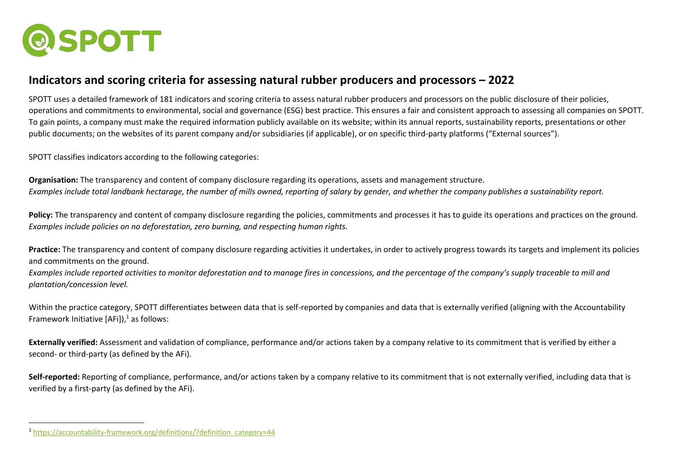

## **Indicators and scoring criteria for assessing natural rubber producers and processors – 2022**

SPOTT uses a detailed framework of 181 indicators and scoring criteria to assess natural rubber producers and processors on the public disclosure of their policies, operations and commitments to environmental, social and governance (ESG) best practice. This ensures a fair and consistent approach to assessing all companies on SPOTT. To gain points, a company must make the required information publicly available on its website; within its annual reports, sustainability reports, presentations or other public documents; on the websites of its parent company and/or subsidiaries (if applicable), or on specific third-party platforms ("External sources").

SPOTT classifies indicators according to the following categories:

**Organisation:** The transparency and content of company disclosure regarding its operations, assets and management structure. *Examples include total landbank hectarage, the number of mills owned, reporting of salary by gender, and whether the company publishes a sustainability report.*

Policy: The transparency and content of company disclosure regarding the policies, commitments and processes it has to guide its operations and practices on the ground. *Examples include policies on no deforestation, zero burning, and respecting human rights.*

**Practice:** The transparency and content of company disclosure regarding activities it undertakes, in order to actively progress towards its targets and implement its policies and commitments on the ground.

*Examples include reported activities to monitor deforestation and to manage fires in concessions, and the percentage of the company's supply traceable to mill and plantation/concession level.*

Within the practice category, SPOTT differentiates between data that is self-reported by companies and data that is externally verified (aligning with the Accountability Framework Initiative  $[AFi]$ ,<sup>1</sup> as follows:

**Externally verified:** Assessment and validation of compliance, performance and/or actions taken by a company relative to its commitment that is verified by either a second- or third-party (as defined by the AFi).

**Self-reported:** Reporting of compliance, performance, and/or actions taken by a company relative to its commitment that is not externally verified, including data that is verified by a first-party (as defined by the AFi).

<sup>1</sup> [https://accountability-framework.org/definitions/?definition\\_category=44](https://accountability-framework.org/definitions/?definition_category=44)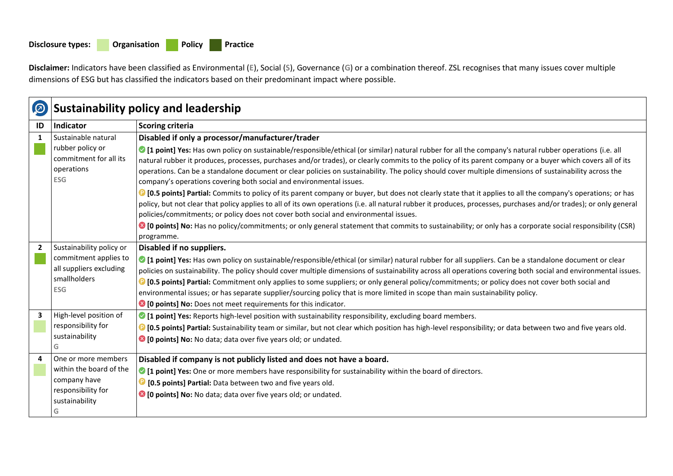## **Disclosure types: Organisation Policy Practice**

**Disclaimer:** Indicators have been classified as Environmental (**E**), Social (**S**), Governance (**G**) or a combination thereof. ZSL recognises that many issues cover multiple dimensions of ESG but has classified the indicators based on their predominant impact where possible.

| $\boldsymbol{\varpi}$   | <b>Sustainability policy and leadership</b>                                    |                                                                                                                                                                                                                                                                                                                                                                                                                                                                                                                                                                                                                                                                                                                                                                                                                                                                                                                                                                                                 |
|-------------------------|--------------------------------------------------------------------------------|-------------------------------------------------------------------------------------------------------------------------------------------------------------------------------------------------------------------------------------------------------------------------------------------------------------------------------------------------------------------------------------------------------------------------------------------------------------------------------------------------------------------------------------------------------------------------------------------------------------------------------------------------------------------------------------------------------------------------------------------------------------------------------------------------------------------------------------------------------------------------------------------------------------------------------------------------------------------------------------------------|
| ID                      | Indicator                                                                      | Scoring criteria                                                                                                                                                                                                                                                                                                                                                                                                                                                                                                                                                                                                                                                                                                                                                                                                                                                                                                                                                                                |
| 1                       | Sustainable natural                                                            | Disabled if only a processor/manufacturer/trader                                                                                                                                                                                                                                                                                                                                                                                                                                                                                                                                                                                                                                                                                                                                                                                                                                                                                                                                                |
|                         | rubber policy or<br>commitment for all its<br>operations<br><b>ESG</b>         | 1. [1] I point] Yes: Has own policy on sustainable/responsible/ethical (or similar) natural rubber for all the company's natural rubber operations (i.e. all<br>natural rubber it produces, processes, purchases and/or trades), or clearly commits to the policy of its parent company or a buyer which covers all of its<br>operations. Can be a standalone document or clear policies on sustainability. The policy should cover multiple dimensions of sustainability across the<br>company's operations covering both social and environmental issues.<br><b>C</b> [0.5 points] Partial: Commits to policy of its parent company or buyer, but does not clearly state that it applies to all the company's operations; or has<br>policy, but not clear that policy applies to all of its own operations (i.e. all natural rubber it produces, processes, purchases and/or trades); or only general<br>policies/commitments; or policy does not cover both social and environmental issues. |
|                         |                                                                                | • [O points] No: Has no policy/commitments; or only general statement that commits to sustainability; or only has a corporate social responsibility (CSR)<br>programme.                                                                                                                                                                                                                                                                                                                                                                                                                                                                                                                                                                                                                                                                                                                                                                                                                         |
| $\overline{2}$          | Sustainability policy or                                                       | Disabled if no suppliers.                                                                                                                                                                                                                                                                                                                                                                                                                                                                                                                                                                                                                                                                                                                                                                                                                                                                                                                                                                       |
|                         | commitment applies to<br>all suppliers excluding<br>smallholders<br><b>ESG</b> | 1 [1] point] Yes: Has own policy on sustainable/responsible/ethical (or similar) natural rubber for all suppliers. Can be a standalone document or clear<br>policies on sustainability. The policy should cover multiple dimensions of sustainability across all operations covering both social and environmental issues.<br><b>C</b> [0.5 points] Partial: Commitment only applies to some suppliers; or only general policy/commitments; or policy does not cover both social and<br>environmental issues; or has separate supplier/sourcing policy that is more limited in scope than main sustainability policy.<br><sup>8</sup> [0 points] No: Does not meet requirements for this indicator.                                                                                                                                                                                                                                                                                             |
| $\overline{\mathbf{3}}$ | High-level position of                                                         | 1 [1] point] Yes: Reports high-level position with sustainability responsibility, excluding board members.                                                                                                                                                                                                                                                                                                                                                                                                                                                                                                                                                                                                                                                                                                                                                                                                                                                                                      |
|                         | responsibility for<br>sustainability<br>G                                      | <b>D</b> [0.5 points] Partial: Sustainability team or similar, but not clear which position has high-level responsibility; or data between two and five years old.<br><sup>8</sup> [0 points] No: No data; data over five years old; or undated.                                                                                                                                                                                                                                                                                                                                                                                                                                                                                                                                                                                                                                                                                                                                                |
| 4                       | One or more members                                                            | Disabled if company is not publicly listed and does not have a board.                                                                                                                                                                                                                                                                                                                                                                                                                                                                                                                                                                                                                                                                                                                                                                                                                                                                                                                           |
|                         | within the board of the                                                        | I point] Yes: One or more members have responsibility for sustainability within the board of directors.                                                                                                                                                                                                                                                                                                                                                                                                                                                                                                                                                                                                                                                                                                                                                                                                                                                                                         |
|                         | company have                                                                   | <b>D</b> [0.5 points] Partial: Data between two and five years old.                                                                                                                                                                                                                                                                                                                                                                                                                                                                                                                                                                                                                                                                                                                                                                                                                                                                                                                             |
|                         | responsibility for<br>sustainability<br>G                                      | 10 points] No: No data; data over five years old; or undated.                                                                                                                                                                                                                                                                                                                                                                                                                                                                                                                                                                                                                                                                                                                                                                                                                                                                                                                                   |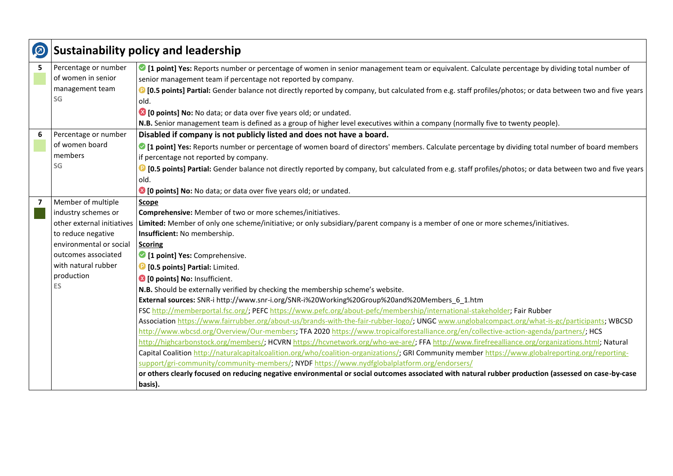| $\left( 0\right)$ | <b>Sustainability policy and leadership</b> |                                                                                                                                                                    |
|-------------------|---------------------------------------------|--------------------------------------------------------------------------------------------------------------------------------------------------------------------|
| 5                 | Percentage or number                        | If point] Yes: Reports number or percentage of women in senior management team or equivalent. Calculate percentage by dividing total number of                     |
|                   | of women in senior                          | senior management team if percentage not reported by company.                                                                                                      |
|                   | management team                             | <b>C</b> [0.5 points] Partial: Gender balance not directly reported by company, but calculated from e.g. staff profiles/photos; or data between two and five years |
|                   | SG                                          | old.                                                                                                                                                               |
|                   |                                             | <sup>3</sup> [0 points] No: No data; or data over five years old; or undated.                                                                                      |
|                   |                                             | N.B. Senior management team is defined as a group of higher level executives within a company (normally five to twenty people).                                    |
| 6                 | Percentage or number                        | Disabled if company is not publicly listed and does not have a board.                                                                                              |
|                   | of women board                              | I point] Yes: Reports number or percentage of women board of directors' members. Calculate percentage by dividing total number of board members                    |
|                   | members                                     | if percentage not reported by company.                                                                                                                             |
|                   | SG                                          | <b>D</b> [0.5 points] Partial: Gender balance not directly reported by company, but calculated from e.g. staff profiles/photos; or data between two and five years |
|                   |                                             | old.                                                                                                                                                               |
|                   |                                             | <sup>3</sup> [0 points] No: No data; or data over five years old; or undated.                                                                                      |
| $\overline{7}$    | Member of multiple                          | Scope                                                                                                                                                              |
|                   | industry schemes or                         | Comprehensive: Member of two or more schemes/initiatives.                                                                                                          |
|                   | other external initiatives                  | Limited: Member of only one scheme/initiative; or only subsidiary/parent company is a member of one or more schemes/initiatives.                                   |
|                   | to reduce negative                          | Insufficient: No membership.                                                                                                                                       |
|                   | environmental or social                     | <b>Scoring</b>                                                                                                                                                     |
|                   | outcomes associated                         | 1 point] Yes: Comprehensive.                                                                                                                                       |
|                   | with natural rubber                         | <b>D</b> [0.5 points] Partial: Limited.                                                                                                                            |
|                   | production                                  | 8 [0 points] No: Insufficient.                                                                                                                                     |
|                   | ES                                          | N.B. Should be externally verified by checking the membership scheme's website.                                                                                    |
|                   |                                             | External sources: SNR-i http://www.snr-i.org/SNR-i%20Working%20Group%20and%20Members 6 1.htm                                                                       |
|                   |                                             | FSC http://memberportal.fsc.org/; PEFC https://www.pefc.org/about-pefc/membership/international-stakeholder; Fair Rubber                                           |
|                   |                                             | Association https://www.fairrubber.org/about-us/brands-with-the-fair-rubber-logo/; UNGC www.unglobalcompact.org/what-is-gc/participants; WBCSD                     |
|                   |                                             | http://www.wbcsd.org/Overview/Our-members; TFA 2020 https://www.tropicalforestalliance.org/en/collective-action-agenda/partners/; HCS                              |
|                   |                                             | http://highcarbonstock.org/members/; HCVRN https://hcvnetwork.org/who-we-are/; FFA http://www.firefreealliance.org/organizations.html; Natural                     |
|                   |                                             | Capital Coalition http://naturalcapitalcoalition.org/who/coalition-organizations/; GRI Community member https://www.globalreporting.org/reporting-                 |
|                   |                                             | support/gri-community/community-members/; NYDF https://www.nydfglobalplatform.org/endorsers/                                                                       |
|                   |                                             | or others clearly focused on reducing negative environmental or social outcomes associated with natural rubber production (assessed on case-by-case                |
|                   |                                             | basis).                                                                                                                                                            |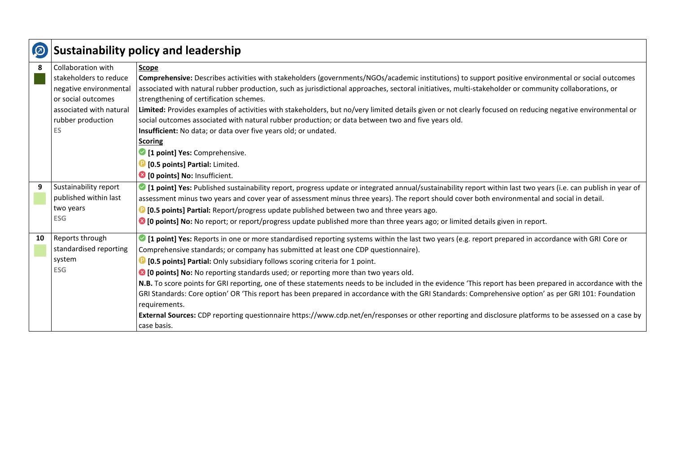| $\odot$ | <b>Sustainability policy and leadership</b> |                                                                                                                                                               |
|---------|---------------------------------------------|---------------------------------------------------------------------------------------------------------------------------------------------------------------|
| 8       | Collaboration with                          | Scope                                                                                                                                                         |
|         | stakeholders to reduce                      | Comprehensive: Describes activities with stakeholders (governments/NGOs/academic institutions) to support positive environmental or social outcomes           |
|         | negative environmental                      | associated with natural rubber production, such as jurisdictional approaches, sectoral initiatives, multi-stakeholder or community collaborations, or         |
|         | or social outcomes                          | strengthening of certification schemes.                                                                                                                       |
|         | associated with natural                     | Limited: Provides examples of activities with stakeholders, but no/very limited details given or not clearly focused on reducing negative environmental or    |
|         | rubber production                           | social outcomes associated with natural rubber production; or data between two and five years old.                                                            |
|         | <b>ES</b>                                   | Insufficient: No data; or data over five years old; or undated.                                                                                               |
|         |                                             | <b>Scoring</b>                                                                                                                                                |
|         |                                             | 1 point] Yes: Comprehensive.                                                                                                                                  |
|         |                                             | <b>D</b> [0.5 points] Partial: Limited.                                                                                                                       |
|         |                                             | 10 points] No: Insufficient.                                                                                                                                  |
| 9       | Sustainability report                       | If point] Yes: Published sustainability report, progress update or integrated annual/sustainability report within last two years (i.e. can publish in year of |
|         | published within last                       | assessment minus two years and cover year of assessment minus three years). The report should cover both environmental and social in detail.                  |
|         | two years                                   | <b>D</b> [0.5 points] Partial: Report/progress update published between two and three years ago.                                                              |
|         | <b>ESG</b>                                  | <sup>3</sup> [0 points] No: No report; or report/progress update published more than three years ago; or limited details given in report.                     |
| 10      | Reports through                             | If point] Yes: Reports in one or more standardised reporting systems within the last two years (e.g. report prepared in accordance with GRI Core or           |
|         | standardised reporting                      | Comprehensive standards; or company has submitted at least one CDP questionnaire).                                                                            |
|         | system                                      | <b>D</b> [0.5 points] Partial: Only subsidiary follows scoring criteria for 1 point.                                                                          |
|         | <b>ESG</b>                                  | <b>◎ [0 points] No:</b> No reporting standards used; or reporting more than two years old.                                                                    |
|         |                                             | N.B. To score points for GRI reporting, one of these statements needs to be included in the evidence 'This report has been prepared in accordance with the    |
|         |                                             | GRI Standards: Core option' OR 'This report has been prepared in accordance with the GRI Standards: Comprehensive option' as per GRI 101: Foundation          |
|         |                                             | requirements.                                                                                                                                                 |
|         |                                             | External Sources: CDP reporting questionnaire https://www.cdp.net/en/responses or other reporting and disclosure platforms to be assessed on a case by        |
|         |                                             | case basis.                                                                                                                                                   |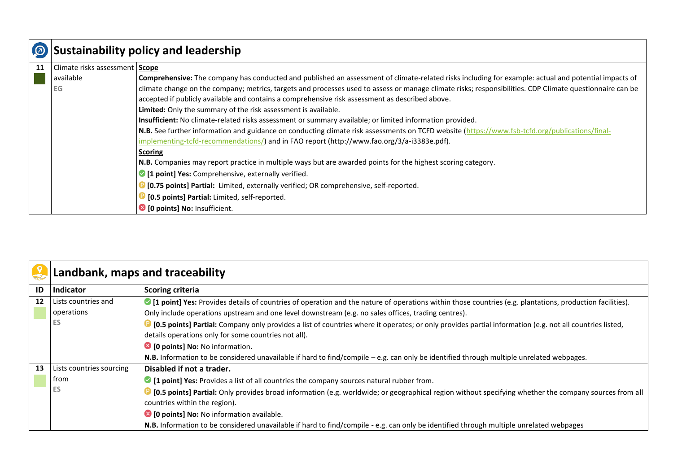|    | <b>Sustainability policy and leadership</b> |                                                                                                                                                          |
|----|---------------------------------------------|----------------------------------------------------------------------------------------------------------------------------------------------------------|
| 11 | Climate risks assessment Scope              |                                                                                                                                                          |
|    | available                                   | Comprehensive: The company has conducted and published an assessment of climate-related risks including for example: actual and potential impacts of     |
|    | EG                                          | climate change on the company; metrics, targets and processes used to assess or manage climate risks; responsibilities. CDP Climate questionnaire can be |
|    |                                             | accepted if publicly available and contains a comprehensive risk assessment as described above.                                                          |
|    |                                             | Limited: Only the summary of the risk assessment is available.                                                                                           |
|    |                                             | Insufficient: No climate-related risks assessment or summary available; or limited information provided.                                                 |
|    |                                             | N.B. See further information and guidance on conducting climate risk assessments on TCFD website (https://www.fsb-tcfd.org/publications/final-           |
|    |                                             | implementing-tcfd-recommendations/) and in FAO report (http://www.fao.org/3/a-i3383e.pdf).                                                               |
|    |                                             | <b>Scoring</b>                                                                                                                                           |
|    |                                             | N.B. Companies may report practice in multiple ways but are awarded points for the highest scoring category.                                             |
|    |                                             | 1 point] Yes: Comprehensive, externally verified.                                                                                                        |
|    |                                             | <b>D</b> [0.75 points] Partial: Limited, externally verified; OR comprehensive, self-reported.                                                           |
|    |                                             | <sup>3</sup> [0.5 points] Partial: Limited, self-reported.                                                                                               |
|    |                                             | <b>8</b> [0 points] No: Insufficient.                                                                                                                    |

|                   | Landbank, maps and traceability   |                                                                                                                                                                                                                                                                   |
|-------------------|-----------------------------------|-------------------------------------------------------------------------------------------------------------------------------------------------------------------------------------------------------------------------------------------------------------------|
| ID                | Indicator                         | <b>Scoring criteria</b>                                                                                                                                                                                                                                           |
| $12 \overline{ }$ | Lists countries and<br>operations | • [1 point] Yes: Provides details of countries of operation and the nature of operations within those countries (e.g. plantations, production facilities).<br>Only include operations upstream and one level downstream (e.g. no sales offices, trading centres). |
|                   | ES                                | 10.5 points] Partial: Company only provides a list of countries where it operates; or only provides partial information (e.g. not all countries listed,<br>details operations only for some countries not all).                                                   |
|                   |                                   | <sup>3</sup> [0 points] No: No information.                                                                                                                                                                                                                       |
|                   |                                   | N.B. Information to be considered unavailable if hard to find/compile $-e.g.$ can only be identified through multiple unrelated webpages.                                                                                                                         |
| 13                | Lists countries sourcing          | Disabled if not a trader.                                                                                                                                                                                                                                         |
|                   | from                              | ◯ [1 point] Yes: Provides a list of all countries the company sources natural rubber from.                                                                                                                                                                        |
|                   | ES                                | [0.5 points] Partial: Only provides broad information (e.g. worldwide; or geographical region without specifying whether the company sources from all                                                                                                             |
|                   |                                   | countries within the region).                                                                                                                                                                                                                                     |
|                   |                                   | <sup>8</sup> [0 points] No: No information available.                                                                                                                                                                                                             |
|                   |                                   | N.B. Information to be considered unavailable if hard to find/compile - e.g. can only be identified through multiple unrelated webpages                                                                                                                           |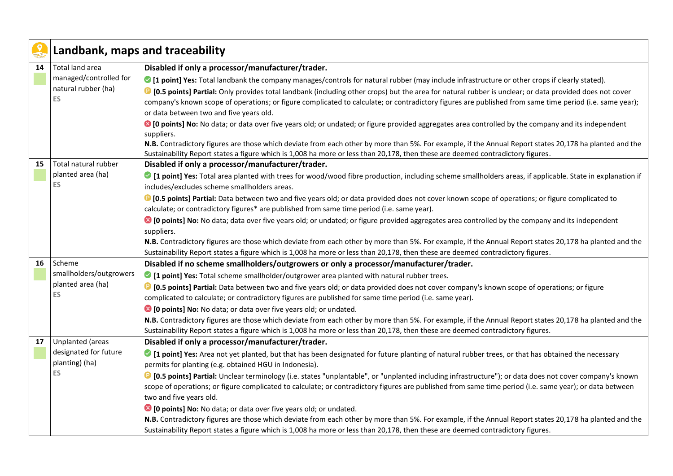|    | Landbank, maps and traceability |                                                                                                                                                                                                                                                                                          |
|----|---------------------------------|------------------------------------------------------------------------------------------------------------------------------------------------------------------------------------------------------------------------------------------------------------------------------------------|
| 14 | Total land area                 | Disabled if only a processor/manufacturer/trader.                                                                                                                                                                                                                                        |
|    | managed/controlled for          | • [1 point] Yes: Total landbank the company manages/controls for natural rubber (may include infrastructure or other crops if clearly stated).                                                                                                                                           |
|    | natural rubber (ha)             | <b>D</b> [0.5 points] Partial: Only provides total landbank (including other crops) but the area for natural rubber is unclear; or data provided does not cover                                                                                                                          |
|    | <b>ES</b>                       | company's known scope of operations; or figure complicated to calculate; or contradictory figures are published from same time period (i.e. same year);                                                                                                                                  |
|    |                                 | or data between two and five years old.                                                                                                                                                                                                                                                  |
|    |                                 | C [O points] No: No data; or data over five years old; or undated; or figure provided aggregates area controlled by the company and its independent<br>suppliers.                                                                                                                        |
|    |                                 | N.B. Contradictory figures are those which deviate from each other by more than 5%. For example, if the Annual Report states 20,178 ha planted and the<br>Sustainability Report states a figure which is 1,008 ha more or less than 20,178, then these are deemed contradictory figures. |
| 15 | Total natural rubber            | Disabled if only a processor/manufacturer/trader.                                                                                                                                                                                                                                        |
|    | planted area (ha)               | I point] Yes: Total area planted with trees for wood/wood fibre production, including scheme smallholders areas, if applicable. State in explanation if                                                                                                                                  |
|    | ES.                             | includes/excludes scheme smallholders areas.                                                                                                                                                                                                                                             |
|    |                                 | <b>D</b> [0.5 points] Partial: Data between two and five years old; or data provided does not cover known scope of operations; or figure complicated to                                                                                                                                  |
|    |                                 | calculate; or contradictory figures* are published from same time period (i.e. same year).                                                                                                                                                                                               |
|    |                                 | ■ [0 points] No: No data; data over five years old; or undated; or figure provided aggregates area controlled by the company and its independent                                                                                                                                         |
|    |                                 | suppliers.                                                                                                                                                                                                                                                                               |
|    |                                 | N.B. Contradictory figures are those which deviate from each other by more than 5%. For example, if the Annual Report states 20,178 ha planted and the                                                                                                                                   |
|    |                                 | Sustainability Report states a figure which is 1,008 ha more or less than 20,178, then these are deemed contradictory figures.                                                                                                                                                           |
| 16 | Scheme                          | Disabled if no scheme smallholders/outgrowers or only a processor/manufacturer/trader.                                                                                                                                                                                                   |
|    | smallholders/outgrowers         | • [1 point] Yes: Total scheme smallholder/outgrower area planted with natural rubber trees.                                                                                                                                                                                              |
|    | planted area (ha)<br><b>ES</b>  | <b>D</b> [0.5 points] Partial: Data between two and five years old; or data provided does not cover company's known scope of operations; or figure                                                                                                                                       |
|    |                                 | complicated to calculate; or contradictory figures are published for same time period (i.e. same year).                                                                                                                                                                                  |
|    |                                 | <sup>3</sup> [0 points] No: No data; or data over five years old; or undated.                                                                                                                                                                                                            |
|    |                                 | N.B. Contradictory figures are those which deviate from each other by more than 5%. For example, if the Annual Report states 20,178 ha planted and the                                                                                                                                   |
|    |                                 | Sustainability Report states a figure which is 1,008 ha more or less than 20,178, then these are deemed contradictory figures.                                                                                                                                                           |
| 17 | <b>Unplanted (areas</b>         | Disabled if only a processor/manufacturer/trader.                                                                                                                                                                                                                                        |
|    | designated for future           | I point] Yes: Area not yet planted, but that has been designated for future planting of natural rubber trees, or that has obtained the necessary                                                                                                                                         |
|    | planting) (ha)                  | permits for planting (e.g. obtained HGU in Indonesia).                                                                                                                                                                                                                                   |
|    | <b>ES</b>                       | <b>C</b> [0.5 points] Partial: Unclear terminology (i.e. states "unplantable", or "unplanted including infrastructure"); or data does not cover company's known                                                                                                                          |
|    |                                 | scope of operations; or figure complicated to calculate; or contradictory figures are published from same time period (i.e. same year); or data between                                                                                                                                  |
|    |                                 | two and five years old.                                                                                                                                                                                                                                                                  |
|    |                                 | <sup>8</sup> [0 points] No: No data; or data over five years old; or undated.                                                                                                                                                                                                            |
|    |                                 | N.B. Contradictory figures are those which deviate from each other by more than 5%. For example, if the Annual Report states 20,178 ha planted and the                                                                                                                                   |
|    |                                 | Sustainability Report states a figure which is 1,008 ha more or less than 20,178, then these are deemed contradictory figures.                                                                                                                                                           |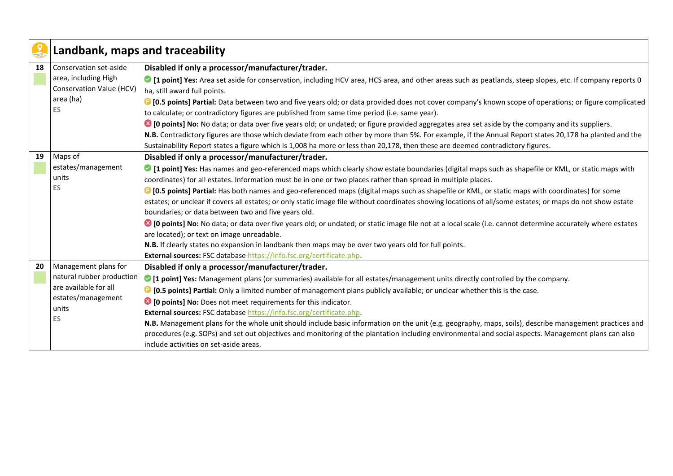|    | Landbank, maps and traceability |                                                                                                                                                                |
|----|---------------------------------|----------------------------------------------------------------------------------------------------------------------------------------------------------------|
| 18 | Conservation set-aside          | Disabled if only a processor/manufacturer/trader.                                                                                                              |
|    | area, including High            | I point] Yes: Area set aside for conservation, including HCV area, HCS area, and other areas such as peatlands, steep slopes, etc. If company reports 0        |
|    | Conservation Value (HCV)        | ha, still award full points.                                                                                                                                   |
|    | area (ha)                       | <b>D</b> [0.5 points] Partial: Data between two and five years old; or data provided does not cover company's known scope of operations; or figure complicated |
|    | <b>ES</b>                       | to calculate; or contradictory figures are published from same time period (i.e. same year).                                                                   |
|    |                                 | <sup>3</sup> [0 points] No: No data; or data over five years old; or undated; or figure provided aggregates area set aside by the company and its suppliers.   |
|    |                                 | N.B. Contradictory figures are those which deviate from each other by more than 5%. For example, if the Annual Report states 20,178 ha planted and the         |
|    |                                 | Sustainability Report states a figure which is 1,008 ha more or less than 20,178, then these are deemed contradictory figures.                                 |
| 19 | Maps of                         | Disabled if only a processor/manufacturer/trader.                                                                                                              |
|    | estates/management              | I point] Yes: Has names and geo-referenced maps which clearly show estate boundaries (digital maps such as shapefile or KML, or static maps with               |
|    | units                           | coordinates) for all estates. Information must be in one or two places rather than spread in multiple places.                                                  |
|    | <b>ES</b>                       | <b>D</b> [0.5 points] Partial: Has both names and geo-referenced maps (digital maps such as shapefile or KML, or static maps with coordinates) for some        |
|    |                                 | estates; or unclear if covers all estates; or only static image file without coordinates showing locations of all/some estates; or maps do not show estate     |
|    |                                 | boundaries; or data between two and five years old.                                                                                                            |
|    |                                 | ◎ [0 points] No: No data; or data over five years old; or undated; or static image file not at a local scale (i.e. cannot determine accurately where estates   |
|    |                                 | are located); or text on image unreadable.                                                                                                                     |
|    |                                 | N.B. If clearly states no expansion in landbank then maps may be over two years old for full points.                                                           |
|    |                                 | External sources: FSC database https://info.fsc.org/certificate.php.                                                                                           |
| 20 | Management plans for            | Disabled if only a processor/manufacturer/trader.                                                                                                              |
|    | natural rubber production       | • [1 point] Yes: Management plans (or summaries) available for all estates/management units directly controlled by the company.                                |
|    | are available for all           | <b>D</b> [0.5 points] Partial: Only a limited number of management plans publicly available; or unclear whether this is the case.                              |
|    | estates/management              | <sup>8</sup> [0 points] No: Does not meet requirements for this indicator.                                                                                     |
|    | units                           | External sources: FSC database https://info.fsc.org/certificate.php.                                                                                           |
|    | <b>ES</b>                       | N.B. Management plans for the whole unit should include basic information on the unit (e.g. geography, maps, soils), describe management practices and         |
|    |                                 | procedures (e.g. SOPs) and set out objectives and monitoring of the plantation including environmental and social aspects. Management plans can also           |
|    |                                 | include activities on set-aside areas.                                                                                                                         |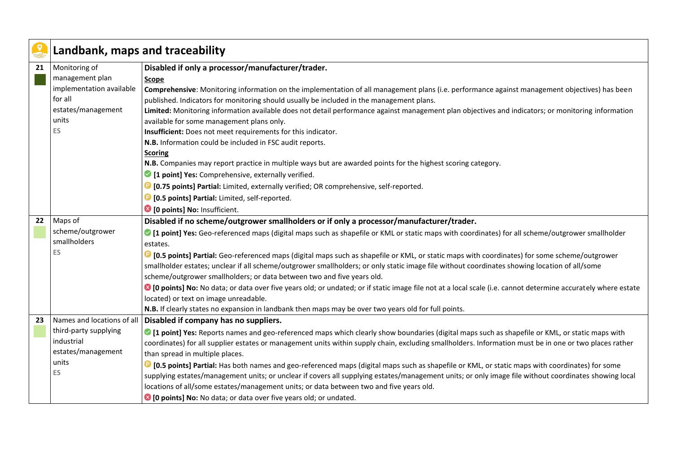|    | Landbank, maps and traceability |                                                                                                                                                                |
|----|---------------------------------|----------------------------------------------------------------------------------------------------------------------------------------------------------------|
| 21 | Monitoring of                   | Disabled if only a processor/manufacturer/trader.                                                                                                              |
|    | management plan                 | Scope                                                                                                                                                          |
|    | implementation available        | Comprehensive: Monitoring information on the implementation of all management plans (i.e. performance against management objectives) has been                  |
|    | for all                         | published. Indicators for monitoring should usually be included in the management plans.                                                                       |
|    | estates/management              | Limited: Monitoring information available does not detail performance against management plan objectives and indicators; or monitoring information             |
|    | units                           | available for some management plans only.                                                                                                                      |
|    | ES                              | Insufficient: Does not meet requirements for this indicator.                                                                                                   |
|    |                                 | N.B. Information could be included in FSC audit reports.                                                                                                       |
|    |                                 | <b>Scoring</b>                                                                                                                                                 |
|    |                                 | N.B. Companies may report practice in multiple ways but are awarded points for the highest scoring category.                                                   |
|    |                                 | <sup>2</sup> [1 point] Yes: Comprehensive, externally verified.                                                                                                |
|    |                                 | <b>D</b> [0.75 points] Partial: Limited, externally verified; OR comprehensive, self-reported.                                                                 |
|    |                                 | [0.5 points] Partial: Limited, self-reported.                                                                                                                  |
|    |                                 | <sup>3</sup> [0 points] No: Insufficient.                                                                                                                      |
| 22 | Maps of                         | Disabled if no scheme/outgrower smallholders or if only a processor/manufacturer/trader.                                                                       |
|    | scheme/outgrower                | • [1 point] Yes: Geo-referenced maps (digital maps such as shapefile or KML or static maps with coordinates) for all scheme/outgrower smallholder              |
|    | smallholders                    | estates.                                                                                                                                                       |
|    | ES                              | <b>D</b> [0.5 points] Partial: Geo-referenced maps (digital maps such as shapefile or KML, or static maps with coordinates) for some scheme/outgrower          |
|    |                                 | smallholder estates; unclear if all scheme/outgrower smallholders; or only static image file without coordinates showing location of all/some                  |
|    |                                 | scheme/outgrower smallholders; or data between two and five years old.                                                                                         |
|    |                                 | C [O points] No: No data; or data over five years old; or undated; or if static image file not at a local scale (i.e. cannot determine accurately where estate |
|    |                                 | located) or text on image unreadable.                                                                                                                          |
|    |                                 | N.B. If clearly states no expansion in landbank then maps may be over two years old for full points.                                                           |
| 23 | Names and locations of all      | Disabled if company has no suppliers.                                                                                                                          |
|    | third-party supplying           | • [1 point] Yes: Reports names and geo-referenced maps which clearly show boundaries (digital maps such as shapefile or KML, or static maps with               |
|    | industrial                      | coordinates) for all supplier estates or management units within supply chain, excluding smallholders. Information must be in one or two places rather         |
|    | estates/management              | than spread in multiple places.                                                                                                                                |
|    | units                           | <b>D</b> [0.5 points] Partial: Has both names and geo-referenced maps (digital maps such as shapefile or KML, or static maps with coordinates) for some        |
|    | ES                              | supplying estates/management units; or unclear if covers all supplying estates/management units; or only image file without coordinates showing local          |
|    |                                 | locations of all/some estates/management units; or data between two and five years old.                                                                        |
|    |                                 | <sup>3</sup> [0 points] No: No data; or data over five years old; or undated.                                                                                  |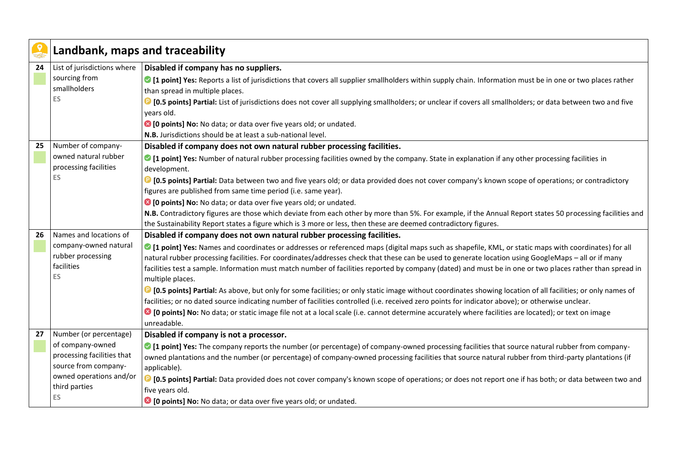|    | Landbank, maps and traceability |                                                                                                                                                                                   |
|----|---------------------------------|-----------------------------------------------------------------------------------------------------------------------------------------------------------------------------------|
| 24 | List of jurisdictions where     | Disabled if company has no suppliers.                                                                                                                                             |
|    | sourcing from                   | 1 [1 point] Yes: Reports a list of jurisdictions that covers all supplier smallholders within supply chain. Information must be in one or two places rather                       |
|    | smallholders                    | than spread in multiple places.                                                                                                                                                   |
|    | <b>ES</b>                       | <b>D</b> [0.5 points] Partial: List of jurisdictions does not cover all supplying smallholders; or unclear if covers all smallholders; or data between two and five<br>years old. |
|    |                                 | <sup>8</sup> [0 points] No: No data; or data over five years old; or undated.                                                                                                     |
|    |                                 | N.B. Jurisdictions should be at least a sub-national level.                                                                                                                       |
| 25 | Number of company-              | Disabled if company does not own natural rubber processing facilities.                                                                                                            |
|    | owned natural rubber            | • [1 point] Yes: Number of natural rubber processing facilities owned by the company. State in explanation if any other processing facilities in                                  |
|    | processing facilities           | development.                                                                                                                                                                      |
|    | ES                              | <sup>1</sup> [0.5 points] Partial: Data between two and five years old; or data provided does not cover company's known scope of operations; or contradictory                     |
|    |                                 | figures are published from same time period (i.e. same year).                                                                                                                     |
|    |                                 | <sup>3</sup> [0 points] No: No data; or data over five years old; or undated.                                                                                                     |
|    |                                 | N.B. Contradictory figures are those which deviate from each other by more than 5%. For example, if the Annual Report states 50 processing facilities and                         |
|    |                                 | the Sustainability Report states a figure which is 3 more or less, then these are deemed contradictory figures.                                                                   |
| 26 | Names and locations of          | Disabled if company does not own natural rubber processing facilities.                                                                                                            |
|    | company-owned natural           | • [1 point] Yes: Names and coordinates or addresses or referenced maps (digital maps such as shapefile, KML, or static maps with coordinates) for all                             |
|    | rubber processing<br>facilities | natural rubber processing facilities. For coordinates/addresses check that these can be used to generate location using GoogleMaps - all or if many                               |
|    | ES                              | facilities test a sample. Information must match number of facilities reported by company (dated) and must be in one or two places rather than spread in<br>multiple places.      |
|    |                                 | <b>D</b> [0.5 points] Partial: As above, but only for some facilities; or only static image without coordinates showing location of all facilities; or only names of              |
|    |                                 | facilities; or no dated source indicating number of facilities controlled (i.e. received zero points for indicator above); or otherwise unclear.                                  |
|    |                                 | C [O points] No: No data; or static image file not at a local scale (i.e. cannot determine accurately where facilities are located); or text on image                             |
|    |                                 | unreadable.                                                                                                                                                                       |
| 27 | Number (or percentage)          | Disabled if company is not a processor.                                                                                                                                           |
|    | of company-owned                | • [1 point] Yes: The company reports the number (or percentage) of company-owned processing facilities that source natural rubber from company-                                   |
|    | processing facilities that      | owned plantations and the number (or percentage) of company-owned processing facilities that source natural rubber from third-party plantations (if                               |
|    | source from company-            | applicable).                                                                                                                                                                      |
|    | owned operations and/or         | <sup>1</sup> [0.5 points] Partial: Data provided does not cover company's known scope of operations; or does not report one if has both; or data between two and                  |
|    | third parties                   | five years old.                                                                                                                                                                   |
|    | ES                              | <sup>8</sup> [0 points] No: No data; or data over five years old; or undated.                                                                                                     |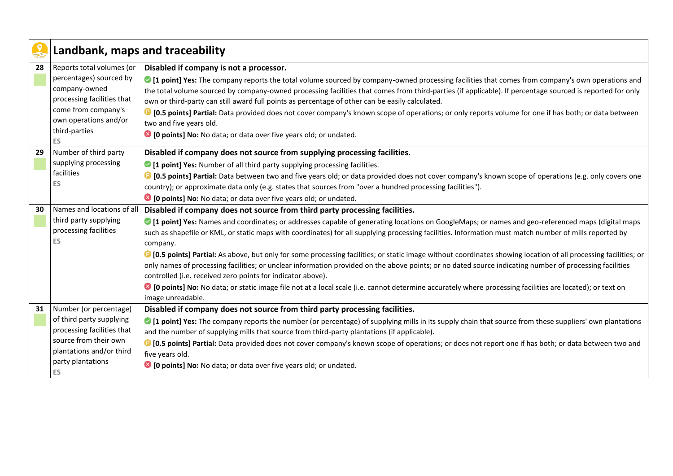| Landbank, maps and traceability |                                                                                                                                                                                                                                                                                                                                                                                                                                   |
|---------------------------------|-----------------------------------------------------------------------------------------------------------------------------------------------------------------------------------------------------------------------------------------------------------------------------------------------------------------------------------------------------------------------------------------------------------------------------------|
| Reports total volumes (or       | Disabled if company is not a processor.                                                                                                                                                                                                                                                                                                                                                                                           |
| percentages) sourced by         | If point] Yes: The company reports the total volume sourced by company-owned processing facilities that comes from company's own operations and                                                                                                                                                                                                                                                                                   |
| company-owned                   | the total volume sourced by company-owned processing facilities that comes from third-parties (if applicable). If percentage sourced is reported for only                                                                                                                                                                                                                                                                         |
|                                 | own or third-party can still award full points as percentage of other can be easily calculated.                                                                                                                                                                                                                                                                                                                                   |
|                                 | <b>D</b> [0.5 points] Partial: Data provided does not cover company's known scope of operations; or only reports volume for one if has both; or data between                                                                                                                                                                                                                                                                      |
|                                 | two and five years old.                                                                                                                                                                                                                                                                                                                                                                                                           |
|                                 | <sup>8</sup> [0 points] No: No data; or data over five years old; or undated.                                                                                                                                                                                                                                                                                                                                                     |
|                                 |                                                                                                                                                                                                                                                                                                                                                                                                                                   |
|                                 | Disabled if company does not source from supplying processing facilities.                                                                                                                                                                                                                                                                                                                                                         |
|                                 | • [1 point] Yes: Number of all third party supplying processing facilities.                                                                                                                                                                                                                                                                                                                                                       |
|                                 | <b>D</b> [0.5 points] Partial: Data between two and five years old; or data provided does not cover company's known scope of operations (e.g. only covers one                                                                                                                                                                                                                                                                     |
|                                 | country); or approximate data only (e.g. states that sources from "over a hundred processing facilities").                                                                                                                                                                                                                                                                                                                        |
|                                 | <sup>3</sup> [0 points] No: No data; or data over five years old; or undated.                                                                                                                                                                                                                                                                                                                                                     |
|                                 | Disabled if company does not source from third party processing facilities.                                                                                                                                                                                                                                                                                                                                                       |
|                                 | ◎ [1 point] Yes: Names and coordinates; or addresses capable of generating locations on GoogleMaps; or names and geo-referenced maps (digital maps                                                                                                                                                                                                                                                                                |
|                                 | such as shapefile or KML, or static maps with coordinates) for all supplying processing facilities. Information must match number of mills reported by                                                                                                                                                                                                                                                                            |
|                                 | company.                                                                                                                                                                                                                                                                                                                                                                                                                          |
|                                 | <sup>1</sup> [0.5 points] Partial: As above, but only for some processing facilities; or static image without coordinates showing location of all processing facilities; or                                                                                                                                                                                                                                                       |
|                                 | only names of processing facilities; or unclear information provided on the above points; or no dated source indicating number of processing facilities                                                                                                                                                                                                                                                                           |
|                                 | controlled (i.e. received zero points for indicator above).                                                                                                                                                                                                                                                                                                                                                                       |
|                                 | C [O points] No: No data; or static image file not at a local scale (i.e. cannot determine accurately where processing facilities are located); or text on                                                                                                                                                                                                                                                                        |
|                                 | image unreadable.                                                                                                                                                                                                                                                                                                                                                                                                                 |
|                                 | Disabled if company does not source from third party processing facilities.                                                                                                                                                                                                                                                                                                                                                       |
|                                 | ○ [1 point] Yes: The company reports the number (or percentage) of supplying mills in its supply chain that source from these suppliers' own plantations                                                                                                                                                                                                                                                                          |
|                                 | and the number of supplying mills that source from third-party plantations (if applicable).                                                                                                                                                                                                                                                                                                                                       |
|                                 | <b>D</b> [0.5 points] Partial: Data provided does not cover company's known scope of operations; or does not report one if has both; or data between two and                                                                                                                                                                                                                                                                      |
|                                 | five years old.                                                                                                                                                                                                                                                                                                                                                                                                                   |
|                                 | <sup>3</sup> [0 points] No: No data; or data over five years old; or undated.                                                                                                                                                                                                                                                                                                                                                     |
|                                 | processing facilities that<br>come from company's<br>own operations and/or<br>third-parties<br>ES.<br>Number of third party<br>supplying processing<br>facilities<br>ES<br>Names and locations of all<br>third party supplying<br>processing facilities<br>ES<br>Number (or percentage)<br>of third party supplying<br>processing facilities that<br>source from their own<br>plantations and/or third<br>party plantations<br>ES |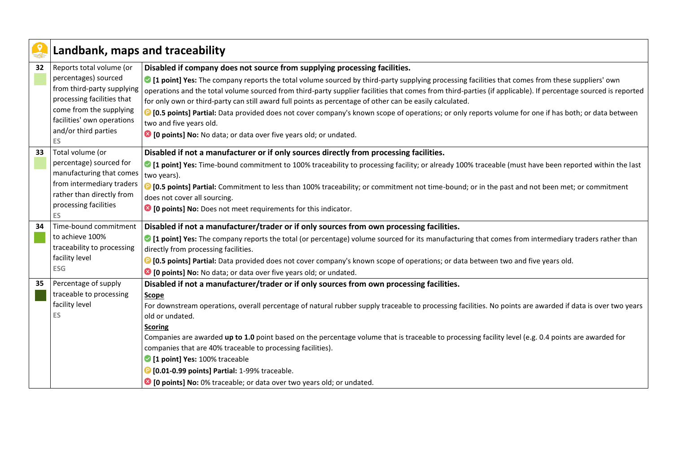|    | Landbank, maps and traceability                                                                                                                                                                            |                                                                                                                                                                                                                                                                                                                                                                                                                                                                                                                                                                                                                                                                                                                                                                                         |
|----|------------------------------------------------------------------------------------------------------------------------------------------------------------------------------------------------------------|-----------------------------------------------------------------------------------------------------------------------------------------------------------------------------------------------------------------------------------------------------------------------------------------------------------------------------------------------------------------------------------------------------------------------------------------------------------------------------------------------------------------------------------------------------------------------------------------------------------------------------------------------------------------------------------------------------------------------------------------------------------------------------------------|
| 32 | Reports total volume (or<br>percentages) sourced<br>from third-party supplying<br>processing facilities that<br>come from the supplying<br>facilities' own operations<br>and/or third parties<br><b>ES</b> | Disabled if company does not source from supplying processing facilities.<br>• [1 point] Yes: The company reports the total volume sourced by third-party supplying processing facilities that comes from these suppliers' own<br>operations and the total volume sourced from third-party supplier facilities that comes from third-parties (if applicable). If percentage sourced is reported<br>for only own or third-party can still award full points as percentage of other can be easily calculated.<br><b>D</b> [0.5 points] Partial: Data provided does not cover company's known scope of operations; or only reports volume for one if has both; or data between<br>two and five years old.<br><sup>3</sup> [0 points] No: No data; or data over five years old; or undated. |
| 33 | Total volume (or<br>percentage) sourced for<br>manufacturing that comes<br>from intermediary traders<br>rather than directly from<br>processing facilities<br><b>ES</b>                                    | Disabled if not a manufacturer or if only sources directly from processing facilities.<br>• [1 point] Yes: Time-bound commitment to 100% traceability to processing facility; or already 100% traceable (must have been reported within the last<br>two years).<br><sup>1</sup> [0.5 points] Partial: Commitment to less than 100% traceability; or commitment not time-bound; or in the past and not been met; or commitment<br>does not cover all sourcing.<br><sup>8</sup> [0 points] No: Does not meet requirements for this indicator.                                                                                                                                                                                                                                             |
| 34 | Time-bound commitment<br>to achieve 100%<br>traceability to processing<br>facility level<br><b>ESG</b>                                                                                                     | Disabled if not a manufacturer/trader or if only sources from own processing facilities.<br>If point] Yes: The company reports the total (or percentage) volume sourced for its manufacturing that comes from intermediary traders rather than<br>directly from processing facilities.<br><b>D</b> [0.5 points] Partial: Data provided does not cover company's known scope of operations; or data between two and five years old.<br><sup>3</sup> [0 points] No: No data; or data over five years old; or undated.                                                                                                                                                                                                                                                                     |
| 35 | Percentage of supply<br>traceable to processing<br>facility level<br><b>ES</b>                                                                                                                             | Disabled if not a manufacturer/trader or if only sources from own processing facilities.<br>Scope<br>For downstream operations, overall percentage of natural rubber supply traceable to processing facilities. No points are awarded if data is over two years<br>old or undated.<br><b>Scoring</b><br>Companies are awarded up to 1.0 point based on the percentage volume that is traceable to processing facility level (e.g. 0.4 points are awarded for<br>companies that are 40% traceable to processing facilities).<br>1 point] Yes: 100% traceable<br><b>D</b> [0.01-0.99 points] Partial: 1-99% traceable.<br><sup>3</sup> [0 points] No: 0% traceable; or data over two years old; or undated.                                                                               |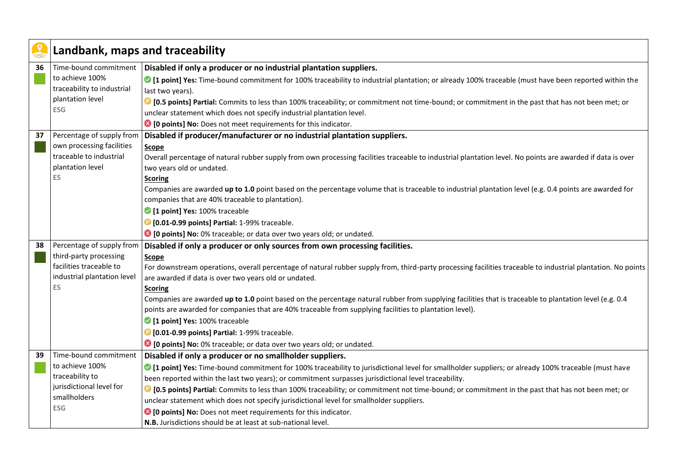|    | Landbank, maps and traceability    |                                                                                                                                                              |
|----|------------------------------------|--------------------------------------------------------------------------------------------------------------------------------------------------------------|
| 36 | Time-bound commitment              | Disabled if only a producer or no industrial plantation suppliers.                                                                                           |
|    | to achieve 100%                    | ○ [1 point] Yes: Time-bound commitment for 100% traceability to industrial plantation; or already 100% traceable (must have been reported within the         |
|    | traceability to industrial         | last two years).                                                                                                                                             |
|    | plantation level                   | <sup>1</sup> [0.5 points] Partial: Commits to less than 100% traceability; or commitment not time-bound; or commitment in the past that has not been met; or |
|    | <b>ESG</b>                         | unclear statement which does not specify industrial plantation level.                                                                                        |
|    |                                    | <sup>8</sup> [0 points] No: Does not meet requirements for this indicator.                                                                                   |
| 37 | Percentage of supply from          | Disabled if producer/manufacturer or no industrial plantation suppliers.                                                                                     |
|    | own processing facilities          | Scope                                                                                                                                                        |
|    | traceable to industrial            | Overall percentage of natural rubber supply from own processing facilities traceable to industrial plantation level. No points are awarded if data is over   |
|    | plantation level                   | two years old or undated.                                                                                                                                    |
|    | ES                                 | <b>Scoring</b>                                                                                                                                               |
|    |                                    | Companies are awarded up to 1.0 point based on the percentage volume that is traceable to industrial plantation level (e.g. 0.4 points are awarded for       |
|    |                                    | companies that are 40% traceable to plantation).                                                                                                             |
|    |                                    | 1 point] Yes: 100% traceable                                                                                                                                 |
|    |                                    | <b>D</b> [0.01-0.99 points] Partial: 1-99% traceable.                                                                                                        |
|    |                                    | <sup>8</sup> [0 points] No: 0% traceable; or data over two years old; or undated.                                                                            |
| 38 | Percentage of supply from          | Disabled if only a producer or only sources from own processing facilities.                                                                                  |
|    | third-party processing             | Scope                                                                                                                                                        |
|    | facilities traceable to            | For downstream operations, overall percentage of natural rubber supply from, third-party processing facilities traceable to industrial plantation. No points |
|    | industrial plantation level        | are awarded if data is over two years old or undated.                                                                                                        |
|    | <b>ES</b>                          | <b>Scoring</b>                                                                                                                                               |
|    |                                    | Companies are awarded up to 1.0 point based on the percentage natural rubber from supplying facilities that is traceable to plantation level (e.g. 0.4       |
|    |                                    | points are awarded for companies that are 40% traceable from supplying facilities to plantation level).                                                      |
|    |                                    | 1 point] Yes: 100% traceable                                                                                                                                 |
|    |                                    | <b>D</b> [0.01-0.99 points] Partial: 1-99% traceable.                                                                                                        |
|    |                                    | <sup>3</sup> [0 points] No: 0% traceable; or data over two years old; or undated.                                                                            |
| 39 | Time-bound commitment              | Disabled if only a producer or no smallholder suppliers.                                                                                                     |
|    | to achieve 100%<br>traceability to | ○ [1 point] Yes: Time-bound commitment for 100% traceability to jurisdictional level for smallholder suppliers; or already 100% traceable (must have         |
|    | jurisdictional level for           | been reported within the last two years); or commitment surpasses jurisdictional level traceability.                                                         |
|    | smallholders                       | <b>D</b> [0.5 points] Partial: Commits to less than 100% traceability; or commitment not time-bound; or commitment in the past that has not been met; or     |
|    | <b>ESG</b>                         | unclear statement which does not specify jurisdictional level for smallholder suppliers.                                                                     |
|    |                                    | <sup>8</sup> [0 points] No: Does not meet requirements for this indicator.                                                                                   |
|    |                                    | N.B. Jurisdictions should be at least at sub-national level.                                                                                                 |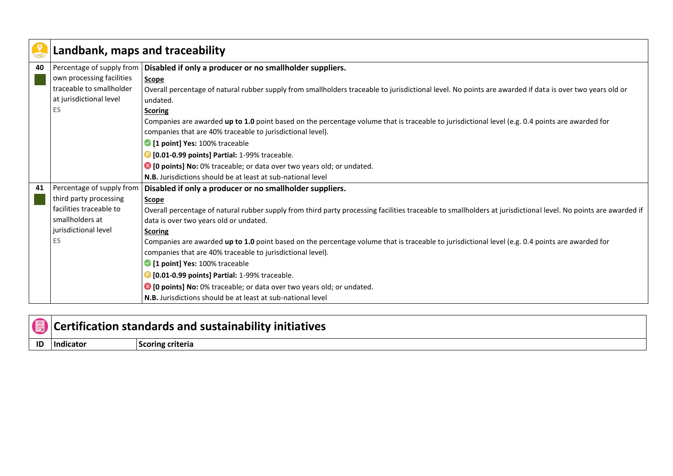|    | Landbank, maps and traceability |                                                                                                                                                                                                                                |
|----|---------------------------------|--------------------------------------------------------------------------------------------------------------------------------------------------------------------------------------------------------------------------------|
| 40 |                                 | Percentage of supply from   Disabled if only a producer or no smallholder suppliers.                                                                                                                                           |
|    | own processing facilities       | Scope                                                                                                                                                                                                                          |
|    | traceable to smallholder        | Overall percentage of natural rubber supply from smallholders traceable to jurisdictional level. No points are awarded if data is over two years old or                                                                        |
|    | at jurisdictional level         | undated.                                                                                                                                                                                                                       |
|    | <b>ES</b>                       | <b>Scoring</b>                                                                                                                                                                                                                 |
|    |                                 | Companies are awarded up to 1.0 point based on the percentage volume that is traceable to jurisdictional level (e.g. 0.4 points are awarded for                                                                                |
|    |                                 | companies that are 40% traceable to jurisdictional level).                                                                                                                                                                     |
|    |                                 | 1 point] Yes: 100% traceable                                                                                                                                                                                                   |
|    |                                 | <b>D</b> [0.01-0.99 points] Partial: 1-99% traceable.                                                                                                                                                                          |
|    |                                 | Collection Departs of the contract of the contract of the contract of the contract of the points of the contract of the points of the points of the points of the points of the points of the points of the points of the poin |
|    |                                 | N.B. Jurisdictions should be at least at sub-national level                                                                                                                                                                    |
| 41 | Percentage of supply from       | Disabled if only a producer or no smallholder suppliers.                                                                                                                                                                       |
|    | third party processing          | <b>Scope</b>                                                                                                                                                                                                                   |
|    | facilities traceable to         | Overall percentage of natural rubber supply from third party processing facilities traceable to smallholders at jurisdictional level. No points are awarded if                                                                 |
|    | smallholders at                 | data is over two years old or undated.                                                                                                                                                                                         |
|    | jurisdictional level            | <b>Scoring</b>                                                                                                                                                                                                                 |
|    | ES                              | Companies are awarded up to 1.0 point based on the percentage volume that is traceable to jurisdictional level (e.g. 0.4 points are awarded for                                                                                |
|    |                                 | companies that are 40% traceable to jurisdictional level).                                                                                                                                                                     |
|    |                                 | 1 point] Yes: 100% traceable                                                                                                                                                                                                   |
|    |                                 | <b>D</b> [0.01-0.99 points] Partial: 1-99% traceable.                                                                                                                                                                          |
|    |                                 | <b>◎</b> [0 points] No: 0% traceable; or data over two years old; or undated.                                                                                                                                                  |
|    |                                 | N.B. Jurisdictions should be at least at sub-national level                                                                                                                                                                    |

|    | <b>I</b> Certification standards and sustainability initiatives |                  |
|----|-----------------------------------------------------------------|------------------|
| ID | l Indicatoi                                                     | Scoring criteria |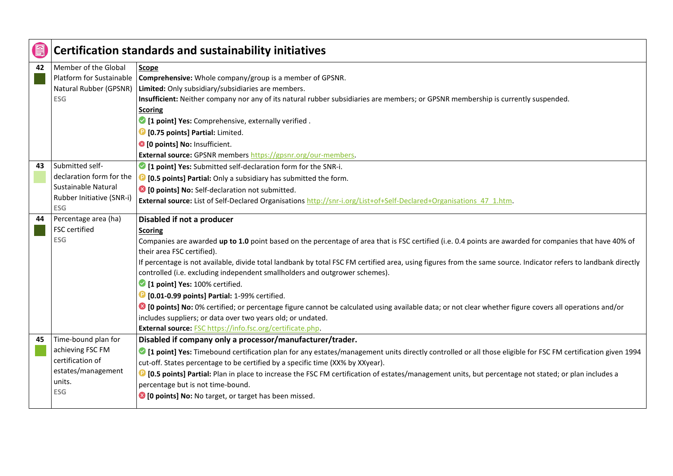| E  |                                                                                                               | <b>Certification standards and sustainability initiatives</b>                                                                                                                                                                                                                                                                                                                                                                                                                                                                                                                                                                                                                                                                                                                                                                                                                        |
|----|---------------------------------------------------------------------------------------------------------------|--------------------------------------------------------------------------------------------------------------------------------------------------------------------------------------------------------------------------------------------------------------------------------------------------------------------------------------------------------------------------------------------------------------------------------------------------------------------------------------------------------------------------------------------------------------------------------------------------------------------------------------------------------------------------------------------------------------------------------------------------------------------------------------------------------------------------------------------------------------------------------------|
| 42 | Member of the Global<br>Platform for Sustainable<br>Natural Rubber (GPSNR)<br><b>ESG</b>                      | <b>Scope</b><br>Comprehensive: Whole company/group is a member of GPSNR.<br>Limited: Only subsidiary/subsidiaries are members.<br>Insufficient: Neither company nor any of its natural rubber subsidiaries are members; or GPSNR membership is currently suspended.<br><b>Scoring</b>                                                                                                                                                                                                                                                                                                                                                                                                                                                                                                                                                                                                |
|    |                                                                                                               | <sup>2</sup> [1 point] Yes: Comprehensive, externally verified.<br><b>D</b> [0.75 points] Partial: Limited.<br><sup>3</sup> [0 points] No: Insufficient.<br>External source: GPSNR members https://gpsnr.org/our-members.                                                                                                                                                                                                                                                                                                                                                                                                                                                                                                                                                                                                                                                            |
| 43 | Submitted self-<br>declaration form for the<br>Sustainable Natural<br>Rubber Initiative (SNR-i)<br><b>ESG</b> | <sup>2</sup> [1 point] Yes: Submitted self-declaration form for the SNR-i.<br><b>D</b> [0.5 points] Partial: Only a subsidiary has submitted the form.<br><sup>3</sup> [O points] No: Self-declaration not submitted.<br>External source: List of Self-Declared Organisations http://snr-i.org/List+of+Self-Declared+Organisations 47 1.htm.                                                                                                                                                                                                                                                                                                                                                                                                                                                                                                                                         |
| 44 | Percentage area (ha)<br>FSC certified<br><b>ESG</b>                                                           | Disabled if not a producer<br><b>Scoring</b><br>Companies are awarded up to 1.0 point based on the percentage of area that is FSC certified (i.e. 0.4 points are awarded for companies that have 40% of<br>their area FSC certified).<br>If percentage is not available, divide total landbank by total FSC FM certified area, using figures from the same source. Indicator refers to landbank directly<br>controlled (i.e. excluding independent smallholders and outgrower schemes).<br>1 point] Yes: 100% certified.<br><b>D</b> [0.01-0.99 points] Partial: 1-99% certified.<br><sup>8</sup> [0 points] No: 0% certified; or percentage figure cannot be calculated using available data; or not clear whether figure covers all operations and/or<br>includes suppliers; or data over two years old; or undated.<br>External source: FSC https://info.fsc.org/certificate.php. |
| 45 | Time-bound plan for<br>achieving FSC FM<br>certification of<br>estates/management<br>units.<br>ESG            | Disabled if company only a processor/manufacturer/trader.<br>• [1 point] Yes: Timebound certification plan for any estates/management units directly controlled or all those eligible for FSC FM certification given 1994<br>cut-off. States percentage to be certified by a specific time (XX% by XXyear).<br><sup>1</sup> [0.5 points] Partial: Plan in place to increase the FSC FM certification of estates/management units, but percentage not stated; or plan includes a<br>percentage but is not time-bound.<br><sup>8</sup> [0 points] No: No target, or target has been missed.                                                                                                                                                                                                                                                                                            |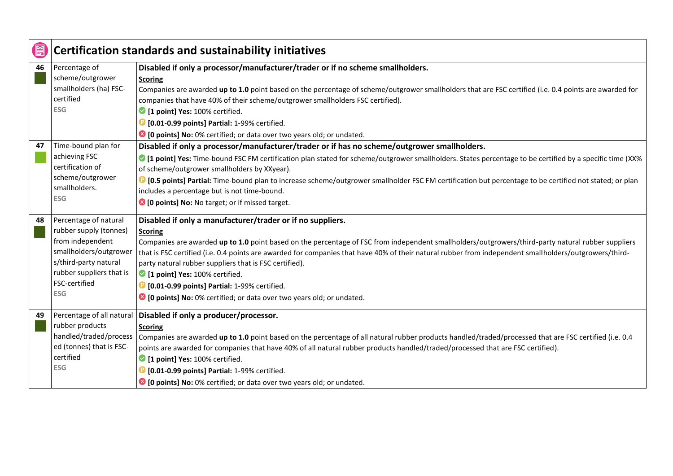|    |                                                                                                                                                                                   | <b>Certification standards and sustainability initiatives</b>                                                                                                                                                                                                                                                                                                                                                                                                                                                                                                                                                                  |
|----|-----------------------------------------------------------------------------------------------------------------------------------------------------------------------------------|--------------------------------------------------------------------------------------------------------------------------------------------------------------------------------------------------------------------------------------------------------------------------------------------------------------------------------------------------------------------------------------------------------------------------------------------------------------------------------------------------------------------------------------------------------------------------------------------------------------------------------|
| 46 | Percentage of<br>scheme/outgrower<br>smallholders (ha) FSC-<br>certified<br><b>ESG</b>                                                                                            | Disabled if only a processor/manufacturer/trader or if no scheme smallholders.<br><b>Scoring</b><br>Companies are awarded up to 1.0 point based on the percentage of scheme/outgrower smallholders that are FSC certified (i.e. 0.4 points are awarded for<br>companies that have 40% of their scheme/outgrower smallholders FSC certified).<br>1 point] Yes: 100% certified.<br><b>D</b> [0.01-0.99 points] Partial: 1-99% certified.<br><sup>3</sup> [0 points] No: 0% certified; or data over two years old; or undated.                                                                                                    |
| 47 | Time-bound plan for<br>achieving FSC<br>certification of<br>scheme/outgrower<br>smallholders.<br><b>ESG</b>                                                                       | Disabled if only a processor/manufacturer/trader or if has no scheme/outgrower smallholders.<br>• [1 point] Yes: Time-bound FSC FM certification plan stated for scheme/outgrower smallholders. States percentage to be certified by a specific time (XX%<br>of scheme/outgrower smallholders by XXyear).<br><b>D</b> [0.5 points] Partial: Time-bound plan to increase scheme/outgrower smallholder FSC FM certification but percentage to be certified not stated; or plan<br>includes a percentage but is not time-bound.<br><sup>3</sup> [0 points] No: No target; or if missed target.                                    |
| 48 | Percentage of natural<br>rubber supply (tonnes)<br>from independent<br>smallholders/outgrower<br>s/third-party natural<br>rubber suppliers that is<br>FSC-certified<br><b>ESG</b> | Disabled if only a manufacturer/trader or if no suppliers.<br>Scoring<br>Companies are awarded up to 1.0 point based on the percentage of FSC from independent smallholders/outgrowers/third-party natural rubber suppliers<br>that is FSC certified (i.e. 0.4 points are awarded for companies that have 40% of their natural rubber from independent smallholders/outgrowers/third-<br>party natural rubber suppliers that is FSC certified).<br>1 point] Yes: 100% certified.<br><b>D</b> [0.01-0.99 points] Partial: 1-99% certified.<br><sup>8</sup> [0 points] No: 0% certified; or data over two years old; or undated. |
| 49 | rubber products<br>handled/traded/process<br>ed (tonnes) that is FSC-<br>certified<br><b>ESG</b>                                                                                  | Percentage of all natural   Disabled if only a producer/processor.<br><b>Scoring</b><br>Companies are awarded up to 1.0 point based on the percentage of all natural rubber products handled/traded/processed that are FSC certified (i.e. 0.4<br>points are awarded for companies that have 40% of all natural rubber products handled/traded/processed that are FSC certified).<br>1 point] Yes: 100% certified.<br><b>D</b> [0.01-0.99 points] Partial: 1-99% certified.<br><sup>3</sup> [0 points] No: 0% certified; or data over two years old; or undated.                                                               |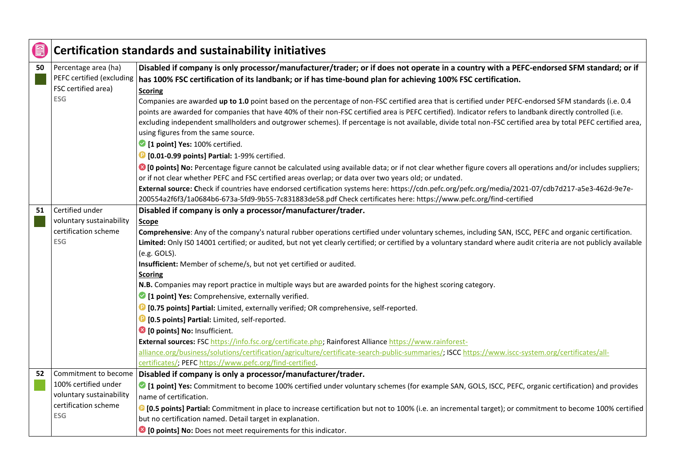| (g |                                                                                        | <b>Certification standards and sustainability initiatives</b>                                                                                                                                                                                                                                                                                                                                                                                                                                                                                                                                                                                                                                                                                                                                                                                                                                                                                                                                                                                                                                                                                                                                                                   |
|----|----------------------------------------------------------------------------------------|---------------------------------------------------------------------------------------------------------------------------------------------------------------------------------------------------------------------------------------------------------------------------------------------------------------------------------------------------------------------------------------------------------------------------------------------------------------------------------------------------------------------------------------------------------------------------------------------------------------------------------------------------------------------------------------------------------------------------------------------------------------------------------------------------------------------------------------------------------------------------------------------------------------------------------------------------------------------------------------------------------------------------------------------------------------------------------------------------------------------------------------------------------------------------------------------------------------------------------|
| 50 | Percentage area (ha)<br>FSC certified area)<br><b>ESG</b>                              | Disabled if company is only processor/manufacturer/trader; or if does not operate in a country with a PEFC-endorsed SFM standard; or if<br>PEFC certified (excluding   has 100% FSC certification of its landbank; or if has time-bound plan for achieving 100% FSC certification.<br><b>Scoring</b><br>Companies are awarded up to 1.0 point based on the percentage of non-FSC certified area that is certified under PEFC-endorsed SFM standards (i.e. 0.4<br>points are awarded for companies that have 40% of their non-FSC certified area is PEFC certified). Indicator refers to landbank directly controlled (i.e.                                                                                                                                                                                                                                                                                                                                                                                                                                                                                                                                                                                                      |
|    |                                                                                        | excluding independent smallholders and outgrower schemes). If percentage is not available, divide total non-FSC certified area by total PEFC certified area,<br>using figures from the same source.<br>1 point] Yes: 100% certified.<br><b>D</b> [0.01-0.99 points] Partial: 1-99% certified.                                                                                                                                                                                                                                                                                                                                                                                                                                                                                                                                                                                                                                                                                                                                                                                                                                                                                                                                   |
|    |                                                                                        | • [O points] No: Percentage figure cannot be calculated using available data; or if not clear whether figure covers all operations and/or includes suppliers;<br>or if not clear whether PEFC and FSC certified areas overlap; or data over two years old; or undated.<br>External source: Check if countries have endorsed certification systems here: https://cdn.pefc.org/pefc.org/media/2021-07/cdb7d217-a5e3-462d-9e7e-<br>200554a2f6f3/1a0684b6-673a-5fd9-9b55-7c831883de58.pdf Check certificates here: https://www.pefc.org/find-certified                                                                                                                                                                                                                                                                                                                                                                                                                                                                                                                                                                                                                                                                              |
| 51 | Certified under<br>voluntary sustainability<br>certification scheme<br><b>ESG</b>      | Disabled if company is only a processor/manufacturer/trader.<br>Scope<br>Comprehensive: Any of the company's natural rubber operations certified under voluntary schemes, including SAN, ISCC, PEFC and organic certification.<br>Limited: Only ISO 14001 certified; or audited, but not yet clearly certified; or certified by a voluntary standard where audit criteria are not publicly available<br>(e.g. GOLS).<br>Insufficient: Member of scheme/s, but not yet certified or audited.<br><b>Scoring</b><br>N.B. Companies may report practice in multiple ways but are awarded points for the highest scoring category.<br>1 [1 point] Yes: Comprehensive, externally verified.<br><sup>1</sup> [0.75 points] Partial: Limited, externally verified; OR comprehensive, self-reported.<br><b>D</b> [0.5 points] Partial: Limited, self-reported.<br><sup>8</sup> [0 points] No: Insufficient.<br>External sources: FSC https://info.fsc.org/certificate.php; Rainforest Alliance https://www.rainforest-<br>alliance.org/business/solutions/certification/agriculture/certificate-search-public-summaries/; ISCC https://www.iscc-system.org/certificates/all-<br>certificates/; PEFC https://www.pefc.org/find-certified. |
| 52 | 100% certified under<br>voluntary sustainability<br>certification scheme<br><b>ESG</b> | Commitment to become Disabled if company is only a processor/manufacturer/trader.<br>○ [1 point] Yes: Commitment to become 100% certified under voluntary schemes (for example SAN, GOLS, ISCC, PEFC, organic certification) and provides<br>name of certification.<br><sup>1</sup> [0.5 points] Partial: Commitment in place to increase certification but not to 100% (i.e. an incremental target); or commitment to become 100% certified<br>but no certification named. Detail target in explanation.<br><sup>3</sup> [0 points] No: Does not meet requirements for this indicator.                                                                                                                                                                                                                                                                                                                                                                                                                                                                                                                                                                                                                                         |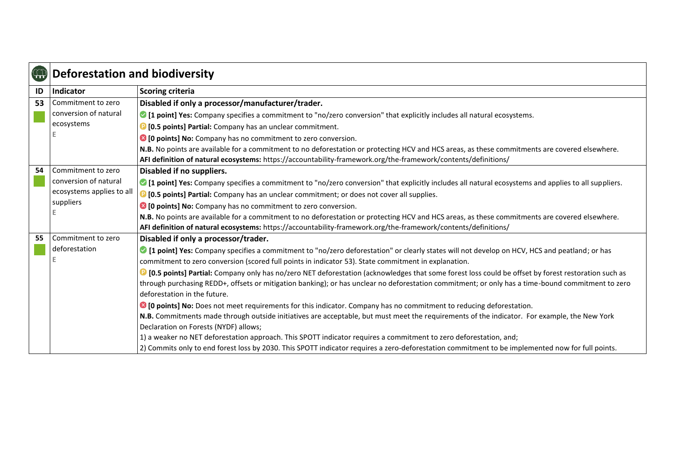| $\bigoplus$ | <b>Deforestation and biodiversity</b> |                                                                                                                                                                                                                                                        |
|-------------|---------------------------------------|--------------------------------------------------------------------------------------------------------------------------------------------------------------------------------------------------------------------------------------------------------|
| ID          | Indicator                             | Scoring criteria                                                                                                                                                                                                                                       |
| 53          | Commitment to zero                    | Disabled if only a processor/manufacturer/trader.                                                                                                                                                                                                      |
|             | conversion of natural                 | • [1 point] Yes: Company specifies a commitment to "no/zero conversion" that explicitly includes all natural ecosystems.                                                                                                                               |
|             | ecosystems                            | <sup>1</sup> [0.5 points] Partial: Company has an unclear commitment.                                                                                                                                                                                  |
|             |                                       | <sup>8</sup> [0 points] No: Company has no commitment to zero conversion.                                                                                                                                                                              |
|             |                                       | N.B. No points are available for a commitment to no deforestation or protecting HCV and HCS areas, as these commitments are covered elsewhere.                                                                                                         |
|             |                                       | AFI definition of natural ecosystems: https://accountability-framework.org/the-framework/contents/definitions/                                                                                                                                         |
| 54          | Commitment to zero                    | Disabled if no suppliers.                                                                                                                                                                                                                              |
|             | conversion of natural                 | • [1 point] Yes: Company specifies a commitment to "no/zero conversion" that explicitly includes all natural ecosystems and applies to all suppliers.                                                                                                  |
|             | ecosystems applies to all             | <sup>1</sup> [0.5 points] Partial: Company has an unclear commitment; or does not cover all supplies.                                                                                                                                                  |
|             | suppliers                             | <sup>8</sup> [0 points] No: Company has no commitment to zero conversion.                                                                                                                                                                              |
|             |                                       | N.B. No points are available for a commitment to no deforestation or protecting HCV and HCS areas, as these commitments are covered elsewhere.                                                                                                         |
|             |                                       | AFI definition of natural ecosystems: https://accountability-framework.org/the-framework/contents/definitions/                                                                                                                                         |
| 55          | Commitment to zero                    | Disabled if only a processor/trader.                                                                                                                                                                                                                   |
|             | deforestation                         | • [1 point] Yes: Company specifies a commitment to "no/zero deforestation" or clearly states will not develop on HCV, HCS and peatland; or has<br>commitment to zero conversion (scored full points in indicator 53). State commitment in explanation. |
|             |                                       | <sup>1</sup> [0.5 points] Partial: Company only has no/zero NET deforestation (acknowledges that some forest loss could be offset by forest restoration such as                                                                                        |
|             |                                       | through purchasing REDD+, offsets or mitigation banking); or has unclear no deforestation commitment; or only has a time-bound commitment to zero                                                                                                      |
|             |                                       | deforestation in the future.                                                                                                                                                                                                                           |
|             |                                       | ◎ [0 points] No: Does not meet requirements for this indicator. Company has no commitment to reducing deforestation.                                                                                                                                   |
|             |                                       | N.B. Commitments made through outside initiatives are acceptable, but must meet the requirements of the indicator. For example, the New York                                                                                                           |
|             |                                       | Declaration on Forests (NYDF) allows;                                                                                                                                                                                                                  |
|             |                                       | 1) a weaker no NET deforestation approach. This SPOTT indicator requires a commitment to zero deforestation, and;                                                                                                                                      |
|             |                                       | 2) Commits only to end forest loss by 2030. This SPOTT indicator requires a zero-deforestation commitment to be implemented now for full points.                                                                                                       |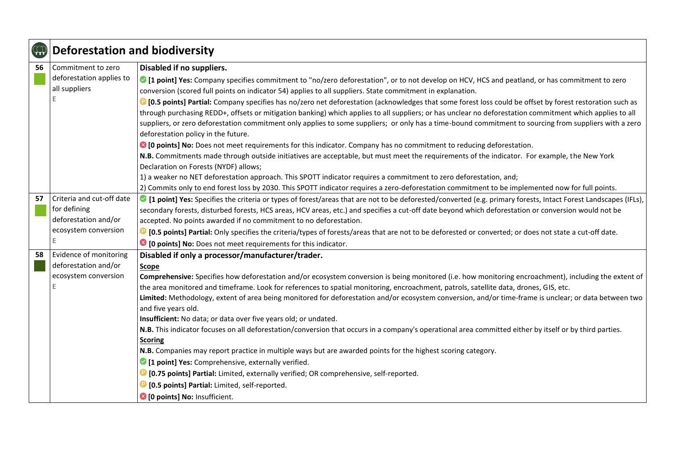| <b>992</b> | <b>Deforestation and biodiversity</b> |                                                                                                                                                                              |
|------------|---------------------------------------|------------------------------------------------------------------------------------------------------------------------------------------------------------------------------|
| 56         | Commitment to zero                    | Disabled if no suppliers.                                                                                                                                                    |
|            | deforestation applies to              | If point] Yes: Company specifies commitment to "no/zero deforestation", or to not develop on HCV, HCS and peatland, or has commitment to zero                                |
|            | all suppliers                         | conversion (scored full points on indicator 54) applies to all suppliers. State commitment in explanation.                                                                   |
|            |                                       | <sup>1</sup> [0.5 points] Partial: Company specifies has no/zero net deforestation (acknowledges that some forest loss could be offset by forest restoration such as         |
|            |                                       | through purchasing REDD+, offsets or mitigation banking) which applies to all suppliers; or has unclear no deforestation commitment which applies to all                     |
|            |                                       | suppliers, or zero deforestation commitment only applies to some suppliers; or only has a time-bound commitment to sourcing from suppliers with a zero                       |
|            |                                       | deforestation policy in the future.                                                                                                                                          |
|            |                                       | C [O points] No: Does not meet requirements for this indicator. Company has no commitment to reducing deforestation.                                                         |
|            |                                       | N.B. Commitments made through outside initiatives are acceptable, but must meet the requirements of the indicator. For example, the New York                                 |
|            |                                       | Declaration on Forests (NYDF) allows;                                                                                                                                        |
|            |                                       | 1) a weaker no NET deforestation approach. This SPOTT indicator requires a commitment to zero deforestation, and;                                                            |
|            |                                       | 2) Commits only to end forest loss by 2030. This SPOTT indicator requires a zero-deforestation commitment to be implemented now for full points.                             |
| 57         | Criteria and cut-off date             | • [1 point] Yes: Specifies the criteria or types of forest/areas that are not to be deforested/converted (e.g. primary forests, Intact Forest Landscapes (IFLs),             |
|            | for defining<br>deforestation and/or  | secondary forests, disturbed forests, HCS areas, HCV areas, etc.) and specifies a cut-off date beyond which deforestation or conversion would not be                         |
|            | ecosystem conversion                  | accepted. No points awarded if no commitment to no deforestation.                                                                                                            |
|            |                                       | <sup>1</sup> [0.5 points] Partial: Only specifies the criteria/types of forests/areas that are not to be deforested or converted; or does not state a cut-off date.          |
|            |                                       | <sup>3</sup> [0 points] No: Does not meet requirements for this indicator.                                                                                                   |
| 58         | Evidence of monitoring                | Disabled if only a processor/manufacturer/trader.                                                                                                                            |
|            | deforestation and/or                  | Scope                                                                                                                                                                        |
|            | ecosystem conversion                  | Comprehensive: Specifies how deforestation and/or ecosystem conversion is being monitored (i.e. how monitoring encroachment), including the extent of                        |
|            |                                       | the area monitored and timeframe. Look for references to spatial monitoring, encroachment, patrols, satellite data, drones, GIS, etc.                                        |
|            |                                       | Limited: Methodology, extent of area being monitored for deforestation and/or ecosystem conversion, and/or time-frame is unclear; or data between two<br>and five years old. |
|            |                                       | Insufficient: No data; or data over five years old; or undated.                                                                                                              |
|            |                                       | N.B. This indicator focuses on all deforestation/conversion that occurs in a company's operational area committed either by itself or by third parties.                      |
|            |                                       | <b>Scoring</b>                                                                                                                                                               |
|            |                                       | N.B. Companies may report practice in multiple ways but are awarded points for the highest scoring category.                                                                 |
|            |                                       | 1 [1 point] Yes: Comprehensive, externally verified.                                                                                                                         |
|            |                                       | <sup>1</sup> [0.75 points] Partial: Limited, externally verified; OR comprehensive, self-reported.                                                                           |
|            |                                       | <sup>1</sup> [0.5 points] Partial: Limited, self-reported.                                                                                                                   |
|            |                                       | 8 [0 points] No: Insufficient.                                                                                                                                               |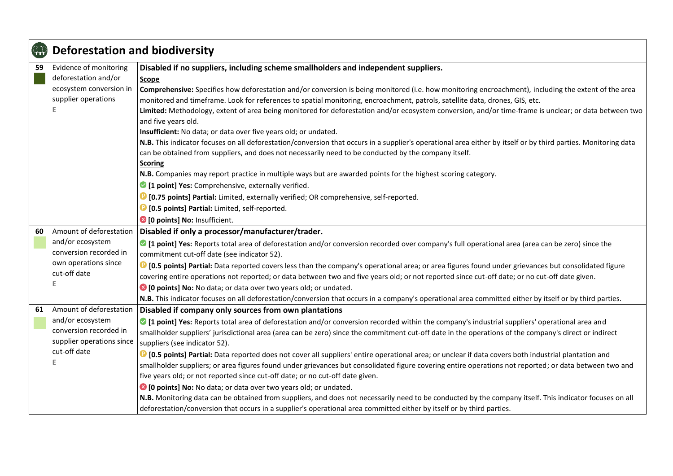| $\bigoplus$ | <b>Deforestation and biodiversity</b> |                                                                                                                                                                              |
|-------------|---------------------------------------|------------------------------------------------------------------------------------------------------------------------------------------------------------------------------|
| 59          | Evidence of monitoring                | Disabled if no suppliers, including scheme smallholders and independent suppliers.                                                                                           |
|             | deforestation and/or                  | Scope                                                                                                                                                                        |
|             | ecosystem conversion in               | Comprehensive: Specifies how deforestation and/or conversion is being monitored (i.e. how monitoring encroachment), including the extent of the area                         |
|             | supplier operations                   | monitored and timeframe. Look for references to spatial monitoring, encroachment, patrols, satellite data, drones, GIS, etc.                                                 |
|             |                                       | Limited: Methodology, extent of area being monitored for deforestation and/or ecosystem conversion, and/or time-frame is unclear; or data between two<br>and five years old. |
|             |                                       | Insufficient: No data; or data over five years old; or undated.                                                                                                              |
|             |                                       | N.B. This indicator focuses on all deforestation/conversion that occurs in a supplier's operational area either by itself or by third parties. Monitoring data               |
|             |                                       | can be obtained from suppliers, and does not necessarily need to be conducted by the company itself.                                                                         |
|             |                                       | <b>Scoring</b>                                                                                                                                                               |
|             |                                       | N.B. Companies may report practice in multiple ways but are awarded points for the highest scoring category.                                                                 |
|             |                                       | 1 [1 point] Yes: Comprehensive, externally verified.                                                                                                                         |
|             |                                       | <sup>1</sup> [0.75 points] Partial: Limited, externally verified; OR comprehensive, self-reported.                                                                           |
|             |                                       | <b>D</b> [0.5 points] Partial: Limited, self-reported.                                                                                                                       |
|             |                                       | 8 [0 points] No: Insufficient.                                                                                                                                               |
| 60          | Amount of deforestation               | Disabled if only a processor/manufacturer/trader.                                                                                                                            |
|             | and/or ecosystem                      | • [1 point] Yes: Reports total area of deforestation and/or conversion recorded over company's full operational area (area can be zero) since the                            |
|             | conversion recorded in                | commitment cut-off date (see indicator 52).                                                                                                                                  |
|             | own operations since                  | 19 [0.5 points] Partial: Data reported covers less than the company's operational area; or area figures found under grievances but consolidated figure                       |
|             | cut-off date                          | covering entire operations not reported; or data between two and five years old; or not reported since cut-off date; or no cut-off date given.                               |
|             | E                                     | <sup>8</sup> [0 points] No: No data; or data over two years old; or undated.                                                                                                 |
|             |                                       | N.B. This indicator focuses on all deforestation/conversion that occurs in a company's operational area committed either by itself or by third parties.                      |
| 61          | Amount of deforestation               | Disabled if company only sources from own plantations                                                                                                                        |
|             | and/or ecosystem                      | • [1 point] Yes: Reports total area of deforestation and/or conversion recorded within the company's industrial suppliers' operational area and                              |
|             | conversion recorded in                | smallholder suppliers' jurisdictional area (area can be zero) since the commitment cut-off date in the operations of the company's direct or indirect                        |
|             | supplier operations since             | suppliers (see indicator 52).                                                                                                                                                |
|             | cut-off date                          | <b>D</b> [0.5 points] Partial: Data reported does not cover all suppliers' entire operational area; or unclear if data covers both industrial plantation and                 |
|             |                                       | smallholder suppliers; or area figures found under grievances but consolidated figure covering entire operations not reported; or data between two and                       |
|             |                                       | five years old; or not reported since cut-off date; or no cut-off date given.                                                                                                |
|             |                                       | <sup>8</sup> [0 points] No: No data; or data over two years old; or undated.                                                                                                 |
|             |                                       | N.B. Monitoring data can be obtained from suppliers, and does not necessarily need to be conducted by the company itself. This indicator focuses on all                      |
|             |                                       | deforestation/conversion that occurs in a supplier's operational area committed either by itself or by third parties.                                                        |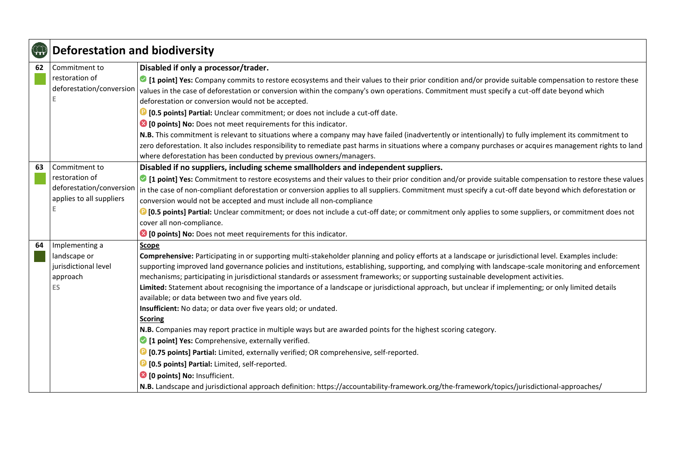| $\bigoplus$ | <b>Deforestation and biodiversity</b>                                                        |                                                                                                                                                                                                                                                                                                                                                                                                                                                                                                                                                                                                                                                                                                                                                                                                                                                                                                                                                                                                                                                                                                                                                                                                                                                                                                     |
|-------------|----------------------------------------------------------------------------------------------|-----------------------------------------------------------------------------------------------------------------------------------------------------------------------------------------------------------------------------------------------------------------------------------------------------------------------------------------------------------------------------------------------------------------------------------------------------------------------------------------------------------------------------------------------------------------------------------------------------------------------------------------------------------------------------------------------------------------------------------------------------------------------------------------------------------------------------------------------------------------------------------------------------------------------------------------------------------------------------------------------------------------------------------------------------------------------------------------------------------------------------------------------------------------------------------------------------------------------------------------------------------------------------------------------------|
| 62          | Commitment to<br>restoration of<br>deforestation/conversion                                  | Disabled if only a processor/trader.<br>I point] Yes: Company commits to restore ecosystems and their values to their prior condition and/or provide suitable compensation to restore these<br>values in the case of deforestation or conversion within the company's own operations. Commitment must specify a cut-off date beyond which<br>deforestation or conversion would not be accepted.<br><sup>1</sup> [0.5 points] Partial: Unclear commitment; or does not include a cut-off date.<br><sup>3</sup> [0 points] No: Does not meet requirements for this indicator.<br>N.B. This commitment is relevant to situations where a company may have failed (inadvertently or intentionally) to fully implement its commitment to<br>zero deforestation. It also includes responsibility to remediate past harms in situations where a company purchases or acquires management rights to land<br>where deforestation has been conducted by previous owners/managers.                                                                                                                                                                                                                                                                                                                             |
| 63          | Commitment to<br>restoration of<br>deforestation/conversion<br>applies to all suppliers<br>E | Disabled if no suppliers, including scheme smallholders and independent suppliers.<br>I point] Yes: Commitment to restore ecosystems and their values to their prior condition and/or provide suitable compensation to restore these values<br>in the case of non-compliant deforestation or conversion applies to all suppliers. Commitment must specify a cut-off date beyond which deforestation or<br>conversion would not be accepted and must include all non-compliance<br><sup>1</sup> [0.5 points] Partial: Unclear commitment; or does not include a cut-off date; or commitment only applies to some suppliers, or commitment does not<br>cover all non-compliance.<br><sup>8</sup> [0 points] No: Does not meet requirements for this indicator.                                                                                                                                                                                                                                                                                                                                                                                                                                                                                                                                        |
| 64          | Implementing a<br>landscape or<br>jurisdictional level<br>approach<br><b>ES</b>              | <b>Scope</b><br>Comprehensive: Participating in or supporting multi-stakeholder planning and policy efforts at a landscape or jurisdictional level. Examples include:<br>supporting improved land governance policies and institutions, establishing, supporting, and complying with landscape-scale monitoring and enforcement<br>mechanisms; participating in jurisdictional standards or assessment frameworks; or supporting sustainable development activities.<br>Limited: Statement about recognising the importance of a landscape or jurisdictional approach, but unclear if implementing; or only limited details<br>available; or data between two and five years old.<br>Insufficient: No data; or data over five years old; or undated.<br>Scoring<br>N.B. Companies may report practice in multiple ways but are awarded points for the highest scoring category.<br>1 [1 point] Yes: Comprehensive, externally verified.<br><sup>1</sup> [0.75 points] Partial: Limited, externally verified; OR comprehensive, self-reported.<br><b>D</b> [0.5 points] Partial: Limited, self-reported.<br><sup>8</sup> [0 points] No: Insufficient.<br>N.B. Landscape and jurisdictional approach definition: https://accountability-framework.org/the-framework/topics/jurisdictional-approaches/ |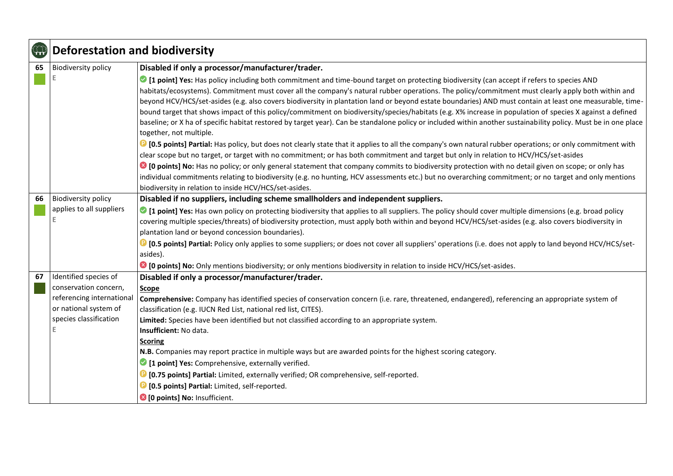| <b>400</b> | <b>Deforestation and biodiversity</b>                                                                      |                                                                                                                                                                                                                                                                                                                                                                                                                                                                                                                                                                                                                                                                                                                                                                                                                                                                                                                                                                                                                                                                                                                                                                                                                                                                                                                                                                                                                                                                                                              |
|------------|------------------------------------------------------------------------------------------------------------|--------------------------------------------------------------------------------------------------------------------------------------------------------------------------------------------------------------------------------------------------------------------------------------------------------------------------------------------------------------------------------------------------------------------------------------------------------------------------------------------------------------------------------------------------------------------------------------------------------------------------------------------------------------------------------------------------------------------------------------------------------------------------------------------------------------------------------------------------------------------------------------------------------------------------------------------------------------------------------------------------------------------------------------------------------------------------------------------------------------------------------------------------------------------------------------------------------------------------------------------------------------------------------------------------------------------------------------------------------------------------------------------------------------------------------------------------------------------------------------------------------------|
| 65         | <b>Biodiversity policy</b>                                                                                 | Disabled if only a processor/manufacturer/trader.                                                                                                                                                                                                                                                                                                                                                                                                                                                                                                                                                                                                                                                                                                                                                                                                                                                                                                                                                                                                                                                                                                                                                                                                                                                                                                                                                                                                                                                            |
|            |                                                                                                            | I point] Yes: Has policy including both commitment and time-bound target on protecting biodiversity (can accept if refers to species AND<br>habitats/ecosystems). Commitment must cover all the company's natural rubber operations. The policy/commitment must clearly apply both within and<br>beyond HCV/HCS/set-asides (e.g. also covers biodiversity in plantation land or beyond estate boundaries) AND must contain at least one measurable, time-<br>bound target that shows impact of this policy/commitment on biodiversity/species/habitats (e.g. X% increase in population of species X against a defined<br>baseline; or X ha of specific habitat restored by target year). Can be standalone policy or included within another sustainability policy. Must be in one place<br>together, not multiple.<br><b>D</b> [0.5 points] Partial: Has policy, but does not clearly state that it applies to all the company's own natural rubber operations; or only commitment with<br>clear scope but no target, or target with no commitment; or has both commitment and target but only in relation to HCV/HCS/set-asides<br>C [O points] No: Has no policy; or only general statement that company commits to biodiversity protection with no detail given on scope; or only has<br>individual commitments relating to biodiversity (e.g. no hunting, HCV assessments etc.) but no overarching commitment; or no target and only mentions<br>biodiversity in relation to inside HCV/HCS/set-asides. |
| 66         | <b>Biodiversity policy</b>                                                                                 | Disabled if no suppliers, including scheme smallholders and independent suppliers.                                                                                                                                                                                                                                                                                                                                                                                                                                                                                                                                                                                                                                                                                                                                                                                                                                                                                                                                                                                                                                                                                                                                                                                                                                                                                                                                                                                                                           |
|            | applies to all suppliers<br>Е                                                                              | • [1 point] Yes: Has own policy on protecting biodiversity that applies to all suppliers. The policy should cover multiple dimensions (e.g. broad policy<br>covering multiple species/threats) of biodiversity protection, must apply both within and beyond HCV/HCS/set-asides (e.g. also covers biodiversity in<br>plantation land or beyond concession boundaries).<br><b>D</b> [0.5 points] Partial: Policy only applies to some suppliers; or does not cover all suppliers' operations (i.e. does not apply to land beyond HCV/HCS/set-<br>asides).<br>C [O points] No: Only mentions biodiversity; or only mentions biodiversity in relation to inside HCV/HCS/set-asides.                                                                                                                                                                                                                                                                                                                                                                                                                                                                                                                                                                                                                                                                                                                                                                                                                             |
| 67         | Identified species of                                                                                      | Disabled if only a processor/manufacturer/trader.                                                                                                                                                                                                                                                                                                                                                                                                                                                                                                                                                                                                                                                                                                                                                                                                                                                                                                                                                                                                                                                                                                                                                                                                                                                                                                                                                                                                                                                            |
|            | conservation concern,<br>referencing international<br>or national system of<br>species classification<br>E | <b>Scope</b><br>Comprehensive: Company has identified species of conservation concern (i.e. rare, threatened, endangered), referencing an appropriate system of<br>classification (e.g. IUCN Red List, national red list, CITES).<br>Limited: Species have been identified but not classified according to an appropriate system.<br>Insufficient: No data.<br><b>Scoring</b><br>N.B. Companies may report practice in multiple ways but are awarded points for the highest scoring category.<br><sup>2</sup> [1 point] Yes: Comprehensive, externally verified.<br><b>D</b> [0.75 points] Partial: Limited, externally verified; OR comprehensive, self-reported.<br><b>D</b> [0.5 points] Partial: Limited, self-reported.<br>10 points] No: Insufficient.                                                                                                                                                                                                                                                                                                                                                                                                                                                                                                                                                                                                                                                                                                                                                 |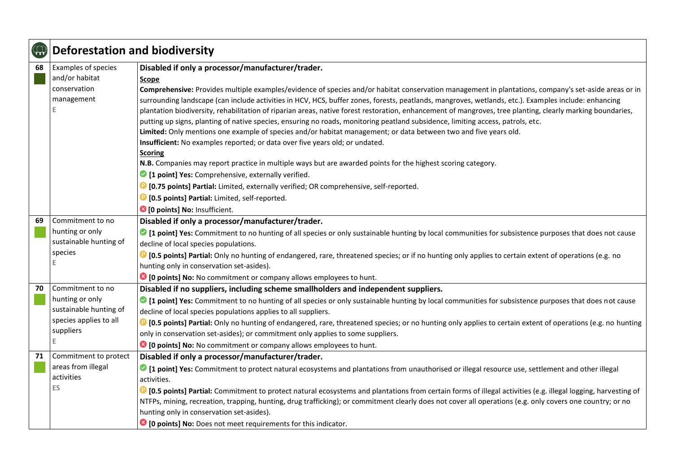| $\bigoplus$ | <b>Deforestation and biodiversity</b> |                                                                                                                                                                           |
|-------------|---------------------------------------|---------------------------------------------------------------------------------------------------------------------------------------------------------------------------|
| 68          | Examples of species                   | Disabled if only a processor/manufacturer/trader.                                                                                                                         |
|             | and/or habitat                        | Scope                                                                                                                                                                     |
|             | conservation                          | Comprehensive: Provides multiple examples/evidence of species and/or habitat conservation management in plantations, company's set-aside areas or in                      |
|             | management                            | surrounding landscape (can include activities in HCV, HCS, buffer zones, forests, peatlands, mangroves, wetlands, etc.). Examples include: enhancing                      |
|             |                                       | plantation biodiversity, rehabilitation of riparian areas, native forest restoration, enhancement of mangroves, tree planting, clearly marking boundaries,                |
|             |                                       | putting up signs, planting of native species, ensuring no roads, monitoring peatland subsidence, limiting access, patrols, etc.                                           |
|             |                                       | Limited: Only mentions one example of species and/or habitat management; or data between two and five years old.                                                          |
|             |                                       | Insufficient: No examples reported; or data over five years old; or undated.                                                                                              |
|             |                                       | <b>Scoring</b>                                                                                                                                                            |
|             |                                       | N.B. Companies may report practice in multiple ways but are awarded points for the highest scoring category.                                                              |
|             |                                       | 1 point] Yes: Comprehensive, externally verified.                                                                                                                         |
|             |                                       | <sup>1</sup> [0.75 points] Partial: Limited, externally verified; OR comprehensive, self-reported.                                                                        |
|             |                                       | <b>D</b> [0.5 points] Partial: Limited, self-reported.                                                                                                                    |
|             |                                       | <sup>3</sup> [0 points] No: Insufficient.                                                                                                                                 |
| 69          | Commitment to no                      | Disabled if only a processor/manufacturer/trader.                                                                                                                         |
|             | hunting or only                       | If point] Yes: Commitment to no hunting of all species or only sustainable hunting by local communities for subsistence purposes that does not cause                      |
|             | sustainable hunting of                | decline of local species populations.                                                                                                                                     |
|             | species                               | <b>D</b> [0.5 points] Partial: Only no hunting of endangered, rare, threatened species; or if no hunting only applies to certain extent of operations (e.g. no            |
|             |                                       | hunting only in conservation set-asides).                                                                                                                                 |
|             |                                       | <sup>3</sup> [0 points] No: No commitment or company allows employees to hunt.                                                                                            |
| 70          | Commitment to no                      | Disabled if no suppliers, including scheme smallholders and independent suppliers.                                                                                        |
|             | hunting or only                       | I point] Yes: Commitment to no hunting of all species or only sustainable hunting by local communities for subsistence purposes that does not cause                       |
|             | sustainable hunting of                | decline of local species populations applies to all suppliers.                                                                                                            |
|             | species applies to all                | <sup>1</sup> [0.5 points] Partial: Only no hunting of endangered, rare, threatened species; or no hunting only applies to certain extent of operations (e.g. no hunting   |
|             | suppliers<br>E                        | only in conservation set-asides); or commitment only applies to some suppliers.                                                                                           |
|             |                                       | <sup>3</sup> [0 points] No: No commitment or company allows employees to hunt.                                                                                            |
| 71          | Commitment to protect                 | Disabled if only a processor/manufacturer/trader.                                                                                                                         |
|             | areas from illegal                    | • [1 point] Yes: Commitment to protect natural ecosystems and plantations from unauthorised or illegal resource use, settlement and other illegal                         |
|             | activities                            | activities.                                                                                                                                                               |
|             | <b>ES</b>                             | <sup>1</sup> [0.5 points] Partial: Commitment to protect natural ecosystems and plantations from certain forms of illegal activities (e.g. illegal logging, harvesting of |
|             |                                       | NTFPs, mining, recreation, trapping, hunting, drug trafficking); or commitment clearly does not cover all operations (e.g. only covers one country; or no                 |
|             |                                       | hunting only in conservation set-asides).                                                                                                                                 |
|             |                                       | <sup>3</sup> [0 points] No: Does not meet requirements for this indicator.                                                                                                |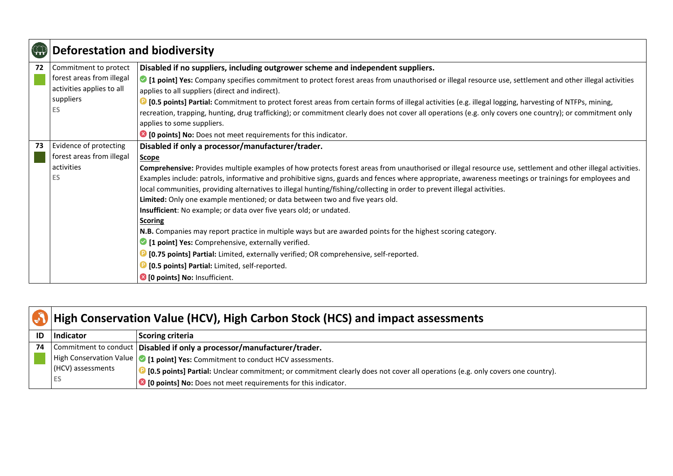| CD | <b>Deforestation and biodiversity</b>                                                                     |                                                                                                                                                                                                                                                                                                                                                                                                                                                                                                                                                                                                                                                                                                                                                                                                                                                                                                                                                                                                                                                                                                                                                            |
|----|-----------------------------------------------------------------------------------------------------------|------------------------------------------------------------------------------------------------------------------------------------------------------------------------------------------------------------------------------------------------------------------------------------------------------------------------------------------------------------------------------------------------------------------------------------------------------------------------------------------------------------------------------------------------------------------------------------------------------------------------------------------------------------------------------------------------------------------------------------------------------------------------------------------------------------------------------------------------------------------------------------------------------------------------------------------------------------------------------------------------------------------------------------------------------------------------------------------------------------------------------------------------------------|
| 72 | Commitment to protect<br>forest areas from illegal<br>activities applies to all<br>suppliers<br><b>ES</b> | Disabled if no suppliers, including outgrower scheme and independent suppliers.<br>○ [1 point] Yes: Company specifies commitment to protect forest areas from unauthorised or illegal resource use, settlement and other illegal activities<br>applies to all suppliers (direct and indirect).<br><b>D</b> [0.5 points] Partial: Commitment to protect forest areas from certain forms of illegal activities (e.g. illegal logging, harvesting of NTFPs, mining,<br>recreation, trapping, hunting, drug trafficking); or commitment clearly does not cover all operations (e.g. only covers one country); or commitment only<br>applies to some suppliers.                                                                                                                                                                                                                                                                                                                                                                                                                                                                                                 |
| 73 | Evidence of protecting<br>forest areas from illegal<br>activities<br>ES                                   | <sup>8</sup> [0 points] No: Does not meet requirements for this indicator.<br>Disabled if only a processor/manufacturer/trader.<br><b>Scope</b><br>Comprehensive: Provides multiple examples of how protects forest areas from unauthorised or illegal resource use, settlement and other illegal activities.<br>Examples include: patrols, informative and prohibitive signs, guards and fences where appropriate, awareness meetings or trainings for employees and<br>local communities, providing alternatives to illegal hunting/fishing/collecting in order to prevent illegal activities.<br>Limited: Only one example mentioned; or data between two and five years old.<br>Insufficient: No example; or data over five years old; or undated.<br><b>Scoring</b><br>N.B. Companies may report practice in multiple ways but are awarded points for the highest scoring category.<br>1 point] Yes: Comprehensive, externally verified.<br><sup>1</sup> [0.75 points] Partial: Limited, externally verified; OR comprehensive, self-reported.<br><b>D</b> [0.5 points] Partial: Limited, self-reported.<br><sup>8</sup> [0 points] No: Insufficient. |

|    | High Conservation Value (HCV), High Carbon Stock (HCS) and impact assessments |                                                                                                                               |
|----|-------------------------------------------------------------------------------|-------------------------------------------------------------------------------------------------------------------------------|
| ID | Indicator                                                                     | <b>Scoring criteria</b>                                                                                                       |
| 74 |                                                                               | Commitment to conduct   Disabled if only a processor/manufacturer/trader.                                                     |
|    |                                                                               | High Conservation Value $\bigcirc$ [1 point] Yes: Commitment to conduct HCV assessments.                                      |
|    | (HCV) assessments                                                             | [0.5 points] Partial: Unclear commitment; or commitment clearly does not cover all operations (e.g. only covers one country). |
|    | ES                                                                            | <sup>8</sup> [O points] No: Does not meet requirements for this indicator.                                                    |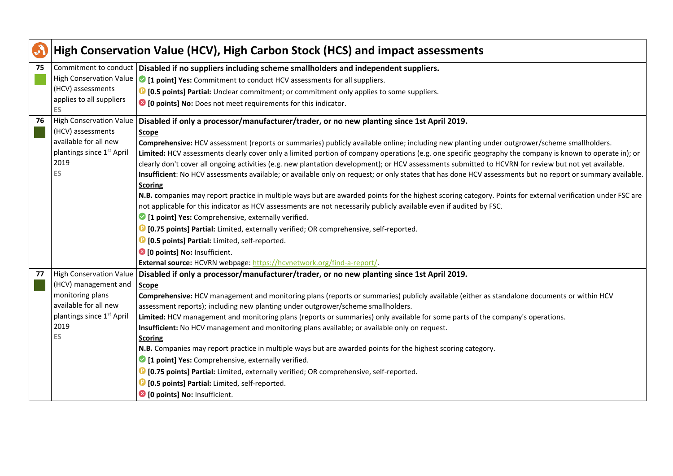| S  |                                       | High Conservation Value (HCV), High Carbon Stock (HCS) and impact assessments                                                                               |
|----|---------------------------------------|-------------------------------------------------------------------------------------------------------------------------------------------------------------|
| 75 |                                       | Commitment to conduct Disabled if no suppliers including scheme smallholders and independent suppliers.                                                     |
|    | <b>High Conservation Value</b>        | • [1 point] Yes: Commitment to conduct HCV assessments for all suppliers.                                                                                   |
|    | (HCV) assessments                     | <b>D</b> [0.5 points] Partial: Unclear commitment; or commitment only applies to some suppliers.                                                            |
|    | applies to all suppliers<br><b>ES</b> | <sup>8</sup> [0 points] No: Does not meet requirements for this indicator.                                                                                  |
| 76 | <b>High Conservation Value</b>        | Disabled if only a processor/manufacturer/trader, or no new planting since 1st April 2019.                                                                  |
|    | (HCV) assessments                     | <b>Scope</b>                                                                                                                                                |
|    | available for all new                 | Comprehensive: HCV assessment (reports or summaries) publicly available online; including new planting under outgrower/scheme smallholders.                 |
|    | plantings since 1 <sup>st</sup> April | Limited: HCV assessments clearly cover only a limited portion of company operations (e.g. one specific geography the company is known to operate in); or    |
|    | 2019                                  | clearly don't cover all ongoing activities (e.g. new plantation development); or HCV assessments submitted to HCVRN for review but not yet available.       |
|    | <b>ES</b>                             | Insufficient: No HCV assessments available; or available only on request; or only states that has done HCV assessments but no report or summary available.  |
|    |                                       | <b>Scoring</b>                                                                                                                                              |
|    |                                       | N.B. companies may report practice in multiple ways but are awarded points for the highest scoring category. Points for external verification under FSC are |
|    |                                       | not applicable for this indicator as HCV assessments are not necessarily publicly available even if audited by FSC.                                         |
|    |                                       | 1 [1 point] Yes: Comprehensive, externally verified.                                                                                                        |
|    |                                       | <b>D</b> [0.75 points] Partial: Limited, externally verified; OR comprehensive, self-reported.                                                              |
|    |                                       | <b>D</b> [0.5 points] Partial: Limited, self-reported.                                                                                                      |
|    |                                       | <sup>3</sup> [0 points] No: Insufficient.                                                                                                                   |
|    |                                       | External source: HCVRN webpage: https://hcvnetwork.org/find-a-report/.                                                                                      |
| 77 |                                       | High Conservation Value   Disabled if only a processor/manufacturer/trader, or no new planting since 1st April 2019.                                        |
|    | (HCV) management and                  | <b>Scope</b>                                                                                                                                                |
|    | monitoring plans                      | Comprehensive: HCV management and monitoring plans (reports or summaries) publicly available (either as standalone documents or within HCV                  |
|    | available for all new                 | assessment reports); including new planting under outgrower/scheme smallholders.                                                                            |
|    | plantings since 1st April             | Limited: HCV management and monitoring plans (reports or summaries) only available for some parts of the company's operations.                              |
|    | 2019<br>ES                            | Insufficient: No HCV management and monitoring plans available; or available only on request.                                                               |
|    |                                       | <b>Scoring</b>                                                                                                                                              |
|    |                                       | N.B. Companies may report practice in multiple ways but are awarded points for the highest scoring category.                                                |
|    |                                       | <sup>2</sup> [1 point] Yes: Comprehensive, externally verified.                                                                                             |
|    |                                       | <b>D</b> [0.75 points] Partial: Limited, externally verified; OR comprehensive, self-reported.                                                              |
|    |                                       | <b>D</b> [0.5 points] Partial: Limited, self-reported.                                                                                                      |
|    |                                       | <b>8</b> [0 points] No: Insufficient.                                                                                                                       |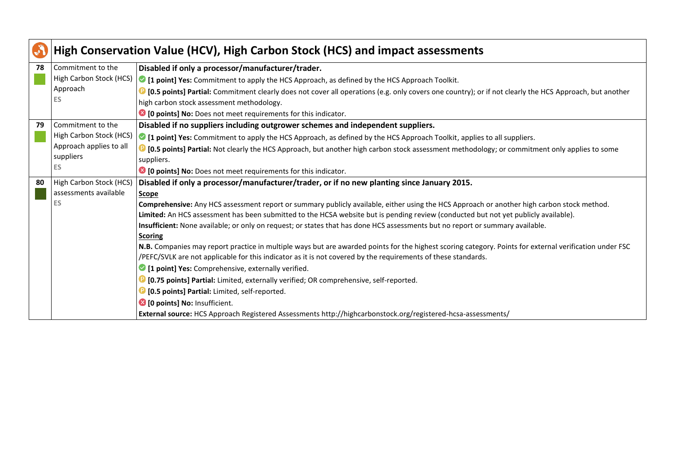| <b>Call</b> | High Conservation Value (HCV), High Carbon Stock (HCS) and impact assessments |                                                                                                                                                                 |
|-------------|-------------------------------------------------------------------------------|-----------------------------------------------------------------------------------------------------------------------------------------------------------------|
| 78          | Commitment to the                                                             | Disabled if only a processor/manufacturer/trader.                                                                                                               |
|             | High Carbon Stock (HCS)                                                       | <b>I</b> [1 point] Yes: Commitment to apply the HCS Approach, as defined by the HCS Approach Toolkit.                                                           |
|             | Approach                                                                      | <b>D</b> [0.5 points] Partial: Commitment clearly does not cover all operations (e.g. only covers one country); or if not clearly the HCS Approach, but another |
|             | ES                                                                            | high carbon stock assessment methodology.                                                                                                                       |
|             |                                                                               | <sup>3</sup> [0 points] No: Does not meet requirements for this indicator.                                                                                      |
| 79          | Commitment to the                                                             | Disabled if no suppliers including outgrower schemes and independent suppliers.                                                                                 |
|             | High Carbon Stock (HCS)                                                       | <b>If a point] Yes:</b> Commitment to apply the HCS Approach, as defined by the HCS Approach Toolkit, applies to all suppliers.                                 |
|             | Approach applies to all                                                       | <b>D</b> [0.5 points] Partial: Not clearly the HCS Approach, but another high carbon stock assessment methodology; or commitment only applies to some           |
|             | suppliers                                                                     | suppliers.                                                                                                                                                      |
|             | <b>ES</b>                                                                     | <sup>3</sup> [0 points] No: Does not meet requirements for this indicator.                                                                                      |
| 80          | High Carbon Stock (HCS)                                                       | Disabled if only a processor/manufacturer/trader, or if no new planting since January 2015.                                                                     |
|             | assessments available                                                         | <b>Scope</b>                                                                                                                                                    |
|             | ES                                                                            | Comprehensive: Any HCS assessment report or summary publicly available, either using the HCS Approach or another high carbon stock method.                      |
|             |                                                                               | Limited: An HCS assessment has been submitted to the HCSA website but is pending review (conducted but not yet publicly available).                             |
|             |                                                                               | Insufficient: None available; or only on request; or states that has done HCS assessments but no report or summary available.                                   |
|             |                                                                               | <b>Scoring</b>                                                                                                                                                  |
|             |                                                                               | N.B. Companies may report practice in multiple ways but are awarded points for the highest scoring category. Points for external verification under FSC         |
|             |                                                                               | /PEFC/SVLK are not applicable for this indicator as it is not covered by the requirements of these standards.                                                   |
|             |                                                                               | <sup>2</sup> [1 point] Yes: Comprehensive, externally verified.                                                                                                 |
|             |                                                                               | <b>D</b> [0.75 points] Partial: Limited, externally verified; OR comprehensive, self-reported.                                                                  |
|             |                                                                               | <b>D</b> [0.5 points] Partial: Limited, self-reported.                                                                                                          |
|             |                                                                               | <sup>8</sup> [0 points] No: Insufficient.                                                                                                                       |
|             |                                                                               | External source: HCS Approach Registered Assessments http://highcarbonstock.org/registered-hcsa-assessments/                                                    |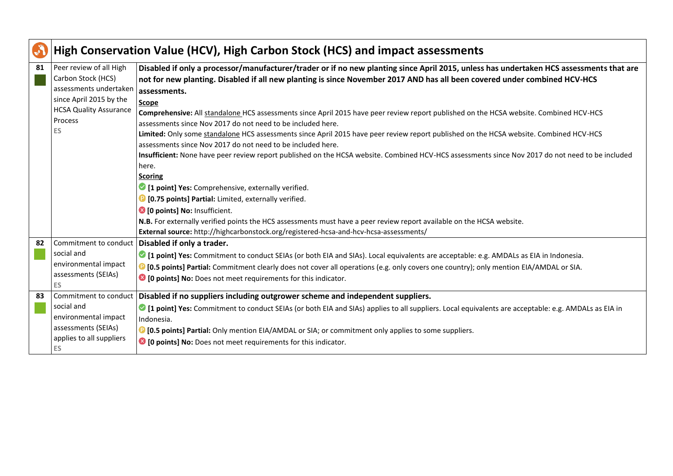| S  |                                                                                                                                                      | High Conservation Value (HCV), High Carbon Stock (HCS) and impact assessments                                                                                                                                                                                                                                                                                                                                                                                                                                                                                                                                                                                                                                                                                                                                                                                                                                                                                                                                                                                                                                                                                                           |
|----|------------------------------------------------------------------------------------------------------------------------------------------------------|-----------------------------------------------------------------------------------------------------------------------------------------------------------------------------------------------------------------------------------------------------------------------------------------------------------------------------------------------------------------------------------------------------------------------------------------------------------------------------------------------------------------------------------------------------------------------------------------------------------------------------------------------------------------------------------------------------------------------------------------------------------------------------------------------------------------------------------------------------------------------------------------------------------------------------------------------------------------------------------------------------------------------------------------------------------------------------------------------------------------------------------------------------------------------------------------|
| 81 | Peer review of all High<br>Carbon Stock (HCS)<br>assessments undertaken<br>since April 2015 by the<br><b>HCSA Quality Assurance</b><br>Process<br>ES | Disabled if only a processor/manufacturer/trader or if no new planting since April 2015, unless has undertaken HCS assessments that are<br>not for new planting. Disabled if all new planting is since November 2017 AND has all been covered under combined HCV-HCS<br>assessments.<br><b>Scope</b><br>Comprehensive: All standalone HCS assessments since April 2015 have peer review report published on the HCSA website. Combined HCV-HCS<br>assessments since Nov 2017 do not need to be included here.<br>Limited: Only some standalone HCS assessments since April 2015 have peer review report published on the HCSA website. Combined HCV-HCS<br>assessments since Nov 2017 do not need to be included here.<br>Insufficient: None have peer review report published on the HCSA website. Combined HCV-HCS assessments since Nov 2017 do not need to be included<br>here.<br><b>Scoring</b><br>1 [1 point] Yes: Comprehensive, externally verified.<br><b>D</b> [0.75 points] Partial: Limited, externally verified.<br>10 points] No: Insufficient.<br>N.B. For externally verified points the HCS assessments must have a peer review report available on the HCSA website. |
|    |                                                                                                                                                      | External source: http://highcarbonstock.org/registered-hcsa-and-hcv-hcsa-assessments/                                                                                                                                                                                                                                                                                                                                                                                                                                                                                                                                                                                                                                                                                                                                                                                                                                                                                                                                                                                                                                                                                                   |
| 82 | Commitment to conduct<br>social and<br>environmental impact<br>assessments (SEIAs)<br>ES.                                                            | Disabled if only a trader.<br>I point] Yes: Commitment to conduct SEIAs (or both EIA and SIAs). Local equivalents are acceptable: e.g. AMDALs as EIA in Indonesia.<br>16.5 points] Partial: Commitment clearly does not cover all operations (e.g. only covers one country); only mention EIA/AMDAL or SIA.<br><sup>3</sup> [0 points] No: Does not meet requirements for this indicator.                                                                                                                                                                                                                                                                                                                                                                                                                                                                                                                                                                                                                                                                                                                                                                                               |
| 83 | Commitment to conduct<br>social and<br>environmental impact<br>assessments (SEIAs)<br>applies to all suppliers<br>ES.                                | Disabled if no suppliers including outgrower scheme and independent suppliers.<br>1 [1 point] Yes: Commitment to conduct SEIAs (or both EIA and SIAs) applies to all suppliers. Local equivalents are acceptable: e.g. AMDALs as EIA in<br>Indonesia.<br><b>D</b> [0.5 points] Partial: Only mention EIA/AMDAL or SIA; or commitment only applies to some suppliers.<br><sup>3</sup> [0 points] No: Does not meet requirements for this indicator.                                                                                                                                                                                                                                                                                                                                                                                                                                                                                                                                                                                                                                                                                                                                      |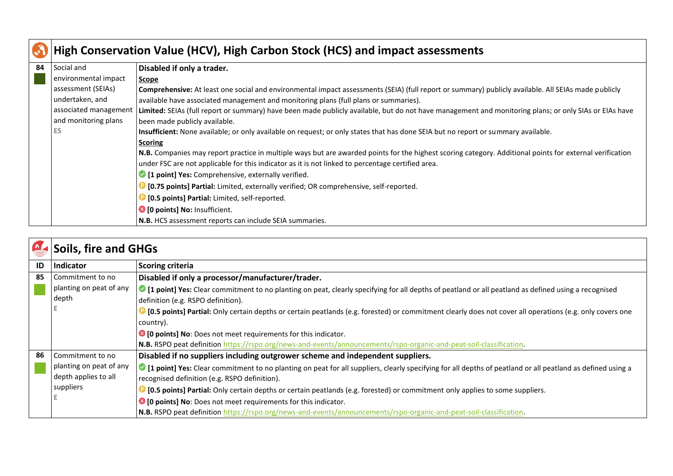| $\bullet$ | High Conservation Value (HCV), High Carbon Stock (HCS) and impact assessments |                                                                                                                                                          |  |
|-----------|-------------------------------------------------------------------------------|----------------------------------------------------------------------------------------------------------------------------------------------------------|--|
| 84        | Social and                                                                    | Disabled if only a trader.                                                                                                                               |  |
|           | environmental impact                                                          | Scope                                                                                                                                                    |  |
|           | assessment (SEIAs)                                                            | Comprehensive: At least one social and environmental impact assessments (SEIA) (full report or summary) publicly available. All SEIAs made publicly      |  |
|           | undertaken, and                                                               | available have associated management and monitoring plans (full plans or summaries).                                                                     |  |
|           | associated management                                                         | Limited: SEIAs (full report or summary) have been made publicly available, but do not have management and monitoring plans; or only SIAs or EIAs have    |  |
|           | and monitoring plans                                                          | been made publicly available.                                                                                                                            |  |
|           | ES                                                                            | Insufficient: None available; or only available on request; or only states that has done SEIA but no report or summary available.                        |  |
|           |                                                                               | <b>Scoring</b>                                                                                                                                           |  |
|           |                                                                               | N.B. Companies may report practice in multiple ways but are awarded points for the highest scoring category. Additional points for external verification |  |
|           |                                                                               | under FSC are not applicable for this indicator as it is not linked to percentage certified area.                                                        |  |
|           |                                                                               | 1 [1 point] Yes: Comprehensive, externally verified.                                                                                                     |  |
|           |                                                                               | [0.75 points] Partial: Limited, externally verified; OR comprehensive, self-reported.                                                                    |  |
|           |                                                                               | [0.5 points] Partial: Limited, self-reported.                                                                                                            |  |
|           |                                                                               | <sup>8</sup> [0 points] No: Insufficient.                                                                                                                |  |
|           |                                                                               | N.B. HCS assessment reports can include SEIA summaries.                                                                                                  |  |

| $\mathbf{M}_{\mathbf{A}}$ | <b>Soils, fire and GHGs</b> |                                                                                                                                                           |
|---------------------------|-----------------------------|-----------------------------------------------------------------------------------------------------------------------------------------------------------|
| ID                        | <b>Indicator</b>            | <b>Scoring criteria</b>                                                                                                                                   |
| 85                        | Commitment to no            | Disabled if only a processor/manufacturer/trader.                                                                                                         |
|                           | planting on peat of any     | I point] Yes: Clear commitment to no planting on peat, clearly specifying for all depths of peatland or all peatland as defined using a recognised        |
|                           | depth                       | definition (e.g. RSPO definition).                                                                                                                        |
|                           |                             | 10.5 points] Partial: Only certain depths or certain peatlands (e.g. forested) or commitment clearly does not cover all operations (e.g. only covers one  |
|                           |                             | country).                                                                                                                                                 |
|                           |                             | <sup>8</sup> [0 points] No: Does not meet requirements for this indicator.                                                                                |
|                           |                             | N.B. RSPO peat definition https://rspo.org/news-and-events/announcements/rspo-organic-and-peat-soil-classification.                                       |
| 86                        | Commitment to no            | Disabled if no suppliers including outgrower scheme and independent suppliers.                                                                            |
|                           | planting on peat of any     | I point] Yes: Clear commitment to no planting on peat for all suppliers, clearly specifying for all depths of peatland or all peatland as defined using a |
|                           | depth applies to all        | recognised definition (e.g. RSPO definition).                                                                                                             |
|                           | suppliers                   | <b>D</b> [0.5 points] Partial: Only certain depths or certain peatlands (e.g. forested) or commitment only applies to some suppliers.                     |
|                           |                             | <sup>8</sup> [0 points] No: Does not meet requirements for this indicator.                                                                                |
|                           |                             | N.B. RSPO peat definition https://rspo.org/news-and-events/announcements/rspo-organic-and-peat-soil-classification.                                       |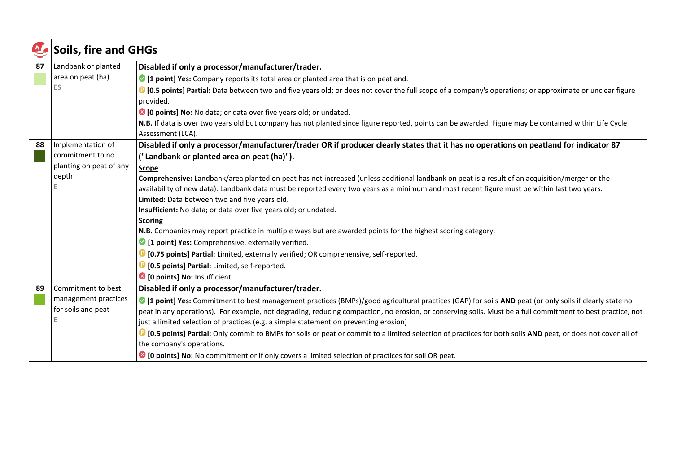| $\sum_{i=1}^{n}$ | <b>Soils, fire and GHGs</b> |                                                                                                                                                                          |
|------------------|-----------------------------|--------------------------------------------------------------------------------------------------------------------------------------------------------------------------|
| 87               | Landbank or planted         | Disabled if only a processor/manufacturer/trader.                                                                                                                        |
|                  | area on peat (ha)           | • [1 point] Yes: Company reports its total area or planted area that is on peatland.                                                                                     |
|                  | <b>ES</b>                   | <b>C</b> [0.5 points] Partial: Data between two and five years old; or does not cover the full scope of a company's operations; or approximate or unclear figure         |
|                  |                             | provided.                                                                                                                                                                |
|                  |                             | <sup>3</sup> [0 points] No: No data; or data over five years old; or undated.                                                                                            |
|                  |                             | N.B. If data is over two years old but company has not planted since figure reported, points can be awarded. Figure may be contained within Life Cycle                   |
|                  |                             | Assessment (LCA).                                                                                                                                                        |
| 88               | Implementation of           | Disabled if only a processor/manufacturer/trader OR if producer clearly states that it has no operations on peatland for indicator 87                                    |
|                  | commitment to no            | ("Landbank or planted area on peat (ha)").                                                                                                                               |
|                  | planting on peat of any     | <b>Scope</b>                                                                                                                                                             |
|                  | depth                       | Comprehensive: Landbank/area planted on peat has not increased (unless additional landbank on peat is a result of an acquisition/merger or the                           |
|                  |                             | availability of new data). Landbank data must be reported every two years as a minimum and most recent figure must be within last two years.                             |
|                  |                             | Limited: Data between two and five years old.                                                                                                                            |
|                  |                             | Insufficient: No data; or data over five years old; or undated.                                                                                                          |
|                  |                             | <b>Scoring</b>                                                                                                                                                           |
|                  |                             | N.B. Companies may report practice in multiple ways but are awarded points for the highest scoring category.                                                             |
|                  |                             | 1 [1 point] Yes: Comprehensive, externally verified.                                                                                                                     |
|                  |                             | <b>D</b> [0.75 points] Partial: Limited, externally verified; OR comprehensive, self-reported.                                                                           |
|                  |                             | <sup>1</sup> [0.5 points] Partial: Limited, self-reported.                                                                                                               |
|                  |                             | <sup>8</sup> [0 points] No: Insufficient.                                                                                                                                |
| 89               | Commitment to best          | Disabled if only a processor/manufacturer/trader.                                                                                                                        |
|                  | management practices        | • [1 point] Yes: Commitment to best management practices (BMPs)/good agricultural practices (GAP) for soils AND peat (or only soils if clearly state no                  |
|                  | for soils and peat          | peat in any operations). For example, not degrading, reducing compaction, no erosion, or conserving soils. Must be a full commitment to best practice, not               |
|                  |                             | just a limited selection of practices (e.g. a simple statement on preventing erosion)                                                                                    |
|                  |                             | <sup>1</sup> [0.5 points] Partial: Only commit to BMPs for soils or peat or commit to a limited selection of practices for both soils AND peat, or does not cover all of |
|                  |                             | the company's operations.                                                                                                                                                |
|                  |                             | <sup>8</sup> [0 points] No: No commitment or if only covers a limited selection of practices for soil OR peat.                                                           |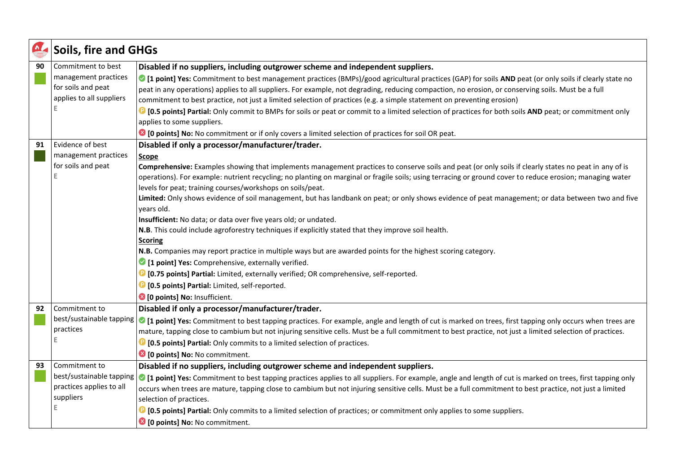| $\frac{1}{2}$ | <b>Soils, fire and GHGs</b> |                                                                                                                                                                                                                                                                                                                       |
|---------------|-----------------------------|-----------------------------------------------------------------------------------------------------------------------------------------------------------------------------------------------------------------------------------------------------------------------------------------------------------------------|
| 90            | Commitment to best          | Disabled if no suppliers, including outgrower scheme and independent suppliers.                                                                                                                                                                                                                                       |
|               | management practices        | C [1 point] Yes: Commitment to best management practices (BMPs)/good agricultural practices (GAP) for soils AND peat (or only soils if clearly state no                                                                                                                                                               |
|               | for soils and peat          | peat in any operations) applies to all suppliers. For example, not degrading, reducing compaction, no erosion, or conserving soils. Must be a full                                                                                                                                                                    |
|               | applies to all suppliers    | commitment to best practice, not just a limited selection of practices (e.g. a simple statement on preventing erosion)                                                                                                                                                                                                |
|               | Е                           | <b>D</b> [0.5 points] Partial: Only commit to BMPs for soils or peat or commit to a limited selection of practices for both soils AND peat; or commitment only                                                                                                                                                        |
|               |                             | applies to some suppliers.                                                                                                                                                                                                                                                                                            |
|               |                             | <b>1</b> [0 points] No: No commitment or if only covers a limited selection of practices for soil OR peat.                                                                                                                                                                                                            |
| 91            | Evidence of best            | Disabled if only a processor/manufacturer/trader.                                                                                                                                                                                                                                                                     |
|               | management practices        | Scope                                                                                                                                                                                                                                                                                                                 |
|               | for soils and peat          | Comprehensive: Examples showing that implements management practices to conserve soils and peat (or only soils if clearly states no peat in any of is                                                                                                                                                                 |
|               | F                           | operations). For example: nutrient recycling; no planting on marginal or fragile soils; using terracing or ground cover to reduce erosion; managing water                                                                                                                                                             |
|               |                             | levels for peat; training courses/workshops on soils/peat.                                                                                                                                                                                                                                                            |
|               |                             | Limited: Only shows evidence of soil management, but has landbank on peat; or only shows evidence of peat management; or data between two and five                                                                                                                                                                    |
|               |                             | years old.                                                                                                                                                                                                                                                                                                            |
|               |                             | Insufficient: No data; or data over five years old; or undated.<br>N.B. This could include agroforestry techniques if explicitly stated that they improve soil health.                                                                                                                                                |
|               |                             | <b>Scoring</b>                                                                                                                                                                                                                                                                                                        |
|               |                             | N.B. Companies may report practice in multiple ways but are awarded points for the highest scoring category.                                                                                                                                                                                                          |
|               |                             | <sup>2</sup> [1 point] Yes: Comprehensive, externally verified.                                                                                                                                                                                                                                                       |
|               |                             | <b>D</b> [0.75 points] Partial: Limited, externally verified; OR comprehensive, self-reported.                                                                                                                                                                                                                        |
|               |                             | <b>D</b> [0.5 points] Partial: Limited, self-reported.                                                                                                                                                                                                                                                                |
|               |                             | <sup>3</sup> [0 points] No: Insufficient.                                                                                                                                                                                                                                                                             |
| 92            | Commitment to               | Disabled if only a processor/manufacturer/trader.                                                                                                                                                                                                                                                                     |
|               | best/sustainable tapping    |                                                                                                                                                                                                                                                                                                                       |
|               | practices                   | C [1 point] Yes: Commitment to best tapping practices. For example, angle and length of cut is marked on trees, first tapping only occurs when trees are<br>mature, tapping close to cambium but not injuring sensitive cells. Must be a full commitment to best practice, not just a limited selection of practices. |
|               | E                           | <b>D</b> [0.5 points] Partial: Only commits to a limited selection of practices.                                                                                                                                                                                                                                      |
|               |                             | <sup>3</sup> [0 points] No: No commitment.                                                                                                                                                                                                                                                                            |
| 93            | Commitment to               | Disabled if no suppliers, including outgrower scheme and independent suppliers.                                                                                                                                                                                                                                       |
|               | best/sustainable tapping    |                                                                                                                                                                                                                                                                                                                       |
|               | practices applies to all    | • [1 point] Yes: Commitment to best tapping practices applies to all suppliers. For example, angle and length of cut is marked on trees, first tapping only                                                                                                                                                           |
|               | suppliers                   | occurs when trees are mature, tapping close to cambium but not injuring sensitive cells. Must be a full commitment to best practice, not just a limited<br>selection of practices.                                                                                                                                    |
|               | E                           |                                                                                                                                                                                                                                                                                                                       |
|               |                             | <b>D</b> [0.5 points] Partial: Only commits to a limited selection of practices; or commitment only applies to some suppliers.                                                                                                                                                                                        |
|               |                             | <sup>3</sup> [0 points] No: No commitment.                                                                                                                                                                                                                                                                            |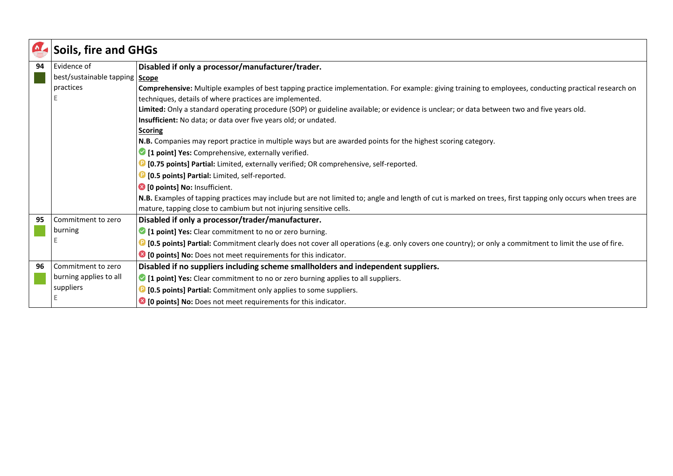|    | <b>Soils, fire and GHGs</b>      |                                                                                                                                                                |
|----|----------------------------------|----------------------------------------------------------------------------------------------------------------------------------------------------------------|
| 94 | Evidence of                      | Disabled if only a processor/manufacturer/trader.                                                                                                              |
|    | best/sustainable tapping   Scope |                                                                                                                                                                |
|    | practices                        | Comprehensive: Multiple examples of best tapping practice implementation. For example: giving training to employees, conducting practical research on          |
|    |                                  | techniques, details of where practices are implemented.                                                                                                        |
|    |                                  | Limited: Only a standard operating procedure (SOP) or guideline available; or evidence is unclear; or data between two and five years old.                     |
|    |                                  | Insufficient: No data; or data over five years old; or undated.                                                                                                |
|    |                                  | <b>Scoring</b>                                                                                                                                                 |
|    |                                  | N.B. Companies may report practice in multiple ways but are awarded points for the highest scoring category.                                                   |
|    |                                  | <sup>1</sup> [1 point] Yes: Comprehensive, externally verified.                                                                                                |
|    |                                  | <b>D</b> [0.75 points] Partial: Limited, externally verified; OR comprehensive, self-reported.                                                                 |
|    |                                  | <b>D</b> [0.5 points] Partial: Limited, self-reported.                                                                                                         |
|    |                                  | <sup>3</sup> [0 points] No: Insufficient.                                                                                                                      |
|    |                                  | N.B. Examples of tapping practices may include but are not limited to; angle and length of cut is marked on trees, first tapping only occurs when trees are    |
|    |                                  | mature, tapping close to cambium but not injuring sensitive cells.                                                                                             |
| 95 | Commitment to zero               | Disabled if only a processor/trader/manufacturer.                                                                                                              |
|    | burning                          | 1 [1 point] Yes: Clear commitment to no or zero burning.                                                                                                       |
|    | Е                                | <b>D</b> [0.5 points] Partial: Commitment clearly does not cover all operations (e.g. only covers one country); or only a commitment to limit the use of fire. |
|    |                                  | <sup>3</sup> [0 points] No: Does not meet requirements for this indicator.                                                                                     |
| 96 | Commitment to zero               | Disabled if no suppliers including scheme smallholders and independent suppliers.                                                                              |
|    | burning applies to all           | • [1 point] Yes: Clear commitment to no or zero burning applies to all suppliers.                                                                              |
|    | suppliers                        | <b>D</b> [0.5 points] Partial: Commitment only applies to some suppliers.                                                                                      |
|    | Е                                | <sup>3</sup> [0 points] No: Does not meet requirements for this indicator.                                                                                     |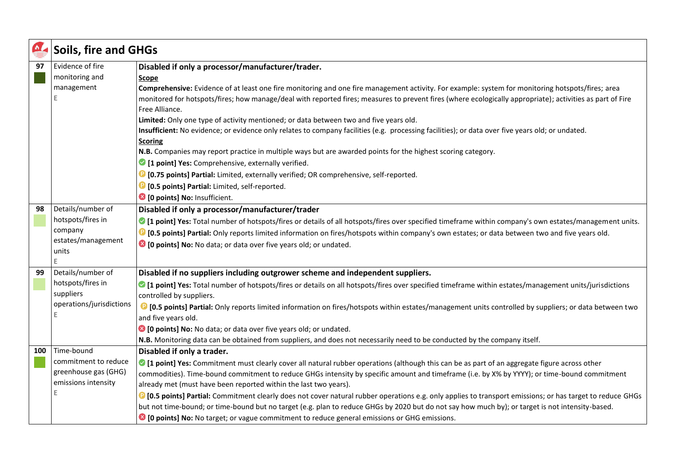| $\frac{1}{2}$ | <b>Soils, fire and GHGs</b>                  |                                                                                                                                                                                                                                                                                                                           |
|---------------|----------------------------------------------|---------------------------------------------------------------------------------------------------------------------------------------------------------------------------------------------------------------------------------------------------------------------------------------------------------------------------|
| 97            | Evidence of fire                             | Disabled if only a processor/manufacturer/trader.                                                                                                                                                                                                                                                                         |
|               | monitoring and                               | <b>Scope</b>                                                                                                                                                                                                                                                                                                              |
|               | management                                   | Comprehensive: Evidence of at least one fire monitoring and one fire management activity. For example: system for monitoring hotspots/fires; area                                                                                                                                                                         |
|               |                                              | monitored for hotspots/fires; how manage/deal with reported fires; measures to prevent fires (where ecologically appropriate); activities as part of Fire                                                                                                                                                                 |
|               |                                              | Free Alliance.                                                                                                                                                                                                                                                                                                            |
|               |                                              | Limited: Only one type of activity mentioned; or data between two and five years old.                                                                                                                                                                                                                                     |
|               |                                              | Insufficient: No evidence; or evidence only relates to company facilities (e.g. processing facilities); or data over five years old; or undated.<br><b>Scoring</b>                                                                                                                                                        |
|               |                                              | N.B. Companies may report practice in multiple ways but are awarded points for the highest scoring category.                                                                                                                                                                                                              |
|               |                                              | 1 [1 point] Yes: Comprehensive, externally verified.                                                                                                                                                                                                                                                                      |
|               |                                              | <sup>1</sup> [0.75 points] Partial: Limited, externally verified; OR comprehensive, self-reported.                                                                                                                                                                                                                        |
|               |                                              | <b>D</b> [0.5 points] Partial: Limited, self-reported.                                                                                                                                                                                                                                                                    |
|               |                                              | <sup>3</sup> [0 points] No: Insufficient.                                                                                                                                                                                                                                                                                 |
| 98            | Details/number of                            | Disabled if only a processor/manufacturer/trader                                                                                                                                                                                                                                                                          |
|               | hotspots/fires in                            | I point] Yes: Total number of hotspots/fires or details of all hotspots/fires over specified timeframe within company's own estates/management units.                                                                                                                                                                     |
|               | company                                      | 19 [0.5 points] Partial: Only reports limited information on fires/hotspots within company's own estates; or data between two and five years old.                                                                                                                                                                         |
|               | estates/management                           | <sup>8</sup> [0 points] No: No data; or data over five years old; or undated.                                                                                                                                                                                                                                             |
|               | units                                        |                                                                                                                                                                                                                                                                                                                           |
|               |                                              |                                                                                                                                                                                                                                                                                                                           |
| 99            | Details/number of                            | Disabled if no suppliers including outgrower scheme and independent suppliers.                                                                                                                                                                                                                                            |
|               | hotspots/fires in                            | I point] Yes: Total number of hotspots/fires or details on all hotspots/fires over specified timeframe within estates/management units/jurisdictions                                                                                                                                                                      |
|               | suppliers                                    | controlled by suppliers.                                                                                                                                                                                                                                                                                                  |
|               | operations/jurisdictions                     | <sup>1</sup> [0.5 points] Partial: Only reports limited information on fires/hotspots within estates/management units controlled by suppliers; or data between two                                                                                                                                                        |
|               |                                              | and five years old.                                                                                                                                                                                                                                                                                                       |
|               |                                              | <sup>8</sup> [0 points] No: No data; or data over five years old; or undated.                                                                                                                                                                                                                                             |
|               |                                              | N.B. Monitoring data can be obtained from suppliers, and does not necessarily need to be conducted by the company itself.                                                                                                                                                                                                 |
| 100           | Time-bound                                   | Disabled if only a trader.                                                                                                                                                                                                                                                                                                |
|               | commitment to reduce<br>greenhouse gas (GHG) | I point] Yes: Commitment must clearly cover all natural rubber operations (although this can be as part of an aggregate figure across other                                                                                                                                                                               |
|               | emissions intensity                          | commodities). Time-bound commitment to reduce GHGs intensity by specific amount and timeframe (i.e. by X% by YYYY); or time-bound commitment                                                                                                                                                                              |
|               |                                              | already met (must have been reported within the last two years).                                                                                                                                                                                                                                                          |
|               |                                              | <sup>1</sup> [0.5 points] Partial: Commitment clearly does not cover natural rubber operations e.g. only applies to transport emissions; or has target to reduce GHGs<br>but not time-bound; or time-bound but no target (e.g. plan to reduce GHGs by 2020 but do not say how much by); or target is not intensity-based. |
|               |                                              |                                                                                                                                                                                                                                                                                                                           |
|               |                                              | ■ [0 points] No: No target; or vague commitment to reduce general emissions or GHG emissions.                                                                                                                                                                                                                             |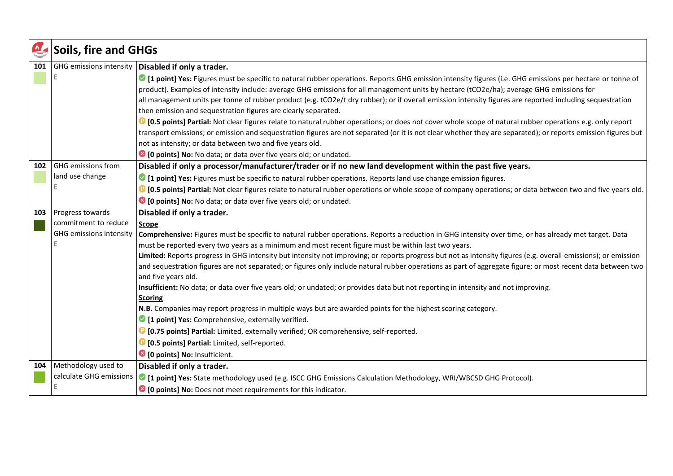| $\Delta$ | <b>Soils, fire and GHGs</b> |                                                                                                                                                                        |
|----------|-----------------------------|------------------------------------------------------------------------------------------------------------------------------------------------------------------------|
| 101      | GHG emissions intensity     | Disabled if only a trader.                                                                                                                                             |
|          |                             | I point] Yes: Figures must be specific to natural rubber operations. Reports GHG emission intensity figures (i.e. GHG emissions per hectare or tonne of                |
|          |                             | product). Examples of intensity include: average GHG emissions for all management units by hectare (tCO2e/ha); average GHG emissions for                               |
|          |                             | all management units per tonne of rubber product (e.g. tCO2e/t dry rubber); or if overall emission intensity figures are reported including sequestration              |
|          |                             | then emission and sequestration figures are clearly separated.                                                                                                         |
|          |                             | <b>D</b> [0.5 points] Partial: Not clear figures relate to natural rubber operations; or does not cover whole scope of natural rubber operations e.g. only report      |
|          |                             | transport emissions; or emission and sequestration figures are not separated (or it is not clear whether they are separated); or reports emission figures but          |
|          |                             | not as intensity; or data between two and five years old.                                                                                                              |
|          |                             | <sup>3</sup> [0 points] No: No data; or data over five years old; or undated.                                                                                          |
| 102      | <b>GHG</b> emissions from   | Disabled if only a processor/manufacturer/trader or if no new land development within the past five years.                                                             |
|          | land use change             | • [1 point] Yes: Figures must be specific to natural rubber operations. Reports land use change emission figures.                                                      |
|          |                             | <sup>1</sup> [0.5 points] Partial: Not clear figures relate to natural rubber operations or whole scope of company operations; or data between two and five years old. |
|          |                             | <sup>3</sup> [0 points] No: No data; or data over five years old; or undated.                                                                                          |
| 103      | Progress towards            | Disabled if only a trader.                                                                                                                                             |
|          | commitment to reduce        | <b>Scope</b>                                                                                                                                                           |
|          | GHG emissions intensity     | Comprehensive: Figures must be specific to natural rubber operations. Reports a reduction in GHG intensity over time, or has already met target. Data                  |
|          |                             | must be reported every two years as a minimum and most recent figure must be within last two years.                                                                    |
|          |                             | Limited: Reports progress in GHG intensity but intensity not improving; or reports progress but not as intensity figures (e.g. overall emissions); or emission         |
|          |                             | and sequestration figures are not separated; or figures only include natural rubber operations as part of aggregate figure; or most recent data between two            |
|          |                             | and five years old.<br>Insufficient: No data; or data over five years old; or undated; or provides data but not reporting in intensity and not improving.              |
|          |                             | <b>Scoring</b>                                                                                                                                                         |
|          |                             | N.B. Companies may report progress in multiple ways but are awarded points for the highest scoring category.                                                           |
|          |                             | <sup>2</sup> [1 point] Yes: Comprehensive, externally verified.                                                                                                        |
|          |                             | <sup>1</sup> [0.75 points] Partial: Limited, externally verified; OR comprehensive, self-reported.                                                                     |
|          |                             | <b>D</b> [0.5 points] Partial: Limited, self-reported.                                                                                                                 |
|          |                             | <sup>3</sup> [0 points] No: Insufficient.                                                                                                                              |
| 104      | Methodology used to         | Disabled if only a trader.                                                                                                                                             |
|          | calculate GHG emissions     | • [1 point] Yes: State methodology used (e.g. ISCC GHG Emissions Calculation Methodology, WRI/WBCSD GHG Protocol).                                                     |
|          |                             | <sup>3</sup> [0 points] No: Does not meet requirements for this indicator.                                                                                             |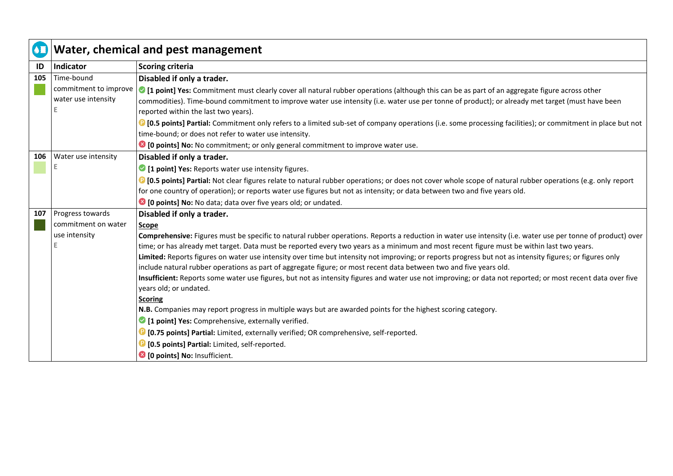| $\overline{\text{O}}$ | Water, chemical and pest management |                                                                                                                                                                                                                                                                                                                                                                                                                                                                                                                                                                                          |
|-----------------------|-------------------------------------|------------------------------------------------------------------------------------------------------------------------------------------------------------------------------------------------------------------------------------------------------------------------------------------------------------------------------------------------------------------------------------------------------------------------------------------------------------------------------------------------------------------------------------------------------------------------------------------|
| ID                    | Indicator                           | <b>Scoring criteria</b>                                                                                                                                                                                                                                                                                                                                                                                                                                                                                                                                                                  |
| 105                   | Time-bound                          | Disabled if only a trader.                                                                                                                                                                                                                                                                                                                                                                                                                                                                                                                                                               |
|                       | commitment to improve               | I point] Yes: Commitment must clearly cover all natural rubber operations (although this can be as part of an aggregate figure across other                                                                                                                                                                                                                                                                                                                                                                                                                                              |
|                       | water use intensity                 | commodities). Time-bound commitment to improve water use intensity (i.e. water use per tonne of product); or already met target (must have been                                                                                                                                                                                                                                                                                                                                                                                                                                          |
|                       |                                     | reported within the last two years).                                                                                                                                                                                                                                                                                                                                                                                                                                                                                                                                                     |
|                       |                                     | <b>D</b> [0.5 points] Partial: Commitment only refers to a limited sub-set of company operations (i.e. some processing facilities); or commitment in place but not                                                                                                                                                                                                                                                                                                                                                                                                                       |
|                       |                                     | time-bound; or does not refer to water use intensity.                                                                                                                                                                                                                                                                                                                                                                                                                                                                                                                                    |
|                       |                                     | <b>■ [0 points] No:</b> No commitment; or only general commitment to improve water use.                                                                                                                                                                                                                                                                                                                                                                                                                                                                                                  |
| 106                   | Water use intensity                 | Disabled if only a trader.                                                                                                                                                                                                                                                                                                                                                                                                                                                                                                                                                               |
|                       |                                     | 1 [1 point] Yes: Reports water use intensity figures.                                                                                                                                                                                                                                                                                                                                                                                                                                                                                                                                    |
|                       |                                     | <b>D</b> [0.5 points] Partial: Not clear figures relate to natural rubber operations; or does not cover whole scope of natural rubber operations (e.g. only report                                                                                                                                                                                                                                                                                                                                                                                                                       |
|                       |                                     | for one country of operation); or reports water use figures but not as intensity; or data between two and five years old.                                                                                                                                                                                                                                                                                                                                                                                                                                                                |
|                       |                                     | 10 points] No: No data; data over five years old; or undated.                                                                                                                                                                                                                                                                                                                                                                                                                                                                                                                            |
| 107                   | Progress towards                    | Disabled if only a trader.                                                                                                                                                                                                                                                                                                                                                                                                                                                                                                                                                               |
|                       | commitment on water                 | <b>Scope</b>                                                                                                                                                                                                                                                                                                                                                                                                                                                                                                                                                                             |
|                       | use intensity                       | Comprehensive: Figures must be specific to natural rubber operations. Reports a reduction in water use intensity (i.e. water use per tonne of product) over                                                                                                                                                                                                                                                                                                                                                                                                                              |
|                       |                                     | time; or has already met target. Data must be reported every two years as a minimum and most recent figure must be within last two years.                                                                                                                                                                                                                                                                                                                                                                                                                                                |
|                       |                                     | Limited: Reports figures on water use intensity over time but intensity not improving; or reports progress but not as intensity figures; or figures only                                                                                                                                                                                                                                                                                                                                                                                                                                 |
|                       |                                     | include natural rubber operations as part of aggregate figure; or most recent data between two and five years old.                                                                                                                                                                                                                                                                                                                                                                                                                                                                       |
|                       |                                     |                                                                                                                                                                                                                                                                                                                                                                                                                                                                                                                                                                                          |
|                       |                                     |                                                                                                                                                                                                                                                                                                                                                                                                                                                                                                                                                                                          |
|                       |                                     |                                                                                                                                                                                                                                                                                                                                                                                                                                                                                                                                                                                          |
|                       |                                     |                                                                                                                                                                                                                                                                                                                                                                                                                                                                                                                                                                                          |
|                       |                                     |                                                                                                                                                                                                                                                                                                                                                                                                                                                                                                                                                                                          |
|                       |                                     |                                                                                                                                                                                                                                                                                                                                                                                                                                                                                                                                                                                          |
|                       |                                     |                                                                                                                                                                                                                                                                                                                                                                                                                                                                                                                                                                                          |
|                       |                                     | Insufficient: Reports some water use figures, but not as intensity figures and water use not improving; or data not reported; or most recent data over five<br>years old; or undated.<br><b>Scoring</b><br>N.B. Companies may report progress in multiple ways but are awarded points for the highest scoring category.<br>1 [1 point] Yes: Comprehensive, externally verified.<br><b>D</b> [0.75 points] Partial: Limited, externally verified; OR comprehensive, self-reported.<br><b>D</b> [0.5 points] Partial: Limited, self-reported.<br><sup>3</sup> [0 points] No: Insufficient. |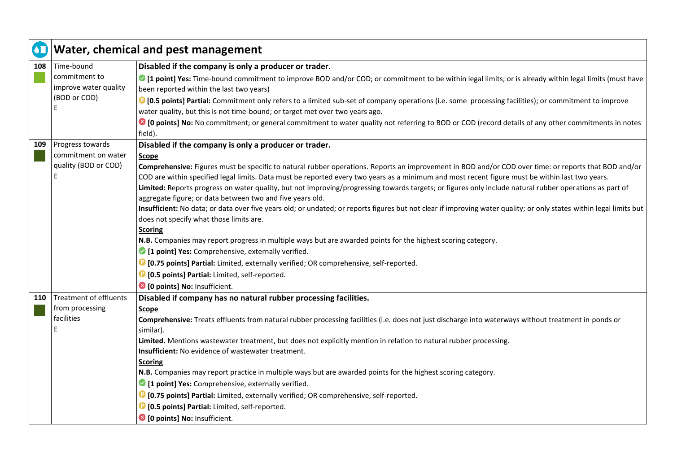| $\bullet$ | Water, chemical and pest management |                                                                                                                                                                                                                |
|-----------|-------------------------------------|----------------------------------------------------------------------------------------------------------------------------------------------------------------------------------------------------------------|
| 108       | Time-bound                          | Disabled if the company is only a producer or trader.                                                                                                                                                          |
|           | commitment to                       | I point] Yes: Time-bound commitment to improve BOD and/or COD; or commitment to be within legal limits; or is already within legal limits (must have                                                           |
|           | improve water quality               | been reported within the last two years)                                                                                                                                                                       |
|           | (BOD or COD)                        | <sup>1</sup> [0.5 points] Partial: Commitment only refers to a limited sub-set of company operations (i.e. some processing facilities); or commitment to improve                                               |
|           | E                                   | water quality, but this is not time-bound; or target met over two years ago.                                                                                                                                   |
|           |                                     | <sup>8</sup> [0 points] No: No commitment; or general commitment to water quality not referring to BOD or COD (record details of any other commitments in notes<br>field).                                     |
| 109       | Progress towards                    | Disabled if the company is only a producer or trader.                                                                                                                                                          |
|           | commitment on water                 | Scope                                                                                                                                                                                                          |
|           | quality (BOD or COD)                | Comprehensive: Figures must be specific to natural rubber operations. Reports an improvement in BOD and/or COD over time: or reports that BOD and/or                                                           |
|           | E                                   | COD are within specified legal limits. Data must be reported every two years as a minimum and most recent figure must be within last two years.                                                                |
|           |                                     | Limited: Reports progress on water quality, but not improving/progressing towards targets; or figures only include natural rubber operations as part of                                                        |
|           |                                     | aggregate figure; or data between two and five years old.                                                                                                                                                      |
|           |                                     | Insufficient: No data; or data over five years old; or undated; or reports figures but not clear if improving water quality; or only states within legal limits but<br>does not specify what those limits are. |
|           |                                     | <b>Scoring</b>                                                                                                                                                                                                 |
|           |                                     | N.B. Companies may report progress in multiple ways but are awarded points for the highest scoring category.                                                                                                   |
|           |                                     | 1 [1 point] Yes: Comprehensive, externally verified.                                                                                                                                                           |
|           |                                     | <sup>1</sup> [0.75 points] Partial: Limited, externally verified; OR comprehensive, self-reported.                                                                                                             |
|           |                                     | <b>D</b> [0.5 points] Partial: Limited, self-reported.                                                                                                                                                         |
|           |                                     | <sup>8</sup> [0 points] No: Insufficient.                                                                                                                                                                      |
| 110       | <b>Treatment of effluents</b>       | Disabled if company has no natural rubber processing facilities.                                                                                                                                               |
|           | from processing                     | Scope                                                                                                                                                                                                          |
|           | facilities                          | Comprehensive: Treats effluents from natural rubber processing facilities (i.e. does not just discharge into waterways without treatment in ponds or                                                           |
|           | Е                                   | similar).                                                                                                                                                                                                      |
|           |                                     | Limited. Mentions wastewater treatment, but does not explicitly mention in relation to natural rubber processing.                                                                                              |
|           |                                     | Insufficient: No evidence of wastewater treatment.                                                                                                                                                             |
|           |                                     | <b>Scoring</b>                                                                                                                                                                                                 |
|           |                                     | N.B. Companies may report practice in multiple ways but are awarded points for the highest scoring category.                                                                                                   |
|           |                                     | <sup>2</sup> [1 point] Yes: Comprehensive, externally verified.                                                                                                                                                |
|           |                                     | <sup>1</sup> [0.75 points] Partial: Limited, externally verified; OR comprehensive, self-reported.                                                                                                             |
|           |                                     | <b>D</b> [0.5 points] Partial: Limited, self-reported.                                                                                                                                                         |
|           |                                     | <sup>8</sup> [0 points] No: Insufficient.                                                                                                                                                                      |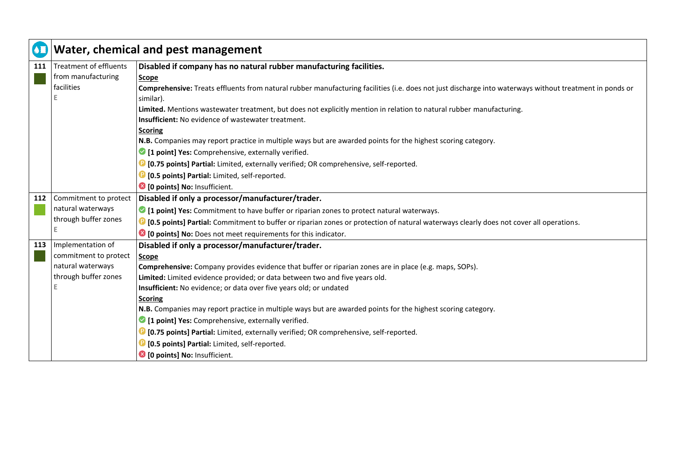| $\overline{\bullet}$ |                               | Water, chemical and pest management                                                                                                                     |
|----------------------|-------------------------------|---------------------------------------------------------------------------------------------------------------------------------------------------------|
| 111                  | <b>Treatment of effluents</b> | Disabled if company has no natural rubber manufacturing facilities.                                                                                     |
|                      | from manufacturing            | <b>Scope</b>                                                                                                                                            |
|                      | facilities                    | Comprehensive: Treats effluents from natural rubber manufacturing facilities (i.e. does not just discharge into waterways without treatment in ponds or |
|                      |                               | similar).                                                                                                                                               |
|                      |                               | Limited. Mentions wastewater treatment, but does not explicitly mention in relation to natural rubber manufacturing.                                    |
|                      |                               | Insufficient: No evidence of wastewater treatment.                                                                                                      |
|                      |                               | <b>Scoring</b>                                                                                                                                          |
|                      |                               | N.B. Companies may report practice in multiple ways but are awarded points for the highest scoring category.                                            |
|                      |                               | 1 [1 point] Yes: Comprehensive, externally verified.                                                                                                    |
|                      |                               | <b>D</b> [0.75 points] Partial: Limited, externally verified; OR comprehensive, self-reported.                                                          |
|                      |                               | <b>D</b> [0.5 points] Partial: Limited, self-reported.                                                                                                  |
|                      |                               | <sup>3</sup> [0 points] No: Insufficient.                                                                                                               |
| 112                  | Commitment to protect         | Disabled if only a processor/manufacturer/trader.                                                                                                       |
|                      | natural waterways             | If 1 point] Yes: Commitment to have buffer or riparian zones to protect natural waterways.                                                              |
|                      | through buffer zones          | <b>D</b> [0.5 points] Partial: Commitment to buffer or riparian zones or protection of natural waterways clearly does not cover all operations.         |
|                      |                               | <sup>8</sup> [0 points] No: Does not meet requirements for this indicator.                                                                              |
| 113                  | Implementation of             | Disabled if only a processor/manufacturer/trader.                                                                                                       |
|                      | commitment to protect         | <b>Scope</b>                                                                                                                                            |
|                      | natural waterways             | Comprehensive: Company provides evidence that buffer or riparian zones are in place (e.g. maps, SOPs).                                                  |
|                      | through buffer zones          | Limited: Limited evidence provided; or data between two and five years old.                                                                             |
|                      |                               | Insufficient: No evidence; or data over five years old; or undated                                                                                      |
|                      |                               | <b>Scoring</b>                                                                                                                                          |
|                      |                               | N.B. Companies may report practice in multiple ways but are awarded points for the highest scoring category.                                            |
|                      |                               | <sup>2</sup> [1 point] Yes: Comprehensive, externally verified.                                                                                         |
|                      |                               | <b>D</b> [0.75 points] Partial: Limited, externally verified; OR comprehensive, self-reported.                                                          |
|                      |                               | <b>D</b> [0.5 points] Partial: Limited, self-reported.                                                                                                  |
|                      |                               | <sup>3</sup> [0 points] No: Insufficient.                                                                                                               |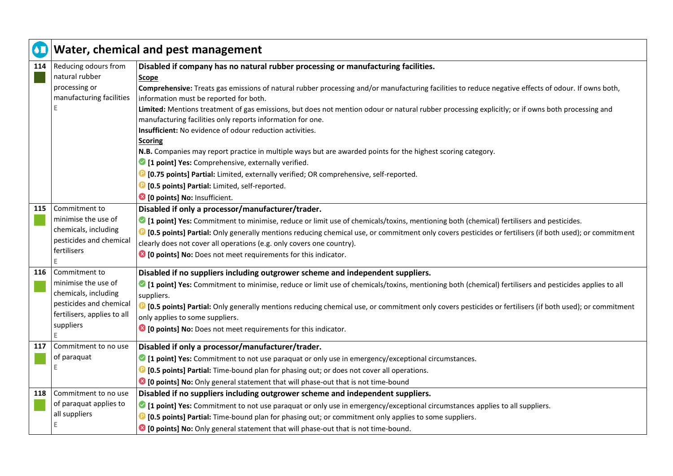| $\mathbf \Omega$ | Water, chemical and pest management |                                                                                                                                                                                                        |
|------------------|-------------------------------------|--------------------------------------------------------------------------------------------------------------------------------------------------------------------------------------------------------|
| 114              | Reducing odours from                | Disabled if company has no natural rubber processing or manufacturing facilities.                                                                                                                      |
|                  | natural rubber                      | <b>Scope</b>                                                                                                                                                                                           |
|                  | processing or                       | Comprehensive: Treats gas emissions of natural rubber processing and/or manufacturing facilities to reduce negative effects of odour. If owns both,                                                    |
|                  | manufacturing facilities            | information must be reported for both.                                                                                                                                                                 |
|                  |                                     | Limited: Mentions treatment of gas emissions, but does not mention odour or natural rubber processing explicitly; or if owns both processing and                                                       |
|                  |                                     | manufacturing facilities only reports information for one.                                                                                                                                             |
|                  |                                     | Insufficient: No evidence of odour reduction activities.                                                                                                                                               |
|                  |                                     | <b>Scoring</b>                                                                                                                                                                                         |
|                  |                                     | N.B. Companies may report practice in multiple ways but are awarded points for the highest scoring category.                                                                                           |
|                  |                                     | <sup>2</sup> [1 point] Yes: Comprehensive, externally verified.                                                                                                                                        |
|                  |                                     | <b>D</b> [0.75 points] Partial: Limited, externally verified; OR comprehensive, self-reported.                                                                                                         |
|                  |                                     | <b>D</b> [0.5 points] Partial: Limited, self-reported.                                                                                                                                                 |
|                  |                                     | <sup>3</sup> [0 points] No: Insufficient.                                                                                                                                                              |
| 115              | Commitment to                       | Disabled if only a processor/manufacturer/trader.                                                                                                                                                      |
|                  | minimise the use of                 | ○ [1 point] Yes: Commitment to minimise, reduce or limit use of chemicals/toxins, mentioning both (chemical) fertilisers and pesticides.                                                               |
|                  | chemicals, including                | <sup>1</sup> [0.5 points] Partial: Only generally mentions reducing chemical use, or commitment only covers pesticides or fertilisers (if both used); or commitment                                    |
|                  | pesticides and chemical             | clearly does not cover all operations (e.g. only covers one country).                                                                                                                                  |
|                  | fertilisers                         | <sup>3</sup> [0 points] No: Does not meet requirements for this indicator.                                                                                                                             |
|                  | E<br>Commitment to                  |                                                                                                                                                                                                        |
| 116              | minimise the use of                 | Disabled if no suppliers including outgrower scheme and independent suppliers.                                                                                                                         |
|                  | chemicals, including                | I point] Yes: Commitment to minimise, reduce or limit use of chemicals/toxins, mentioning both (chemical) fertilisers and pesticides applies to all                                                    |
|                  | pesticides and chemical             | suppliers.                                                                                                                                                                                             |
|                  | fertilisers, applies to all         | <sup>1</sup> [0.5 points] Partial: Only generally mentions reducing chemical use, or commitment only covers pesticides or fertilisers (if both used); or commitment<br>only applies to some suppliers. |
|                  | suppliers                           | <sup>3</sup> [0 points] No: Does not meet requirements for this indicator.                                                                                                                             |
|                  | F                                   |                                                                                                                                                                                                        |
| 117              | Commitment to no use                | Disabled if only a processor/manufacturer/trader.                                                                                                                                                      |
|                  | of paraquat                         | • [1 point] Yes: Commitment to not use paraquat or only use in emergency/exceptional circumstances.                                                                                                    |
|                  | E                                   | <b>D</b> [0.5 points] Partial: Time-bound plan for phasing out; or does not cover all operations.                                                                                                      |
|                  |                                     | <sup>3</sup> [0 points] No: Only general statement that will phase-out that is not time-bound                                                                                                          |
| 118              | Commitment to no use                | Disabled if no suppliers including outgrower scheme and independent suppliers.                                                                                                                         |
|                  | of paraquat applies to              | I point] Yes: Commitment to not use paraquat or only use in emergency/exceptional circumstances applies to all suppliers.                                                                              |
|                  | all suppliers                       | <b>D</b> [0.5 points] Partial: Time-bound plan for phasing out; or commitment only applies to some suppliers.                                                                                          |
|                  | Е                                   | C [O points] No: Only general statement that will phase-out that is not time-bound.                                                                                                                    |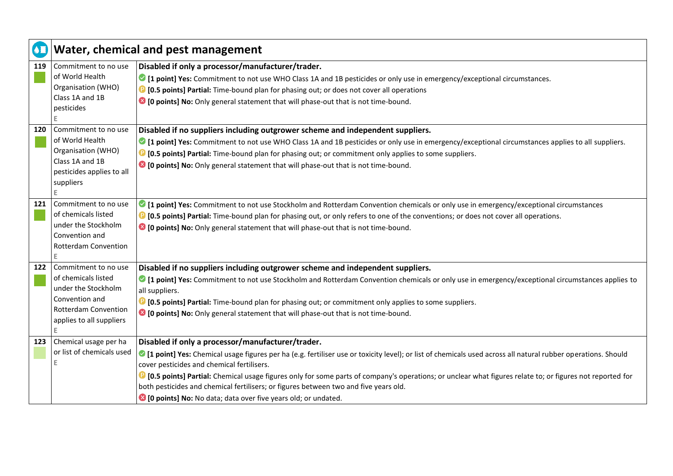|     |                                                                                                                                          | Water, chemical and pest management                                                                                                                                                                                                                                                                                                                                                                                                                                                                                                                                                                 |
|-----|------------------------------------------------------------------------------------------------------------------------------------------|-----------------------------------------------------------------------------------------------------------------------------------------------------------------------------------------------------------------------------------------------------------------------------------------------------------------------------------------------------------------------------------------------------------------------------------------------------------------------------------------------------------------------------------------------------------------------------------------------------|
| 119 | Commitment to no use<br>of World Health<br>Organisation (WHO)<br>Class 1A and 1B<br>pesticides<br>E                                      | Disabled if only a processor/manufacturer/trader.<br>I point] Yes: Commitment to not use WHO Class 1A and 1B pesticides or only use in emergency/exceptional circumstances.<br><sup>1</sup> [0.5 points] Partial: Time-bound plan for phasing out; or does not cover all operations<br><sup>3</sup> [0 points] No: Only general statement that will phase-out that is not time-bound.                                                                                                                                                                                                               |
| 120 | Commitment to no use<br>of World Health<br>Organisation (WHO)<br>Class 1A and 1B<br>pesticides applies to all<br>suppliers<br>E.         | Disabled if no suppliers including outgrower scheme and independent suppliers.<br>• [1 point] Yes: Commitment to not use WHO Class 1A and 1B pesticides or only use in emergency/exceptional circumstances applies to all suppliers.<br><b>D</b> [0.5 points] Partial: Time-bound plan for phasing out; or commitment only applies to some suppliers.<br><sup>3</sup> [0 points] No: Only general statement that will phase-out that is not time-bound.                                                                                                                                             |
| 121 | Commitment to no use<br>of chemicals listed<br>under the Stockholm<br>Convention and<br>Rotterdam Convention<br>E                        | I point] Yes: Commitment to not use Stockholm and Rotterdam Convention chemicals or only use in emergency/exceptional circumstances<br><b>D</b> [0.5 points] Partial: Time-bound plan for phasing out, or only refers to one of the conventions; or does not cover all operations.<br><sup>3</sup> [0 points] No: Only general statement that will phase-out that is not time-bound.                                                                                                                                                                                                                |
| 122 | Commitment to no use<br>of chemicals listed<br>under the Stockholm<br>Convention and<br>Rotterdam Convention<br>applies to all suppliers | Disabled if no suppliers including outgrower scheme and independent suppliers.<br>I point] Yes: Commitment to not use Stockholm and Rotterdam Convention chemicals or only use in emergency/exceptional circumstances applies to<br>all suppliers.<br><b>D</b> [0.5 points] Partial: Time-bound plan for phasing out; or commitment only applies to some suppliers.<br><sup>3</sup> [0 points] No: Only general statement that will phase-out that is not time-bound.                                                                                                                               |
| 123 | Chemical usage per ha<br>or list of chemicals used                                                                                       | Disabled if only a processor/manufacturer/trader.<br>• [1 point] Yes: Chemical usage figures per ha (e.g. fertiliser use or toxicity level); or list of chemicals used across all natural rubber operations. Should<br>cover pesticides and chemical fertilisers.<br><sup>1</sup> [0.5 points] Partial: Chemical usage figures only for some parts of company's operations; or unclear what figures relate to; or figures not reported for<br>both pesticides and chemical fertilisers; or figures between two and five years old.<br>10 points] No: No data; data over five years old; or undated. |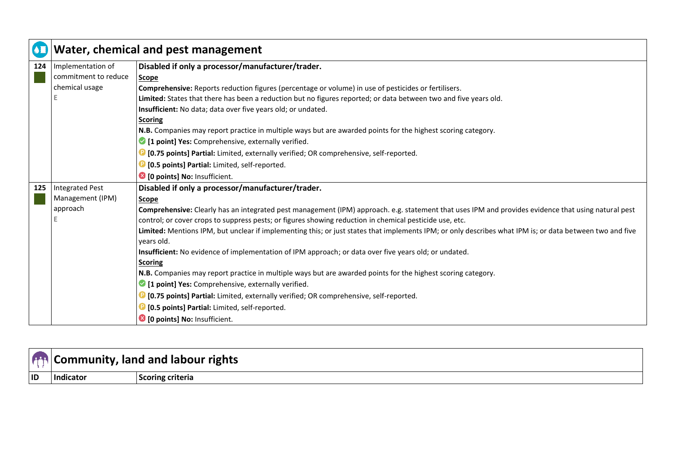| $\overline{\bullet}$ | Water, chemical and pest management |                                                                                                                                                          |
|----------------------|-------------------------------------|----------------------------------------------------------------------------------------------------------------------------------------------------------|
| 124                  | Implementation of                   | Disabled if only a processor/manufacturer/trader.                                                                                                        |
|                      | commitment to reduce                | Scope                                                                                                                                                    |
|                      | chemical usage                      | Comprehensive: Reports reduction figures (percentage or volume) in use of pesticides or fertilisers.                                                     |
|                      |                                     | Limited: States that there has been a reduction but no figures reported; or data between two and five years old.                                         |
|                      |                                     | Insufficient: No data; data over five years old; or undated.                                                                                             |
|                      |                                     | <b>Scoring</b>                                                                                                                                           |
|                      |                                     | N.B. Companies may report practice in multiple ways but are awarded points for the highest scoring category.                                             |
|                      |                                     | 1 point] Yes: Comprehensive, externally verified.                                                                                                        |
|                      |                                     | <sup>1</sup> [0.75 points] Partial: Limited, externally verified; OR comprehensive, self-reported.                                                       |
|                      |                                     | <b>D</b> [0.5 points] Partial: Limited, self-reported.                                                                                                   |
|                      |                                     | <sup>3</sup> [0 points] No: Insufficient.                                                                                                                |
| 125                  | <b>Integrated Pest</b>              | Disabled if only a processor/manufacturer/trader.                                                                                                        |
|                      | Management (IPM)                    | Scope                                                                                                                                                    |
|                      | approach                            | Comprehensive: Clearly has an integrated pest management (IPM) approach. e.g. statement that uses IPM and provides evidence that using natural pest      |
|                      |                                     | control; or cover crops to suppress pests; or figures showing reduction in chemical pesticide use, etc.                                                  |
|                      |                                     | Limited: Mentions IPM, but unclear if implementing this; or just states that implements IPM; or only describes what IPM is; or data between two and five |
|                      |                                     | years old.                                                                                                                                               |
|                      |                                     | Insufficient: No evidence of implementation of IPM approach; or data over five years old; or undated.                                                    |
|                      |                                     | <b>Scoring</b>                                                                                                                                           |
|                      |                                     | N.B. Companies may report practice in multiple ways but are awarded points for the highest scoring category.                                             |
|                      |                                     | <sup>2</sup> [1 point] Yes: Comprehensive, externally verified.                                                                                          |
|                      |                                     | <sup>1</sup> [0.75 points] Partial: Limited, externally verified; OR comprehensive, self-reported.                                                       |
|                      |                                     | <sup>1</sup> [0.5 points] Partial: Limited, self-reported.                                                                                               |
|                      |                                     | <sup>3</sup> [0 points] No: Insufficient.                                                                                                                |

|    |           | Community, land and labour rights |
|----|-----------|-----------------------------------|
| ID | Indicator | coring criteria                   |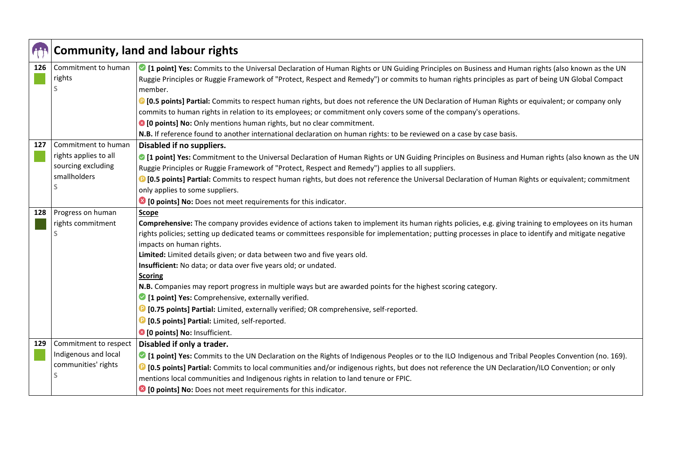|     | <b>Community, land and labour rights</b>                                           |                                                                                                                                                                                                                                                                                                                                                                                                                                                                                                                                                                                                                                                                                                                                                                                                                                                                                                              |
|-----|------------------------------------------------------------------------------------|--------------------------------------------------------------------------------------------------------------------------------------------------------------------------------------------------------------------------------------------------------------------------------------------------------------------------------------------------------------------------------------------------------------------------------------------------------------------------------------------------------------------------------------------------------------------------------------------------------------------------------------------------------------------------------------------------------------------------------------------------------------------------------------------------------------------------------------------------------------------------------------------------------------|
| 126 | Commitment to human<br>rights                                                      | ○ [1 point] Yes: Commits to the Universal Declaration of Human Rights or UN Guiding Principles on Business and Human rights (also known as the UN<br>Ruggie Principles or Ruggie Framework of "Protect, Respect and Remedy") or commits to human rights principles as part of being UN Global Compact<br>member.<br><sup>1</sup> [0.5 points] Partial: Commits to respect human rights, but does not reference the UN Declaration of Human Rights or equivalent; or company only<br>commits to human rights in relation to its employees; or commitment only covers some of the company's operations.                                                                                                                                                                                                                                                                                                        |
|     |                                                                                    | <sup>3</sup> [0 points] No: Only mentions human rights, but no clear commitment.<br>N.B. If reference found to another international declaration on human rights: to be reviewed on a case by case basis.                                                                                                                                                                                                                                                                                                                                                                                                                                                                                                                                                                                                                                                                                                    |
| 127 | Commitment to human<br>rights applies to all<br>sourcing excluding<br>smallholders | Disabled if no suppliers.<br>○ [1 point] Yes: Commitment to the Universal Declaration of Human Rights or UN Guiding Principles on Business and Human rights (also known as the UN<br>Ruggie Principles or Ruggie Framework of "Protect, Respect and Remedy") applies to all suppliers.<br><sup>1</sup> [0.5 points] Partial: Commits to respect human rights, but does not reference the Universal Declaration of Human Rights or equivalent; commitment<br>only applies to some suppliers.<br><sup>8</sup> [0 points] No: Does not meet requirements for this indicator.                                                                                                                                                                                                                                                                                                                                    |
| 128 | Progress on human<br>rights commitment                                             | Scope<br>Comprehensive: The company provides evidence of actions taken to implement its human rights policies, e.g. giving training to employees on its human<br>rights policies; setting up dedicated teams or committees responsible for implementation; putting processes in place to identify and mitigate negative<br>impacts on human rights.<br>Limited: Limited details given; or data between two and five years old.<br>Insufficient: No data; or data over five years old; or undated.<br><b>Scoring</b><br>N.B. Companies may report progress in multiple ways but are awarded points for the highest scoring category.<br>1 [1 point] Yes: Comprehensive, externally verified.<br><sup>1</sup> [0.75 points] Partial: Limited, externally verified; OR comprehensive, self-reported.<br><sup>1</sup> [0.5 points] Partial: Limited, self-reported.<br><sup>3</sup> [0 points] No: Insufficient. |
| 129 | Commitment to respect<br>Indigenous and local<br>communities' rights               | Disabled if only a trader.<br>I point] Yes: Commits to the UN Declaration on the Rights of Indigenous Peoples or to the ILO Indigenous and Tribal Peoples Convention (no. 169).<br><sup>1</sup> [0.5 points] Partial: Commits to local communities and/or indigenous rights, but does not reference the UN Declaration/ILO Convention; or only<br>mentions local communities and Indigenous rights in relation to land tenure or FPIC.<br><sup>8</sup> [0 points] No: Does not meet requirements for this indicator.                                                                                                                                                                                                                                                                                                                                                                                         |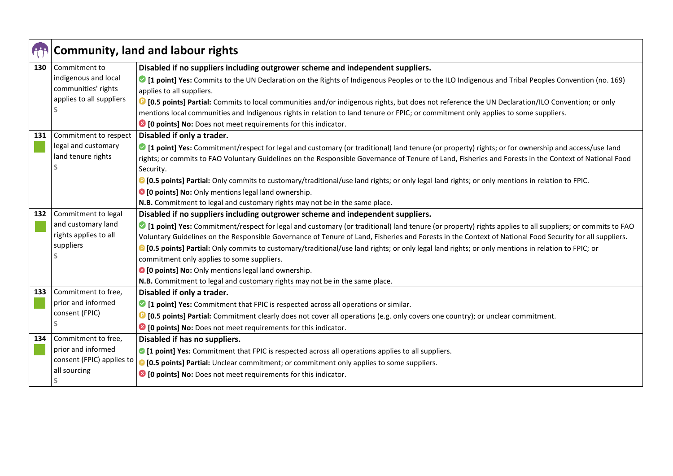|     | <b>Community, land and labour rights</b> |                                                                                                                                                               |
|-----|------------------------------------------|---------------------------------------------------------------------------------------------------------------------------------------------------------------|
| 130 | Commitment to                            | Disabled if no suppliers including outgrower scheme and independent suppliers.                                                                                |
|     | indigenous and local                     | • [1 point] Yes: Commits to the UN Declaration on the Rights of Indigenous Peoples or to the ILO Indigenous and Tribal Peoples Convention (no. 169)           |
|     | communities' rights                      | applies to all suppliers.                                                                                                                                     |
|     | applies to all suppliers                 | <b>D</b> [0.5 points] Partial: Commits to local communities and/or indigenous rights, but does not reference the UN Declaration/ILO Convention; or only       |
|     |                                          | mentions local communities and Indigenous rights in relation to land tenure or FPIC; or commitment only applies to some suppliers.                            |
|     |                                          | <sup>8</sup> [0 points] No: Does not meet requirements for this indicator.                                                                                    |
| 131 | Commitment to respect                    | Disabled if only a trader.                                                                                                                                    |
|     | legal and customary                      | I point] Yes: Commitment/respect for legal and customary (or traditional) land tenure (or property) rights; or for ownership and access/use land              |
|     | land tenure rights                       | rights; or commits to FAO Voluntary Guidelines on the Responsible Governance of Tenure of Land, Fisheries and Forests in the Context of National Food         |
|     |                                          | Security.                                                                                                                                                     |
|     |                                          | <sup>1</sup> [0.5 points] Partial: Only commits to customary/traditional/use land rights; or only legal land rights; or only mentions in relation to FPIC.    |
|     |                                          | <sup>3</sup> [0 points] No: Only mentions legal land ownership.                                                                                               |
|     |                                          | N.B. Commitment to legal and customary rights may not be in the same place.                                                                                   |
| 132 | Commitment to legal                      | Disabled if no suppliers including outgrower scheme and independent suppliers.                                                                                |
|     | and customary land                       | ○ [1 point] Yes: Commitment/respect for legal and customary (or traditional) land tenure (or property) rights applies to all suppliers; or commits to FAO     |
|     | rights applies to all                    | Voluntary Guidelines on the Responsible Governance of Tenure of Land, Fisheries and Forests in the Context of National Food Security for all suppliers.       |
|     | suppliers                                | <sup>1</sup> [0.5 points] Partial: Only commits to customary/traditional/use land rights; or only legal land rights; or only mentions in relation to FPIC; or |
|     |                                          | commitment only applies to some suppliers.                                                                                                                    |
|     |                                          | <sup>3</sup> [0 points] No: Only mentions legal land ownership.                                                                                               |
|     |                                          | N.B. Commitment to legal and customary rights may not be in the same place.                                                                                   |
| 133 | Commitment to free,                      | Disabled if only a trader.                                                                                                                                    |
|     | prior and informed                       | 1 point] Yes: Commitment that FPIC is respected across all operations or similar.                                                                             |
|     | consent (FPIC)                           | <sup>1</sup> [0.5 points] Partial: Commitment clearly does not cover all operations (e.g. only covers one country); or unclear commitment.                    |
|     |                                          | <sup>8</sup> [0 points] No: Does not meet requirements for this indicator.                                                                                    |
| 134 | Commitment to free,                      | Disabled if has no suppliers.                                                                                                                                 |
|     | prior and informed                       | • [1 point] Yes: Commitment that FPIC is respected across all operations applies to all suppliers.                                                            |
|     | consent (FPIC) applies to                | <b>D [0.5 points] Partial:</b> Unclear commitment; or commitment only applies to some suppliers.                                                              |
|     | all sourcing                             | <sup>8</sup> [0 points] No: Does not meet requirements for this indicator.                                                                                    |
|     | S                                        |                                                                                                                                                               |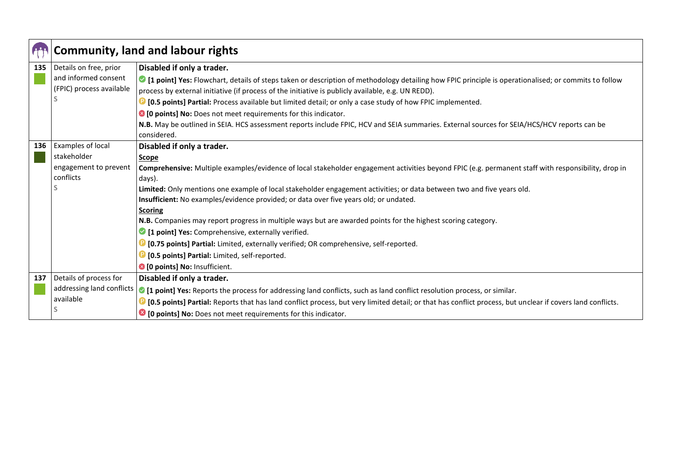|     | <b>Community, land and labour rights</b> |                                                                                                                                                                |
|-----|------------------------------------------|----------------------------------------------------------------------------------------------------------------------------------------------------------------|
| 135 | Details on free, prior                   | Disabled if only a trader.                                                                                                                                     |
|     | and informed consent                     | I point] Yes: Flowchart, details of steps taken or description of methodology detailing how FPIC principle is operationalised; or commits to follow            |
|     | (FPIC) process available                 | process by external initiative (if process of the initiative is publicly available, e.g. UN REDD).                                                             |
|     |                                          | <b>D</b> [0.5 points] Partial: Process available but limited detail; or only a case study of how FPIC implemented.                                             |
|     |                                          | <sup>8</sup> [0 points] No: Does not meet requirements for this indicator.                                                                                     |
|     |                                          | N.B. May be outlined in SEIA. HCS assessment reports include FPIC, HCV and SEIA summaries. External sources for SEIA/HCS/HCV reports can be                    |
|     |                                          | considered.                                                                                                                                                    |
| 136 | Examples of local                        | Disabled if only a trader.                                                                                                                                     |
|     | stakeholder                              | <b>Scope</b>                                                                                                                                                   |
|     | engagement to prevent                    | Comprehensive: Multiple examples/evidence of local stakeholder engagement activities beyond FPIC (e.g. permanent staff with responsibility, drop in            |
|     | conflicts                                | days).                                                                                                                                                         |
|     |                                          | Limited: Only mentions one example of local stakeholder engagement activities; or data between two and five years old.                                         |
|     |                                          | Insufficient: No examples/evidence provided; or data over five years old; or undated.                                                                          |
|     |                                          | <b>Scoring</b>                                                                                                                                                 |
|     |                                          | N.B. Companies may report progress in multiple ways but are awarded points for the highest scoring category.                                                   |
|     |                                          | 1 [1 point] Yes: Comprehensive, externally verified.                                                                                                           |
|     |                                          | <sup>1</sup> [0.75 points] Partial: Limited, externally verified; OR comprehensive, self-reported.                                                             |
|     |                                          | <sup>1</sup> [0.5 points] Partial: Limited, self-reported.                                                                                                     |
|     |                                          | <sup>3</sup> [0 points] No: Insufficient.                                                                                                                      |
| 137 | Details of process for                   | Disabled if only a trader.                                                                                                                                     |
|     |                                          | addressing land conflicts   1 point] Yes: Reports the process for addressing land conflicts, such as land conflict resolution process, or similar.             |
|     | available                                | [D] [0.5 points] Partial: Reports that has land conflict process, but very limited detail; or that has conflict process, but unclear if covers land conflicts. |
|     |                                          | <sup>8</sup> [0 points] No: Does not meet requirements for this indicator.                                                                                     |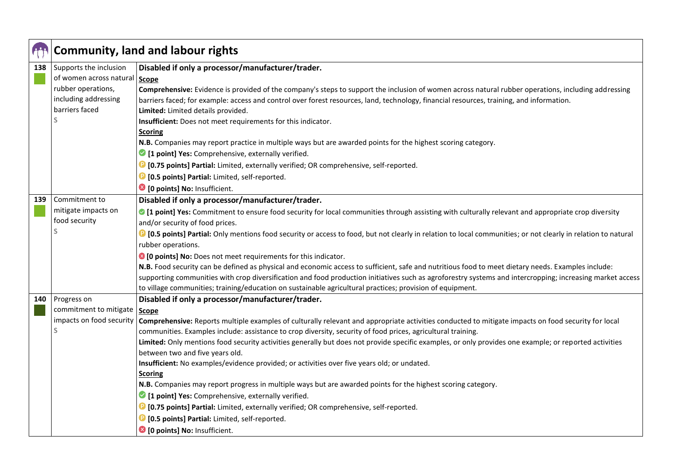|     | <b>Community, land and labour rights</b> |                                                                                                                                                                                                                                                                        |
|-----|------------------------------------------|------------------------------------------------------------------------------------------------------------------------------------------------------------------------------------------------------------------------------------------------------------------------|
| 138 | Supports the inclusion                   | Disabled if only a processor/manufacturer/trader.                                                                                                                                                                                                                      |
|     | of women across natural                  | <b>Scope</b>                                                                                                                                                                                                                                                           |
|     | rubber operations,                       | Comprehensive: Evidence is provided of the company's steps to support the inclusion of women across natural rubber operations, including addressing                                                                                                                    |
|     | including addressing                     | barriers faced; for example: access and control over forest resources, land, technology, financial resources, training, and information.                                                                                                                               |
|     | barriers faced                           | Limited: Limited details provided.                                                                                                                                                                                                                                     |
|     |                                          | Insufficient: Does not meet requirements for this indicator.                                                                                                                                                                                                           |
|     |                                          | <b>Scoring</b>                                                                                                                                                                                                                                                         |
|     |                                          | N.B. Companies may report practice in multiple ways but are awarded points for the highest scoring category.                                                                                                                                                           |
|     |                                          | 1 [1 point] Yes: Comprehensive, externally verified.                                                                                                                                                                                                                   |
|     |                                          | <sup>1</sup> [0.75 points] Partial: Limited, externally verified; OR comprehensive, self-reported.                                                                                                                                                                     |
|     |                                          | <sup>1</sup> [0.5 points] Partial: Limited, self-reported.                                                                                                                                                                                                             |
|     |                                          | <sup>3</sup> [0 points] No: Insufficient.                                                                                                                                                                                                                              |
| 139 | Commitment to                            | Disabled if only a processor/manufacturer/trader.                                                                                                                                                                                                                      |
|     | mitigate impacts on                      | ◎ [1 point] Yes: Commitment to ensure food security for local communities through assisting with culturally relevant and appropriate crop diversity                                                                                                                    |
|     | food security                            | and/or security of food prices.                                                                                                                                                                                                                                        |
|     |                                          | <b>C</b> [0.5 points] Partial: Only mentions food security or access to food, but not clearly in relation to local communities; or not clearly in relation to natural                                                                                                  |
|     |                                          | rubber operations.                                                                                                                                                                                                                                                     |
|     |                                          | <sup>3</sup> [0 points] No: Does not meet requirements for this indicator.                                                                                                                                                                                             |
|     |                                          | N.B. Food security can be defined as physical and economic access to sufficient, safe and nutritious food to meet dietary needs. Examples include:                                                                                                                     |
|     |                                          | supporting communities with crop diversification and food production initiatives such as agroforestry systems and intercropping; increasing market access                                                                                                              |
|     |                                          | to village communities; training/education on sustainable agricultural practices; provision of equipment.                                                                                                                                                              |
| 140 | Progress on                              | Disabled if only a processor/manufacturer/trader.                                                                                                                                                                                                                      |
|     | commitment to mitigate                   | Scope                                                                                                                                                                                                                                                                  |
|     | impacts on food security                 | Comprehensive: Reports multiple examples of culturally relevant and appropriate activities conducted to mitigate impacts on food security for local                                                                                                                    |
|     |                                          | communities. Examples include: assistance to crop diversity, security of food prices, agricultural training.<br>Limited: Only mentions food security activities generally but does not provide specific examples, or only provides one example; or reported activities |
|     |                                          | between two and five years old.                                                                                                                                                                                                                                        |
|     |                                          | Insufficient: No examples/evidence provided; or activities over five years old; or undated.                                                                                                                                                                            |
|     |                                          | <b>Scoring</b>                                                                                                                                                                                                                                                         |
|     |                                          | N.B. Companies may report progress in multiple ways but are awarded points for the highest scoring category.                                                                                                                                                           |
|     |                                          | 1 [1 point] Yes: Comprehensive, externally verified.                                                                                                                                                                                                                   |
|     |                                          | <sup>1</sup> [0.75 points] Partial: Limited, externally verified; OR comprehensive, self-reported.                                                                                                                                                                     |
|     |                                          | <sup>1</sup> [0.5 points] Partial: Limited, self-reported.                                                                                                                                                                                                             |
|     |                                          |                                                                                                                                                                                                                                                                        |
|     |                                          | <sup>8</sup> [0 points] No: Insufficient.                                                                                                                                                                                                                              |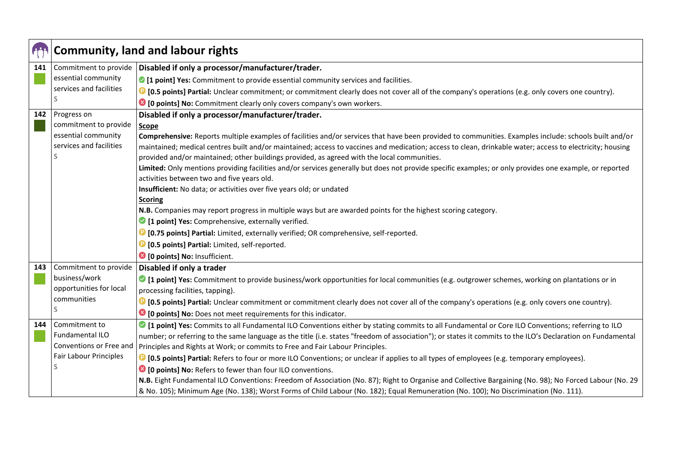|     |                                        | <b>Community, land and labour rights</b>                                                                                                                    |
|-----|----------------------------------------|-------------------------------------------------------------------------------------------------------------------------------------------------------------|
| 141 | Commitment to provide                  | Disabled if only a processor/manufacturer/trader.                                                                                                           |
|     | essential community                    | • [1 point] Yes: Commitment to provide essential community services and facilities.                                                                         |
|     | services and facilities                | <b>D</b> [0.5 points] Partial: Unclear commitment; or commitment clearly does not cover all of the company's operations (e.g. only covers one country).     |
|     | S                                      | <sup>3</sup> [0 points] No: Commitment clearly only covers company's own workers.                                                                           |
| 142 | Progress on                            | Disabled if only a processor/manufacturer/trader.                                                                                                           |
|     | commitment to provide                  | <b>Scope</b>                                                                                                                                                |
|     | essential community                    | Comprehensive: Reports multiple examples of facilities and/or services that have been provided to communities. Examples include: schools built and/or       |
|     | services and facilities                | maintained; medical centres built and/or maintained; access to vaccines and medication; access to clean, drinkable water; access to electricity; housing    |
|     |                                        | provided and/or maintained; other buildings provided, as agreed with the local communities.                                                                 |
|     |                                        | Limited: Only mentions providing facilities and/or services generally but does not provide specific examples; or only provides one example, or reported     |
|     |                                        | activities between two and five years old.                                                                                                                  |
|     |                                        | Insufficient: No data; or activities over five years old; or undated                                                                                        |
|     |                                        | <b>Scoring</b><br>N.B. Companies may report progress in multiple ways but are awarded points for the highest scoring category.                              |
|     |                                        | 1 point] Yes: Comprehensive, externally verified.                                                                                                           |
|     |                                        | <b>D</b> [0.75 points] Partial: Limited, externally verified; OR comprehensive, self-reported.                                                              |
|     |                                        |                                                                                                                                                             |
|     |                                        | <b>D</b> [0.5 points] Partial: Limited, self-reported.                                                                                                      |
|     |                                        | <sup>3</sup> [0 points] No: Insufficient.                                                                                                                   |
| 143 | Commitment to provide<br>business/work | Disabled if only a trader                                                                                                                                   |
|     | opportunities for local                | • [1 point] Yes: Commitment to provide business/work opportunities for local communities (e.g. outgrower schemes, working on plantations or in              |
|     | communities                            | processing facilities, tapping).                                                                                                                            |
|     | S                                      | <sup>1</sup> [0.5 points] Partial: Unclear commitment or commitment clearly does not cover all of the company's operations (e.g. only covers one country).  |
|     |                                        | <sup>8</sup> [0 points] No: Does not meet requirements for this indicator.                                                                                  |
| 144 | Commitment to                          | If point] Yes: Commits to all Fundamental ILO Conventions either by stating commits to all Fundamental or Core ILO Conventions; referring to ILO            |
|     | Fundamental ILO                        | number; or referring to the same language as the title (i.e. states "freedom of association"); or states it commits to the ILO's Declaration on Fundamental |
|     | Conventions or Free and                | Principles and Rights at Work; or commits to Free and Fair Labour Principles.                                                                               |
|     | Fair Labour Principles                 | <b>D</b> [0.5 points] Partial: Refers to four or more ILO Conventions; or unclear if applies to all types of employees (e.g. temporary employees).          |
|     |                                        | <sup>8</sup> [0 points] No: Refers to fewer than four ILO conventions.                                                                                      |
|     |                                        | N.B. Eight Fundamental ILO Conventions: Freedom of Association (No. 87); Right to Organise and Collective Bargaining (No. 98); No Forced Labour (No. 29     |
|     |                                        | & No. 105); Minimum Age (No. 138); Worst Forms of Child Labour (No. 182); Equal Remuneration (No. 100); No Discrimination (No. 111).                        |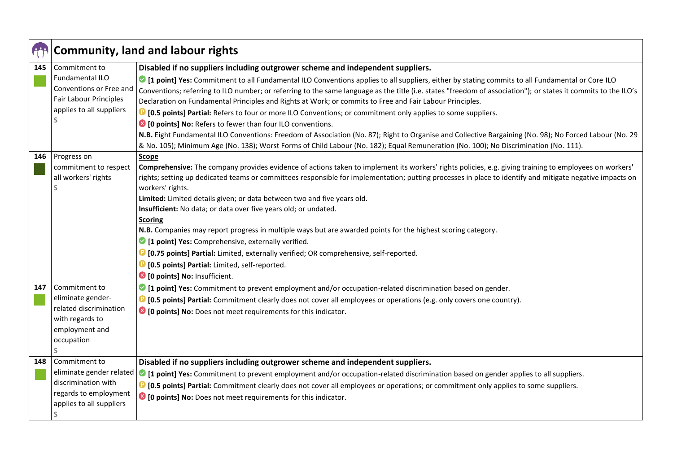|     | <b>Community, land and labour rights</b>                                    |                                                                                                                                                                                                                                                                                                                                                                                                                                            |
|-----|-----------------------------------------------------------------------------|--------------------------------------------------------------------------------------------------------------------------------------------------------------------------------------------------------------------------------------------------------------------------------------------------------------------------------------------------------------------------------------------------------------------------------------------|
| 145 | Commitment to                                                               | Disabled if no suppliers including outgrower scheme and independent suppliers.                                                                                                                                                                                                                                                                                                                                                             |
|     | <b>Fundamental ILO</b><br>Conventions or Free and<br>Fair Labour Principles | <sup>2</sup> [1 point] Yes: Commitment to all Fundamental ILO Conventions applies to all suppliers, either by stating commits to all Fundamental or Core ILO<br>Conventions; referring to ILO number; or referring to the same language as the title (i.e. states "freedom of association"); or states it commits to the ILO's<br>Declaration on Fundamental Principles and Rights at Work; or commits to Free and Fair Labour Principles. |
|     | applies to all suppliers                                                    | <b>D</b> [0.5 points] Partial: Refers to four or more ILO Conventions; or commitment only applies to some suppliers.                                                                                                                                                                                                                                                                                                                       |
|     |                                                                             | <sup>8</sup> [0 points] No: Refers to fewer than four ILO conventions.                                                                                                                                                                                                                                                                                                                                                                     |
|     |                                                                             | N.B. Eight Fundamental ILO Conventions: Freedom of Association (No. 87); Right to Organise and Collective Bargaining (No. 98); No Forced Labour (No. 29)<br>& No. 105); Minimum Age (No. 138); Worst Forms of Child Labour (No. 182); Equal Remuneration (No. 100); No Discrimination (No. 111).                                                                                                                                           |
| 146 | Progress on                                                                 | Scope                                                                                                                                                                                                                                                                                                                                                                                                                                      |
|     | commitment to respect                                                       | Comprehensive: The company provides evidence of actions taken to implement its workers' rights policies, e.g. giving training to employees on workers'                                                                                                                                                                                                                                                                                     |
|     | all workers' rights                                                         | rights; setting up dedicated teams or committees responsible for implementation; putting processes in place to identify and mitigate negative impacts on                                                                                                                                                                                                                                                                                   |
|     |                                                                             | workers' rights.                                                                                                                                                                                                                                                                                                                                                                                                                           |
|     |                                                                             | Limited: Limited details given; or data between two and five years old.<br>Insufficient: No data; or data over five years old; or undated.                                                                                                                                                                                                                                                                                                 |
|     |                                                                             | <b>Scoring</b>                                                                                                                                                                                                                                                                                                                                                                                                                             |
|     |                                                                             | N.B. Companies may report progress in multiple ways but are awarded points for the highest scoring category.                                                                                                                                                                                                                                                                                                                               |
|     |                                                                             | 1 [1 point] Yes: Comprehensive, externally verified.                                                                                                                                                                                                                                                                                                                                                                                       |
|     |                                                                             | <sup>1</sup> [0.75 points] Partial: Limited, externally verified; OR comprehensive, self-reported.                                                                                                                                                                                                                                                                                                                                         |
|     |                                                                             | <b>D</b> [0.5 points] Partial: Limited, self-reported.                                                                                                                                                                                                                                                                                                                                                                                     |
|     |                                                                             | <sup>3</sup> [0 points] No: Insufficient.                                                                                                                                                                                                                                                                                                                                                                                                  |
| 147 | Commitment to                                                               | 1 point] Yes: Commitment to prevent employment and/or occupation-related discrimination based on gender.                                                                                                                                                                                                                                                                                                                                   |
|     | eliminate gender-                                                           | <b>D</b> [0.5 points] Partial: Commitment clearly does not cover all employees or operations (e.g. only covers one country).                                                                                                                                                                                                                                                                                                               |
|     | related discrimination                                                      | <sup>3</sup> [0 points] No: Does not meet requirements for this indicator.                                                                                                                                                                                                                                                                                                                                                                 |
|     | with regards to                                                             |                                                                                                                                                                                                                                                                                                                                                                                                                                            |
|     | employment and                                                              |                                                                                                                                                                                                                                                                                                                                                                                                                                            |
|     | occupation<br>S                                                             |                                                                                                                                                                                                                                                                                                                                                                                                                                            |
| 148 | Commitment to                                                               | Disabled if no suppliers including outgrower scheme and independent suppliers.                                                                                                                                                                                                                                                                                                                                                             |
|     | eliminate gender related                                                    |                                                                                                                                                                                                                                                                                                                                                                                                                                            |
|     | discrimination with                                                         | I point] Yes: Commitment to prevent employment and/or occupation-related discrimination based on gender applies to all suppliers.                                                                                                                                                                                                                                                                                                          |
|     | regards to employment                                                       | <b>C</b> [0.5 points] Partial: Commitment clearly does not cover all employees or operations; or commitment only applies to some suppliers.<br><sup>3</sup> [0 points] No: Does not meet requirements for this indicator.                                                                                                                                                                                                                  |
|     | applies to all suppliers                                                    |                                                                                                                                                                                                                                                                                                                                                                                                                                            |
|     | <sub>S</sub>                                                                |                                                                                                                                                                                                                                                                                                                                                                                                                                            |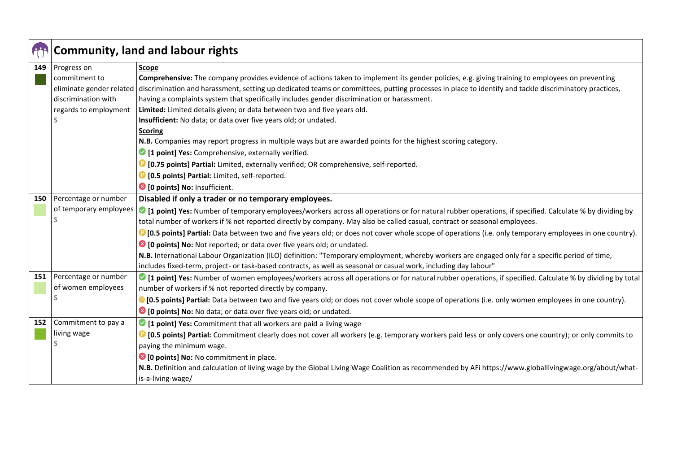|     | <b>Community, land and labour rights</b> |                                                                                                                                                                     |
|-----|------------------------------------------|---------------------------------------------------------------------------------------------------------------------------------------------------------------------|
| 149 | Progress on                              | Scope                                                                                                                                                               |
|     | commitment to                            | Comprehensive: The company provides evidence of actions taken to implement its gender policies, e.g. giving training to employees on preventing                     |
|     | eliminate gender related                 | discrimination and harassment, setting up dedicated teams or committees, putting processes in place to identify and tackle discriminatory practices,                |
|     | discrimination with                      | having a complaints system that specifically includes gender discrimination or harassment.                                                                          |
|     | regards to employment                    | Limited: Limited details given; or data between two and five years old.                                                                                             |
|     |                                          | Insufficient: No data; or data over five years old; or undated.                                                                                                     |
|     |                                          | <b>Scoring</b>                                                                                                                                                      |
|     |                                          | N.B. Companies may report progress in multiple ways but are awarded points for the highest scoring category.                                                        |
|     |                                          | 1 [1 point] Yes: Comprehensive, externally verified.                                                                                                                |
|     |                                          | <sup>1</sup> [0.75 points] Partial: Limited, externally verified; OR comprehensive, self-reported.                                                                  |
|     |                                          | <b>D</b> [0.5 points] Partial: Limited, self-reported.                                                                                                              |
|     |                                          | <sup>3</sup> [0 points] No: Insufficient.                                                                                                                           |
| 150 | Percentage or number                     | Disabled if only a trader or no temporary employees.                                                                                                                |
|     | of temporary employees                   | ○ [1 point] Yes: Number of temporary employees/workers across all operations or for natural rubber operations, if specified. Calculate % by dividing by             |
|     | S                                        | total number of workers if % not reported directly by company. May also be called casual, contract or seasonal employees.                                           |
|     |                                          | <sup>1</sup> [0.5 points] Partial: Data between two and five years old; or does not cover whole scope of operations (i.e. only temporary employees in one country). |
|     |                                          | <sup>8</sup> [0 points] No: Not reported; or data over five years old; or undated.                                                                                  |
|     |                                          | N.B. International Labour Organization (ILO) definition: "Temporary employment, whereby workers are engaged only for a specific period of time,                     |
|     |                                          | includes fixed-term, project- or task-based contracts, as well as seasonal or casual work, including day labour"                                                    |
| 151 | Percentage or number                     | • [1 point] Yes: Number of women employees/workers across all operations or for natural rubber operations, if specified. Calculate % by dividing by total           |
|     | of women employees                       | number of workers if % not reported directly by company.                                                                                                            |
|     | S                                        | <sup>1</sup> [0.5 points] Partial: Data between two and five years old; or does not cover whole scope of operations (i.e. only women employees in one country).     |
|     |                                          | <sup>8</sup> [0 points] No: No data; or data over five years old; or undated.                                                                                       |
| 152 | Commitment to pay a                      | 1 [1 point] Yes: Commitment that all workers are paid a living wage                                                                                                 |
|     | living wage                              | <sup>1</sup> [0.5 points] Partial: Commitment clearly does not cover all workers (e.g. temporary workers paid less or only covers one country); or only commits to  |
|     |                                          | paying the minimum wage.                                                                                                                                            |
|     |                                          | <sup>3</sup> [0 points] No: No commitment in place.                                                                                                                 |
|     |                                          | N.B. Definition and calculation of living wage by the Global Living Wage Coalition as recommended by AFi https://www.globallivingwage.org/about/what-               |
|     |                                          | is-a-living-wage/                                                                                                                                                   |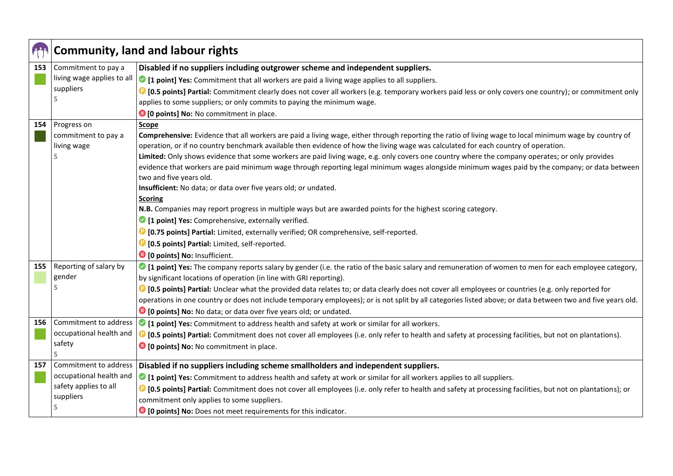|     | <b>Community, land and labour rights</b> |                                                                                                                                                                        |
|-----|------------------------------------------|------------------------------------------------------------------------------------------------------------------------------------------------------------------------|
| 153 | Commitment to pay a                      | Disabled if no suppliers including outgrower scheme and independent suppliers.                                                                                         |
|     | living wage applies to all               | • [1 point] Yes: Commitment that all workers are paid a living wage applies to all suppliers.                                                                          |
|     | suppliers                                | <sup>1</sup> [0.5 points] Partial: Commitment clearly does not cover all workers (e.g. temporary workers paid less or only covers one country); or commitment only     |
|     |                                          | applies to some suppliers; or only commits to paying the minimum wage.                                                                                                 |
|     |                                          | <sup>3</sup> [0 points] No: No commitment in place.                                                                                                                    |
| 154 | Progress on                              | Scope                                                                                                                                                                  |
|     | commitment to pay a                      | Comprehensive: Evidence that all workers are paid a living wage, either through reporting the ratio of living wage to local minimum wage by country of                 |
|     | living wage                              | operation, or if no country benchmark available then evidence of how the living wage was calculated for each country of operation.                                     |
|     |                                          | Limited: Only shows evidence that some workers are paid living wage, e.g. only covers one country where the company operates; or only provides                         |
|     |                                          | evidence that workers are paid minimum wage through reporting legal minimum wages alongside minimum wages paid by the company; or data between                         |
|     |                                          | two and five years old.                                                                                                                                                |
|     |                                          | Insufficient: No data; or data over five years old; or undated.<br><b>Scoring</b>                                                                                      |
|     |                                          | N.B. Companies may report progress in multiple ways but are awarded points for the highest scoring category.                                                           |
|     |                                          | 1 point] Yes: Comprehensive, externally verified.                                                                                                                      |
|     |                                          | <sup>1</sup> [0.75 points] Partial: Limited, externally verified; OR comprehensive, self-reported.                                                                     |
|     |                                          | <sup>1</sup> [0.5 points] Partial: Limited, self-reported.                                                                                                             |
|     |                                          | <sup>8</sup> [0 points] No: Insufficient.                                                                                                                              |
| 155 | Reporting of salary by                   | • [1 point] Yes: The company reports salary by gender (i.e. the ratio of the basic salary and remuneration of women to men for each employee category,                 |
|     | gender                                   | by significant locations of operation (in line with GRI reporting).                                                                                                    |
|     | S                                        | <sup>1</sup> [0.5 points] Partial: Unclear what the provided data relates to; or data clearly does not cover all employees or countries (e.g. only reported for        |
|     |                                          | operations in one country or does not include temporary employees); or is not split by all categories listed above; or data between two and five years old.            |
|     |                                          | <sup>8</sup> [0 points] No: No data; or data over five years old; or undated.                                                                                          |
| 156 | Commitment to address                    | I point] Yes: Commitment to address health and safety at work or similar for all workers.                                                                              |
|     | occupational health and                  | <sup>1</sup> [0.5 points] Partial: Commitment does not cover all employees (i.e. only refer to health and safety at processing facilities, but not on plantations).    |
|     | safety                                   | <sup>3</sup> [0 points] No: No commitment in place.                                                                                                                    |
|     |                                          |                                                                                                                                                                        |
| 157 | Commitment to address                    | Disabled if no suppliers including scheme smallholders and independent suppliers.                                                                                      |
|     | occupational health and                  | • [1 point] Yes: Commitment to address health and safety at work or similar for all workers applies to all suppliers.                                                  |
|     | safety applies to all                    | <sup>1</sup> [0.5 points] Partial: Commitment does not cover all employees (i.e. only refer to health and safety at processing facilities, but not on plantations); or |
|     | suppliers                                | commitment only applies to some suppliers.                                                                                                                             |
|     |                                          | <sup>8</sup> [0 points] No: Does not meet requirements for this indicator.                                                                                             |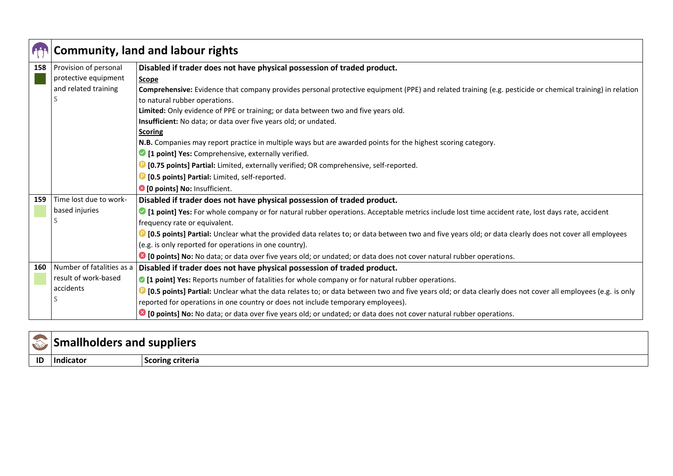|     | <b>Community, land and labour rights</b> |                                                                                                                                                                     |
|-----|------------------------------------------|---------------------------------------------------------------------------------------------------------------------------------------------------------------------|
| 158 | Provision of personal                    | Disabled if trader does not have physical possession of traded product.                                                                                             |
|     | protective equipment                     | Scope                                                                                                                                                               |
|     | and related training                     | Comprehensive: Evidence that company provides personal protective equipment (PPE) and related training (e.g. pesticide or chemical training) in relation            |
|     |                                          | to natural rubber operations.                                                                                                                                       |
|     |                                          | Limited: Only evidence of PPE or training; or data between two and five years old.                                                                                  |
|     |                                          | Insufficient: No data; or data over five years old; or undated.                                                                                                     |
|     |                                          | <b>Scoring</b>                                                                                                                                                      |
|     |                                          | N.B. Companies may report practice in multiple ways but are awarded points for the highest scoring category.                                                        |
|     |                                          | <sup>2</sup> [1 point] Yes: Comprehensive, externally verified.                                                                                                     |
|     |                                          | <b>D</b> [0.75 points] Partial: Limited, externally verified; OR comprehensive, self-reported.                                                                      |
|     |                                          | <b>D</b> [0.5 points] Partial: Limited, self-reported.                                                                                                              |
|     |                                          | <sup>3</sup> [0 points] No: Insufficient.                                                                                                                           |
| 159 | Time lost due to work-                   | Disabled if trader does not have physical possession of traded product.                                                                                             |
|     | based injuries                           | I point] Yes: For whole company or for natural rubber operations. Acceptable metrics include lost time accident rate, lost days rate, accident                      |
|     |                                          | frequency rate or equivalent.                                                                                                                                       |
|     |                                          | <b>D</b> [0.5 points] Partial: Unclear what the provided data relates to; or data between two and five years old; or data clearly does not cover all employees      |
|     |                                          | (e.g. is only reported for operations in one country).                                                                                                              |
|     |                                          | <b>■ [0 points] No:</b> No data; or data over five years old; or undated; or data does not cover natural rubber operations.                                         |
| 160 | Number of fatalities as a                | Disabled if trader does not have physical possession of traded product.                                                                                             |
|     | result of work-based                     | • [1 point] Yes: Reports number of fatalities for whole company or for natural rubber operations.                                                                   |
|     | accidents                                | <b>C</b> [0.5 points] Partial: Unclear what the data relates to; or data between two and five years old; or data clearly does not cover all employees (e.g. is only |
|     |                                          | reported for operations in one country or does not include temporary employees).                                                                                    |
|     |                                          | C [0 points] No: No data; or data over five years old; or undated; or data does not cover natural rubber operations.                                                |

| $7^{\prime}$<br>$\mathcal{L}$ | olders and suppliers |                         |
|-------------------------------|----------------------|-------------------------|
| ID                            | Indicator            | <b>Scoring criteria</b> |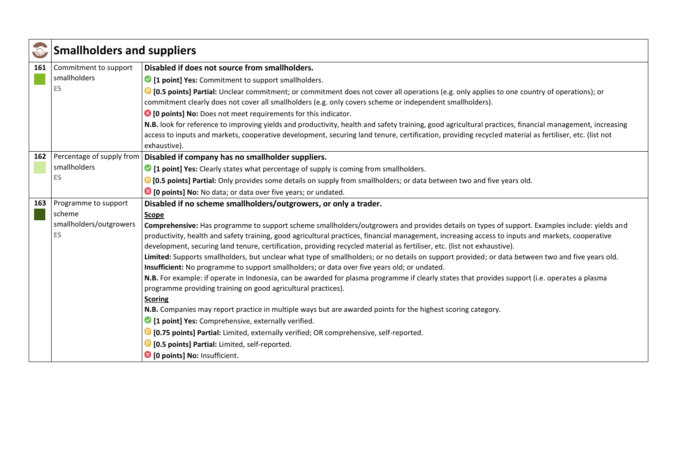|     | <b>Smallholders and suppliers</b> |                                                                                                                                                         |
|-----|-----------------------------------|---------------------------------------------------------------------------------------------------------------------------------------------------------|
| 161 | Commitment to support             | Disabled if does not source from smallholders.                                                                                                          |
|     | smallholders                      | • [1 point] Yes: Commitment to support smallholders.                                                                                                    |
|     | <b>ES</b>                         | <b>D</b> [0.5 points] Partial: Unclear commitment; or commitment does not cover all operations (e.g. only applies to one country of operations); or     |
|     |                                   | commitment clearly does not cover all smallholders (e.g. only covers scheme or independent smallholders).                                               |
|     |                                   | <sup>8</sup> [0 points] No: Does not meet requirements for this indicator.                                                                              |
|     |                                   | N.B. look for reference to improving yields and productivity, health and safety training, good agricultural practices, financial management, increasing |
|     |                                   | access to inputs and markets, cooperative development, securing land tenure, certification, providing recycled material as fertiliser, etc. (list not   |
|     |                                   | exhaustive).                                                                                                                                            |
| 162 | Percentage of supply from         | Disabled if company has no smallholder suppliers.                                                                                                       |
|     | smallholders                      | • [1 point] Yes: Clearly states what percentage of supply is coming from smallholders.                                                                  |
|     | <b>ES</b>                         | <b>D</b> [0.5 points] Partial: Only provides some details on supply from smallholders; or data between two and five years old.                          |
|     |                                   | <sup>3</sup> [0 points] No: No data; or data over five years; or undated.                                                                               |
| 163 | Programme to support              | Disabled if no scheme smallholders/outgrowers, or only a trader.                                                                                        |
|     | scheme                            | Scope                                                                                                                                                   |
|     | smallholders/outgrowers           | Comprehensive: Has programme to support scheme smallholders/outgrowers and provides details on types of support. Examples include: yields and           |
|     | <b>ES</b>                         | productivity, health and safety training, good agricultural practices, financial management, increasing access to inputs and markets, cooperative       |
|     |                                   | development, securing land tenure, certification, providing recycled material as fertiliser, etc. (list not exhaustive).                                |
|     |                                   | Limited: Supports smallholders, but unclear what type of smallholders; or no details on support provided; or data between two and five years old.       |
|     |                                   | Insufficient: No programme to support smallholders; or data over five years old; or undated.                                                            |
|     |                                   | N.B. For example: if operate in Indonesia, can be awarded for plasma programme if clearly states that provides support (i.e. operates a plasma          |
|     |                                   | programme providing training on good agricultural practices).                                                                                           |
|     |                                   | <b>Scoring</b>                                                                                                                                          |
|     |                                   | N.B. Companies may report practice in multiple ways but are awarded points for the highest scoring category.                                            |
|     |                                   | <sup>2</sup> [1 point] Yes: Comprehensive, externally verified.                                                                                         |
|     |                                   | <b>D</b> [0.75 points] Partial: Limited, externally verified; OR comprehensive, self-reported.                                                          |
|     |                                   | <b>D</b> [0.5 points] Partial: Limited, self-reported.                                                                                                  |
|     |                                   | <sup>3</sup> [0 points] No: Insufficient.                                                                                                               |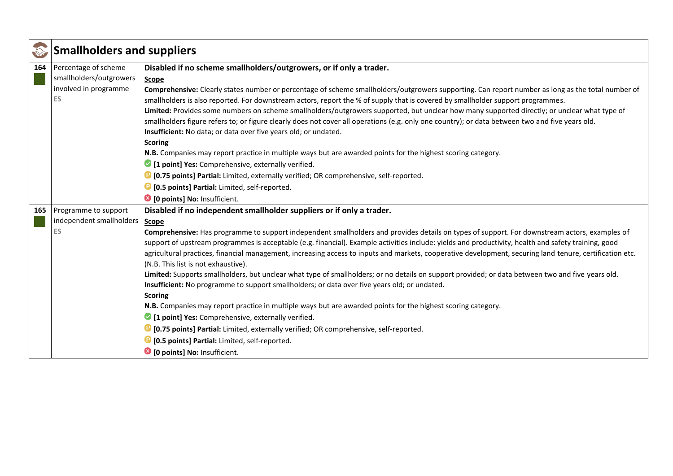|     | <b>Smallholders and suppliers</b> |                                                                                                                                                                                          |
|-----|-----------------------------------|------------------------------------------------------------------------------------------------------------------------------------------------------------------------------------------|
| 164 | Percentage of scheme              | Disabled if no scheme smallholders/outgrowers, or if only a trader.                                                                                                                      |
|     | smallholders/outgrowers           | Scope                                                                                                                                                                                    |
|     | involved in programme             | Comprehensive: Clearly states number or percentage of scheme smallholders/outgrowers supporting. Can report number as long as the total number of                                        |
|     | <b>ES</b>                         | smallholders is also reported. For downstream actors, report the % of supply that is covered by smallholder support programmes.                                                          |
|     |                                   | Limited: Provides some numbers on scheme smallholders/outgrowers supported, but unclear how many supported directly; or unclear what type of                                             |
|     |                                   | smallholders figure refers to; or figure clearly does not cover all operations (e.g. only one country); or data between two and five years old.                                          |
|     |                                   | Insufficient: No data; or data over five years old; or undated.                                                                                                                          |
|     |                                   | <b>Scoring</b>                                                                                                                                                                           |
|     |                                   | N.B. Companies may report practice in multiple ways but are awarded points for the highest scoring category.                                                                             |
|     |                                   | <sup>1</sup> [1 point] Yes: Comprehensive, externally verified.                                                                                                                          |
|     |                                   | <b>D</b> [0.75 points] Partial: Limited, externally verified; OR comprehensive, self-reported.                                                                                           |
|     |                                   | <b>D</b> [0.5 points] Partial: Limited, self-reported.                                                                                                                                   |
|     |                                   | <sup>8</sup> [0 points] No: Insufficient.                                                                                                                                                |
| 165 | Programme to support              | Disabled if no independent smallholder suppliers or if only a trader.                                                                                                                    |
|     | independent smallholders          | Scope                                                                                                                                                                                    |
|     | <b>ES</b>                         | Comprehensive: Has programme to support independent smallholders and provides details on types of support. For downstream actors, examples of                                            |
|     |                                   | support of upstream programmes is acceptable (e.g. financial). Example activities include: yields and productivity, health and safety training, good                                     |
|     |                                   | agricultural practices, financial management, increasing access to inputs and markets, cooperative development, securing land tenure, certification etc.                                 |
|     |                                   | (N.B. This list is not exhaustive).<br>Limited: Supports smallholders, but unclear what type of smallholders; or no details on support provided; or data between two and five years old. |
|     |                                   | Insufficient: No programme to support smallholders; or data over five years old; or undated.                                                                                             |
|     |                                   | <b>Scoring</b>                                                                                                                                                                           |
|     |                                   | N.B. Companies may report practice in multiple ways but are awarded points for the highest scoring category.                                                                             |
|     |                                   | <sup>1</sup> [1 point] Yes: Comprehensive, externally verified.                                                                                                                          |
|     |                                   | <sup>1</sup> [0.75 points] Partial: Limited, externally verified; OR comprehensive, self-reported.                                                                                       |
|     |                                   | <b>D</b> [0.5 points] Partial: Limited, self-reported.                                                                                                                                   |
|     |                                   | <sup>3</sup> [0 points] No: Insufficient.                                                                                                                                                |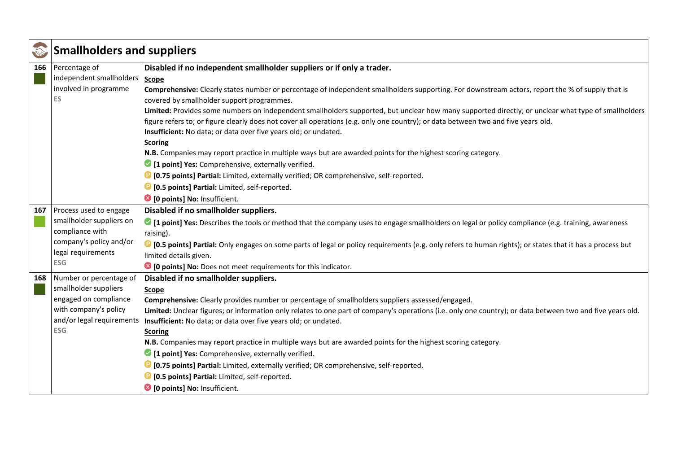|     | <b>Smallholders and suppliers</b> |                                                                                                                                                                       |
|-----|-----------------------------------|-----------------------------------------------------------------------------------------------------------------------------------------------------------------------|
| 166 | Percentage of                     | Disabled if no independent smallholder suppliers or if only a trader.                                                                                                 |
|     | independent smallholders          | <b>Scope</b>                                                                                                                                                          |
|     | involved in programme             | Comprehensive: Clearly states number or percentage of independent smallholders supporting. For downstream actors, report the % of supply that is                      |
|     | ES                                | covered by smallholder support programmes.                                                                                                                            |
|     |                                   | Limited: Provides some numbers on independent smallholders supported, but unclear how many supported directly; or unclear what type of smallholders                   |
|     |                                   | figure refers to; or figure clearly does not cover all operations (e.g. only one country); or data between two and five years old.                                    |
|     |                                   | Insufficient: No data; or data over five years old; or undated.                                                                                                       |
|     |                                   | <b>Scoring</b>                                                                                                                                                        |
|     |                                   | N.B. Companies may report practice in multiple ways but are awarded points for the highest scoring category.                                                          |
|     |                                   | <sup>1</sup> [1 point] Yes: Comprehensive, externally verified.                                                                                                       |
|     |                                   | <sup>1</sup> [0.75 points] Partial: Limited, externally verified; OR comprehensive, self-reported.                                                                    |
|     |                                   | <b>D</b> [0.5 points] Partial: Limited, self-reported.                                                                                                                |
|     |                                   | <sup>3</sup> [0 points] No: Insufficient.                                                                                                                             |
| 167 | Process used to engage            | Disabled if no smallholder suppliers.                                                                                                                                 |
|     | smallholder suppliers on          | If point] Yes: Describes the tools or method that the company uses to engage smallholders on legal or policy compliance (e.g. training, awareness                     |
|     | compliance with                   | raising).                                                                                                                                                             |
|     | company's policy and/or           | <sup>1</sup> [0.5 points] Partial: Only engages on some parts of legal or policy requirements (e.g. only refers to human rights); or states that it has a process but |
|     | legal requirements                | limited details given.                                                                                                                                                |
|     | <b>ESG</b>                        | <sup>8</sup> [0 points] No: Does not meet requirements for this indicator.                                                                                            |
| 168 | Number or percentage of           | Disabled if no smallholder suppliers.                                                                                                                                 |
|     | smallholder suppliers             | Scope                                                                                                                                                                 |
|     | engaged on compliance             | Comprehensive: Clearly provides number or percentage of smallholders suppliers assessed/engaged.                                                                      |
|     | with company's policy             | Limited: Unclear figures; or information only relates to one part of company's operations (i.e. only one country); or data between two and five years old.            |
|     | and/or legal requirements         | Insufficient: No data; or data over five years old; or undated.                                                                                                       |
|     | <b>ESG</b>                        | <b>Scoring</b>                                                                                                                                                        |
|     |                                   | N.B. Companies may report practice in multiple ways but are awarded points for the highest scoring category.                                                          |
|     |                                   | <sup>2</sup> [1 point] Yes: Comprehensive, externally verified.                                                                                                       |
|     |                                   | <b>D</b> [0.75 points] Partial: Limited, externally verified; OR comprehensive, self-reported.                                                                        |
|     |                                   | <b>D</b> [0.5 points] Partial: Limited, self-reported.                                                                                                                |
|     |                                   | <sup>3</sup> [0 points] No: Insufficient.                                                                                                                             |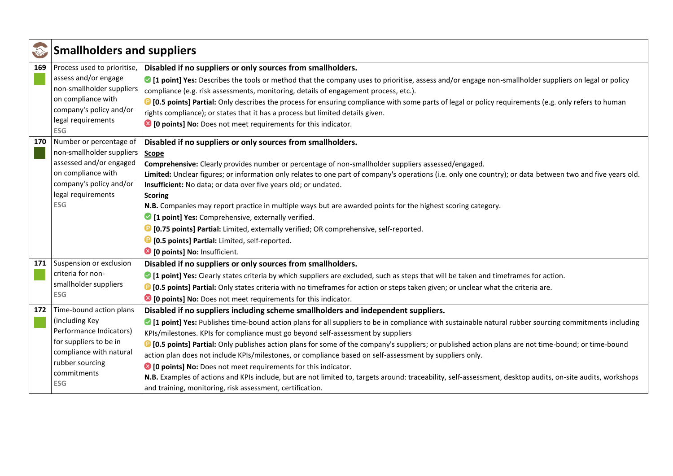| ms  | <b>Smallholders and suppliers</b>                   |                                                                                                                                                                                                                                               |
|-----|-----------------------------------------------------|-----------------------------------------------------------------------------------------------------------------------------------------------------------------------------------------------------------------------------------------------|
| 169 | Process used to prioritise,<br>assess and/or engage | Disabled if no suppliers or only sources from smallholders.                                                                                                                                                                                   |
|     | non-smallholder suppliers                           | 1 [1 point] Yes: Describes the tools or method that the company uses to prioritise, assess and/or engage non-smallholder suppliers on legal or policy<br>compliance (e.g. risk assessments, monitoring, details of engagement process, etc.). |
|     | on compliance with                                  | <sup>1</sup> [0.5 points] Partial: Only describes the process for ensuring compliance with some parts of legal or policy requirements (e.g. only refers to human                                                                              |
|     | company's policy and/or                             | rights compliance); or states that it has a process but limited details given.                                                                                                                                                                |
|     | legal requirements                                  | <sup>8</sup> [0 points] No: Does not meet requirements for this indicator.                                                                                                                                                                    |
|     | <b>ESG</b>                                          |                                                                                                                                                                                                                                               |
| 170 | Number or percentage of                             | Disabled if no suppliers or only sources from smallholders.                                                                                                                                                                                   |
|     | non-smallholder suppliers                           | Scope                                                                                                                                                                                                                                         |
|     | assessed and/or engaged                             | Comprehensive: Clearly provides number or percentage of non-smallholder suppliers assessed/engaged.                                                                                                                                           |
|     | on compliance with                                  | Limited: Unclear figures; or information only relates to one part of company's operations (i.e. only one country); or data between two and five years old.                                                                                    |
|     | company's policy and/or                             | Insufficient: No data; or data over five years old; or undated.                                                                                                                                                                               |
|     | legal requirements                                  | <b>Scoring</b>                                                                                                                                                                                                                                |
|     | <b>ESG</b>                                          | N.B. Companies may report practice in multiple ways but are awarded points for the highest scoring category.                                                                                                                                  |
|     |                                                     | 1 [1 point] Yes: Comprehensive, externally verified.                                                                                                                                                                                          |
|     |                                                     | <sup>1</sup> [0.75 points] Partial: Limited, externally verified; OR comprehensive, self-reported.                                                                                                                                            |
|     |                                                     | <b>D</b> [0.5 points] Partial: Limited, self-reported.                                                                                                                                                                                        |
|     |                                                     | <sup>3</sup> [0 points] No: Insufficient.                                                                                                                                                                                                     |
| 171 | Suspension or exclusion                             | Disabled if no suppliers or only sources from smallholders.                                                                                                                                                                                   |
|     | criteria for non-                                   | • [1 point] Yes: Clearly states criteria by which suppliers are excluded, such as steps that will be taken and timeframes for action.                                                                                                         |
|     | smallholder suppliers                               | <b>D</b> [0.5 points] Partial: Only states criteria with no timeframes for action or steps taken given; or unclear what the criteria are.                                                                                                     |
|     | <b>ESG</b>                                          | <sup>3</sup> [0 points] No: Does not meet requirements for this indicator.                                                                                                                                                                    |
| 172 | Time-bound action plans                             | Disabled if no suppliers including scheme smallholders and independent suppliers.                                                                                                                                                             |
|     | (including Key                                      | • [1 point] Yes: Publishes time-bound action plans for all suppliers to be in compliance with sustainable natural rubber sourcing commitments including                                                                                       |
|     | Performance Indicators)                             | KPIs/milestones. KPIs for compliance must go beyond self-assessment by suppliers                                                                                                                                                              |
|     | for suppliers to be in                              | <b>D</b> [0.5 points] Partial: Only publishes action plans for some of the company's suppliers; or published action plans are not time-bound; or time-bound                                                                                   |
|     | compliance with natural                             | action plan does not include KPIs/milestones, or compliance based on self-assessment by suppliers only.                                                                                                                                       |
|     | rubber sourcing                                     | <sup>8</sup> [0 points] No: Does not meet requirements for this indicator.                                                                                                                                                                    |
|     | commitments                                         | N.B. Examples of actions and KPIs include, but are not limited to, targets around: traceability, self-assessment, desktop audits, on-site audits, workshops                                                                                   |
|     | <b>ESG</b>                                          | and training, monitoring, risk assessment, certification.                                                                                                                                                                                     |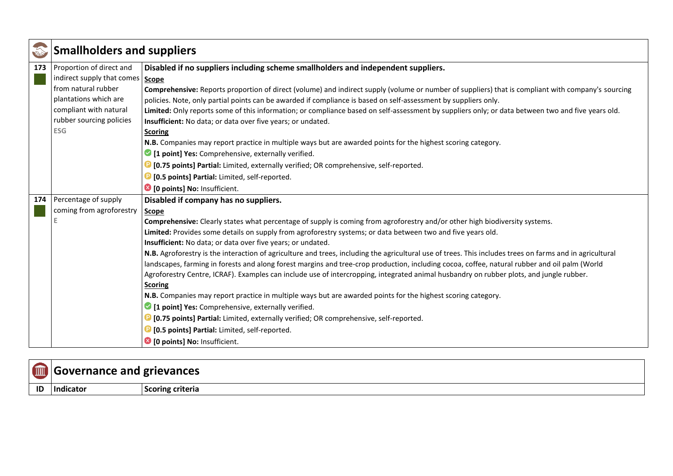|     | <b>Smallholders and suppliers</b>  |                                                                                                                                                          |
|-----|------------------------------------|----------------------------------------------------------------------------------------------------------------------------------------------------------|
| 173 | Proportion of direct and           | Disabled if no suppliers including scheme smallholders and independent suppliers.                                                                        |
|     | indirect supply that comes   Scope |                                                                                                                                                          |
|     | from natural rubber                | Comprehensive: Reports proportion of direct (volume) and indirect supply (volume or number of suppliers) that is compliant with company's sourcing       |
|     | plantations which are              | policies. Note, only partial points can be awarded if compliance is based on self-assessment by suppliers only.                                          |
|     | compliant with natural             | Limited: Only reports some of this information; or compliance based on self-assessment by suppliers only; or data between two and five years old.        |
|     | rubber sourcing policies           | Insufficient: No data; or data over five years; or undated.                                                                                              |
|     | <b>ESG</b>                         | <b>Scoring</b>                                                                                                                                           |
|     |                                    | N.B. Companies may report practice in multiple ways but are awarded points for the highest scoring category.                                             |
|     |                                    | <sup>2</sup> [1 point] Yes: Comprehensive, externally verified.                                                                                          |
|     |                                    | <b>D</b> [0.75 points] Partial: Limited, externally verified; OR comprehensive, self-reported.                                                           |
|     |                                    | <b>D</b> [0.5 points] Partial: Limited, self-reported.                                                                                                   |
|     |                                    | <sup>3</sup> [0 points] No: Insufficient.                                                                                                                |
| 174 | Percentage of supply               | Disabled if company has no suppliers.                                                                                                                    |
|     | coming from agroforestry           | <b>Scope</b>                                                                                                                                             |
|     |                                    | Comprehensive: Clearly states what percentage of supply is coming from agroforestry and/or other high biodiversity systems.                              |
|     |                                    | Limited: Provides some details on supply from agroforestry systems; or data between two and five years old.                                              |
|     |                                    | Insufficient: No data; or data over five years; or undated.                                                                                              |
|     |                                    | N.B. Agroforestry is the interaction of agriculture and trees, including the agricultural use of trees. This includes trees on farms and in agricultural |
|     |                                    | landscapes, farming in forests and along forest margins and tree-crop production, including cocoa, coffee, natural rubber and oil palm (World            |
|     |                                    | Agroforestry Centre, ICRAF). Examples can include use of intercropping, integrated animal husbandry on rubber plots, and jungle rubber.                  |
|     |                                    | <b>Scoring</b>                                                                                                                                           |
|     |                                    | N.B. Companies may report practice in multiple ways but are awarded points for the highest scoring category.                                             |
|     |                                    | 1 [1 point] Yes: Comprehensive, externally verified.                                                                                                     |
|     |                                    | <b>D</b> [0.75 points] Partial: Limited, externally verified; OR comprehensive, self-reported.                                                           |
|     |                                    | <b>D</b> [0.5 points] Partial: Limited, self-reported.                                                                                                   |
|     |                                    | <sup>3</sup> [0 points] No: Insufficient.                                                                                                                |

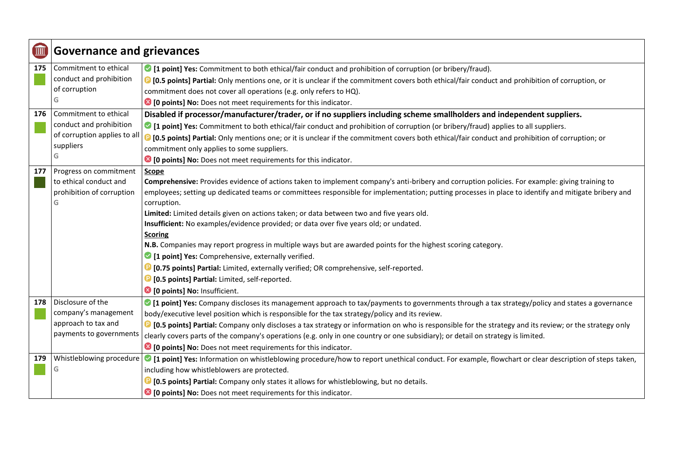| I   | <b>Governance and grievances</b> |                                                                                                                                                                               |
|-----|----------------------------------|-------------------------------------------------------------------------------------------------------------------------------------------------------------------------------|
| 175 | Commitment to ethical            | • [1 point] Yes: Commitment to both ethical/fair conduct and prohibition of corruption (or bribery/fraud).                                                                    |
|     | conduct and prohibition          | <sup>1</sup> [0.5 points] Partial: Only mentions one, or it is unclear if the commitment covers both ethical/fair conduct and prohibition of corruption, or                   |
|     | of corruption                    | commitment does not cover all operations (e.g. only refers to HQ).                                                                                                            |
|     | G                                | <sup>3</sup> [0 points] No: Does not meet requirements for this indicator.                                                                                                    |
| 176 | Commitment to ethical            | Disabled if processor/manufacturer/trader, or if no suppliers including scheme smallholders and independent suppliers.                                                        |
|     | conduct and prohibition          | • [1 point] Yes: Commitment to both ethical/fair conduct and prohibition of corruption (or bribery/fraud) applies to all suppliers.                                           |
|     | of corruption applies to all     | <sup>1</sup> [0.5 points] Partial: Only mentions one; or it is unclear if the commitment covers both ethical/fair conduct and prohibition of corruption; or                   |
|     | suppliers                        | commitment only applies to some suppliers.                                                                                                                                    |
|     | G                                | <sup>3</sup> [0 points] No: Does not meet requirements for this indicator.                                                                                                    |
| 177 | Progress on commitment           | Scope                                                                                                                                                                         |
|     | to ethical conduct and           | Comprehensive: Provides evidence of actions taken to implement company's anti-bribery and corruption policies. For example: giving training to                                |
|     | prohibition of corruption        | employees; setting up dedicated teams or committees responsible for implementation; putting processes in place to identify and mitigate bribery and                           |
|     | G                                | corruption.                                                                                                                                                                   |
|     |                                  | Limited: Limited details given on actions taken; or data between two and five years old.                                                                                      |
|     |                                  | Insufficient: No examples/evidence provided; or data over five years old; or undated.                                                                                         |
|     |                                  | <b>Scoring</b>                                                                                                                                                                |
|     |                                  | N.B. Companies may report progress in multiple ways but are awarded points for the highest scoring category.                                                                  |
|     |                                  | <sup>1</sup> [1 point] Yes: Comprehensive, externally verified.                                                                                                               |
|     |                                  | <sup>1</sup> [0.75 points] Partial: Limited, externally verified; OR comprehensive, self-reported.                                                                            |
|     |                                  | <b>D</b> [0.5 points] Partial: Limited, self-reported.                                                                                                                        |
|     |                                  | <sup>3</sup> [0 points] No: Insufficient.                                                                                                                                     |
| 178 | Disclosure of the                | • [1 point] Yes: Company discloses its management approach to tax/payments to governments through a tax strategy/policy and states a governance                               |
|     | company's management             | body/executive level position which is responsible for the tax strategy/policy and its review.                                                                                |
|     | approach to tax and              | <b>D</b> [0.5 points] Partial: Company only discloses a tax strategy or information on who is responsible for the strategy and its review; or the strategy only               |
|     | payments to governments          | clearly covers parts of the company's operations (e.g. only in one country or one subsidiary); or detail on strategy is limited.                                              |
|     |                                  | <sup>3</sup> [0 points] No: Does not meet requirements for this indicator.                                                                                                    |
| 179 |                                  | Whistleblowing procedure   1 point] Yes: Information on whistleblowing procedure/how to report unethical conduct. For example, flowchart or clear description of steps taken, |
|     | G                                | including how whistleblowers are protected.                                                                                                                                   |
|     |                                  | [C [0.5 points] Partial: Company only states it allows for whistleblowing, but no details.                                                                                    |
|     |                                  | <sup>8</sup> [0 points] No: Does not meet requirements for this indicator.                                                                                                    |